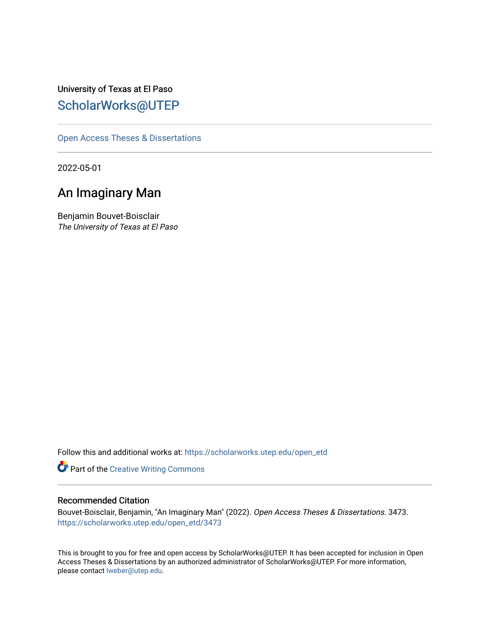University of Texas at El Paso [ScholarWorks@UTEP](https://scholarworks.utep.edu/)

[Open Access Theses & Dissertations](https://scholarworks.utep.edu/open_etd) 

2022-05-01

# An Imaginary Man

Benjamin Bouvet-Boisclair The University of Texas at El Paso

Follow this and additional works at: [https://scholarworks.utep.edu/open\\_etd](https://scholarworks.utep.edu/open_etd?utm_source=scholarworks.utep.edu%2Fopen_etd%2F3473&utm_medium=PDF&utm_campaign=PDFCoverPages)

Part of the [Creative Writing Commons](https://network.bepress.com/hgg/discipline/574?utm_source=scholarworks.utep.edu%2Fopen_etd%2F3473&utm_medium=PDF&utm_campaign=PDFCoverPages) 

### Recommended Citation

Bouvet-Boisclair, Benjamin, "An Imaginary Man" (2022). Open Access Theses & Dissertations. 3473. [https://scholarworks.utep.edu/open\\_etd/3473](https://scholarworks.utep.edu/open_etd/3473?utm_source=scholarworks.utep.edu%2Fopen_etd%2F3473&utm_medium=PDF&utm_campaign=PDFCoverPages) 

This is brought to you for free and open access by ScholarWorks@UTEP. It has been accepted for inclusion in Open Access Theses & Dissertations by an authorized administrator of ScholarWorks@UTEP. For more information, please contact [lweber@utep.edu.](mailto:lweber@utep.edu)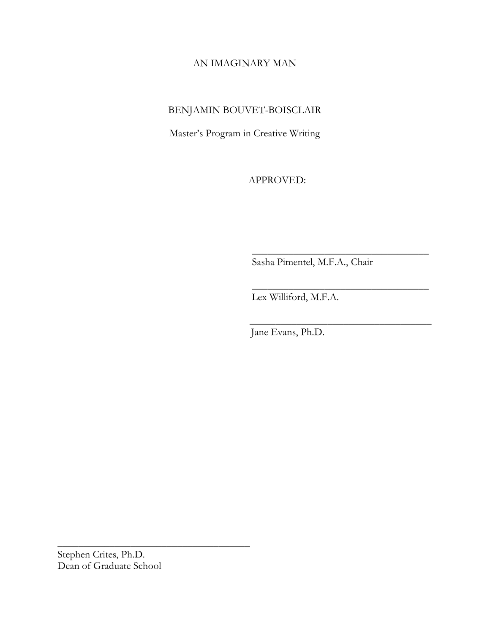## AN IMAGINARY MAN

## BENJAMIN BOUVET-BOISCLAIR

Master's Program in Creative Writing

APPROVED:

Sasha Pimentel, M.F.A., Chair

\_\_\_\_\_\_\_\_\_\_\_\_\_\_\_\_\_\_\_\_\_\_\_\_\_\_\_\_\_\_\_\_\_\_

\_\_\_\_\_\_\_\_\_\_\_\_\_\_\_\_\_\_\_\_\_\_\_\_\_\_\_\_\_\_\_\_\_\_

 $\overline{\phantom{a}}$  , and the contract of the contract of the contract of the contract of the contract of the contract of the contract of the contract of the contract of the contract of the contract of the contract of the contrac

Lex Williford, M.F.A.

Jane Evans, Ph.D.

Stephen Crites, Ph.D. Dean of Graduate School

\_\_\_\_\_\_\_\_\_\_\_\_\_\_\_\_\_\_\_\_\_\_\_\_\_\_\_\_\_\_\_\_\_\_\_\_\_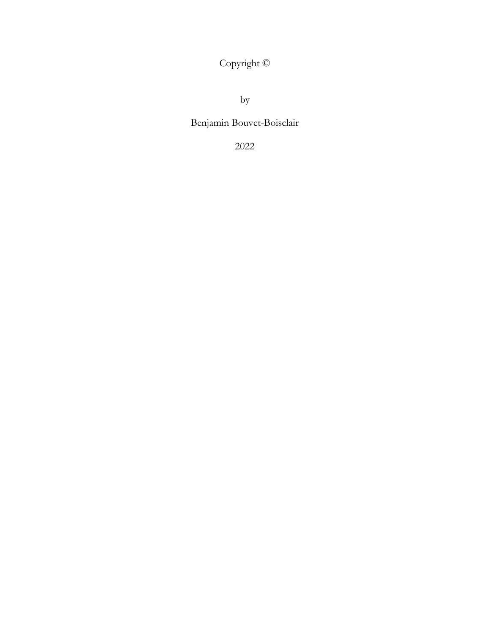Copyright ©

by

Benjamin Bouvet-Boisclair

2022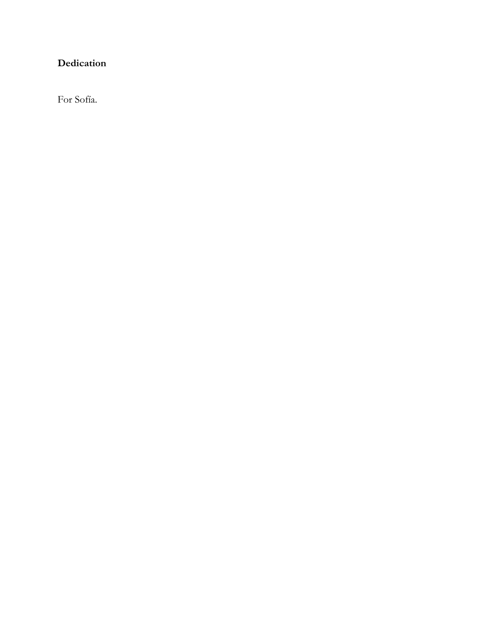# **Dedication**

For Sofía.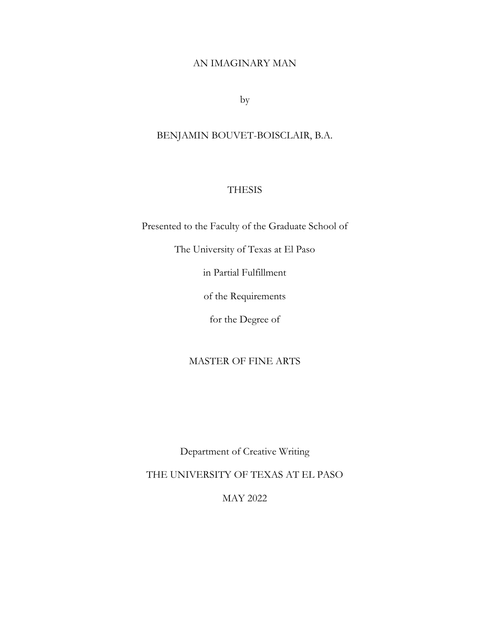## AN IMAGINARY MAN

by

## BENJAMIN BOUVET-BOISCLAIR, B.A.

## **THESIS**

Presented to the Faculty of the Graduate School of

The University of Texas at El Paso

in Partial Fulfillment

of the Requirements

for the Degree of

### MASTER OF FINE ARTS

Department of Creative Writing

THE UNIVERSITY OF TEXAS AT EL PASO

MAY 2022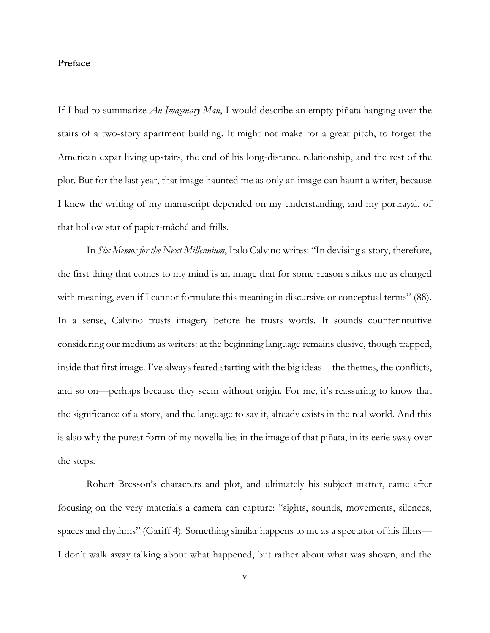#### **Preface**

If I had to summarize *An Imaginary Man*, I would describe an empty piñata hanging over the stairs of a two-story apartment building. It might not make for a great pitch, to forget the American expat living upstairs, the end of his long-distance relationship, and the rest of the plot. But for the last year, that image haunted me as only an image can haunt a writer, because I knew the writing of my manuscript depended on my understanding, and my portrayal, of that hollow star of papier-mâché and frills.

In *Six Memos for the Next Millennium*, Italo Calvino writes: "In devising a story, therefore, the first thing that comes to my mind is an image that for some reason strikes me as charged with meaning, even if I cannot formulate this meaning in discursive or conceptual terms" (88). In a sense, Calvino trusts imagery before he trusts words. It sounds counterintuitive considering our medium as writers: at the beginning language remains elusive, though trapped, inside that first image. I've always feared starting with the big ideas—the themes, the conflicts, and so on—perhaps because they seem without origin. For me, it's reassuring to know that the significance of a story, and the language to say it, already exists in the real world. And this is also why the purest form of my novella lies in the image of that piñata, in its eerie sway over the steps.

Robert Bresson's characters and plot, and ultimately his subject matter, came after focusing on the very materials a camera can capture: "sights, sounds, movements, silences, spaces and rhythms" (Gariff 4). Something similar happens to me as a spectator of his films— I don't walk away talking about what happened, but rather about what was shown, and the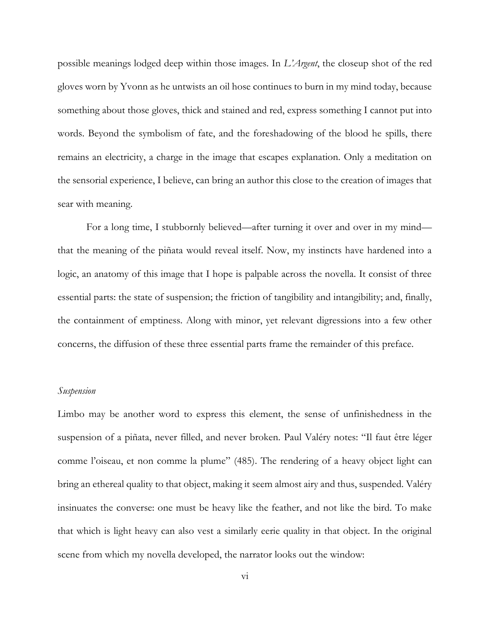possible meanings lodged deep within those images. In *L'Argent*, the closeup shot of the red gloves worn by Yvonn as he untwists an oil hose continues to burn in my mind today, because something about those gloves, thick and stained and red, express something I cannot put into words. Beyond the symbolism of fate, and the foreshadowing of the blood he spills, there remains an electricity, a charge in the image that escapes explanation. Only a meditation on the sensorial experience, I believe, can bring an author this close to the creation of images that sear with meaning.

For a long time, I stubbornly believed—after turning it over and over in my mind that the meaning of the piñata would reveal itself. Now, my instincts have hardened into a logic, an anatomy of this image that I hope is palpable across the novella. It consist of three essential parts: the state of suspension; the friction of tangibility and intangibility; and, finally, the containment of emptiness. Along with minor, yet relevant digressions into a few other concerns, the diffusion of these three essential parts frame the remainder of this preface.

### *Suspension*

Limbo may be another word to express this element, the sense of unfinishedness in the suspension of a piñata, never filled, and never broken. Paul Valéry notes: "Il faut être léger comme l'oiseau, et non comme la plume" (485). The rendering of a heavy object light can bring an ethereal quality to that object, making it seem almost airy and thus, suspended. Valéry insinuates the converse: one must be heavy like the feather, and not like the bird. To make that which is light heavy can also vest a similarly eerie quality in that object. In the original scene from which my novella developed, the narrator looks out the window: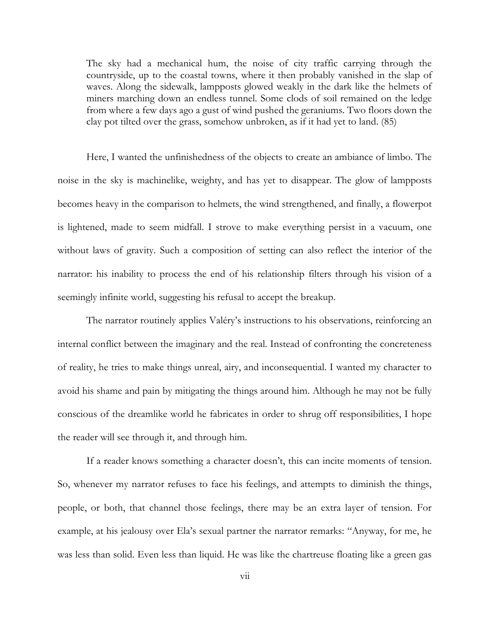The sky had a mechanical hum, the noise of city traffic carrying through the countryside, up to the coastal towns, where it then probably vanished in the slap of waves. Along the sidewalk, lampposts glowed weakly in the dark like the helmets of miners marching down an endless tunnel. Some clods of soil remained on the ledge from where a few days ago a gust of wind pushed the geraniums. Two floors down the clay pot tilted over the grass, somehow unbroken, as if it had yet to land. (85)

Here, I wanted the unfinishedness of the objects to create an ambiance of limbo. The noise in the sky is machinelike, weighty, and has yet to disappear. The glow of lampposts becomes heavy in the comparison to helmets, the wind strengthened, and finally, a flowerpot is lightened, made to seem midfall. I strove to make everything persist in a vacuum, one without laws of gravity. Such a composition of setting can also reflect the interior of the narrator: his inability to process the end of his relationship filters through his vision of a seemingly infinite world, suggesting his refusal to accept the breakup.

The narrator routinely applies Valéry's instructions to his observations, reinforcing an internal conflict between the imaginary and the real. Instead of confronting the concreteness of reality, he tries to make things unreal, airy, and inconsequential. I wanted my character to avoid his shame and pain by mitigating the things around him. Although he may not be fully conscious of the dreamlike world he fabricates in order to shrug off responsibilities, I hope the reader will see through it, and through him.

If a reader knows something a character doesn't, this can incite moments of tension. So, whenever my narrator refuses to face his feelings, and attempts to diminish the things, people, or both, that channel those feelings, there may be an extra layer of tension. For example, at his jealousy over Ela's sexual partner the narrator remarks: "Anyway, for me, he was less than solid. Even less than liquid. He was like the chartreuse floating like a green gas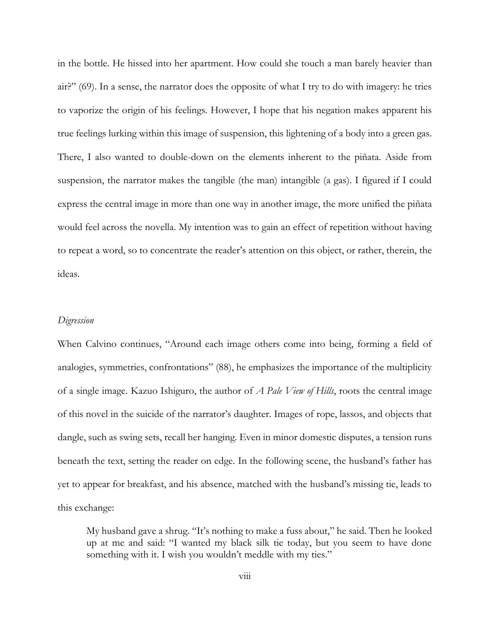in the bottle. He hissed into her apartment. How could she touch a man barely heavier than air?" (69). In a sense, the narrator does the opposite of what I try to do with imagery: he tries to vaporize the origin of his feelings. However, I hope that his negation makes apparent his true feelings lurking within this image of suspension, this lightening of a body into a green gas. There, I also wanted to double-down on the elements inherent to the piñata. Aside from suspension, the narrator makes the tangible (the man) intangible (a gas). I figured if I could express the central image in more than one way in another image, the more unified the piñata would feel across the novella. My intention was to gain an effect of repetition without having to repeat a word, so to concentrate the reader's attention on this object, or rather, therein, the ideas.

### *Digression*

When Calvino continues, "Around each image others come into being, forming a field of analogies, symmetries, confrontations" (88), he emphasizes the importance of the multiplicity of a single image. Kazuo Ishiguro, the author of *A Pale View of Hills*, roots the central image of this novel in the suicide of the narrator's daughter. Images of rope, lassos, and objects that dangle, such as swing sets, recall her hanging. Even in minor domestic disputes, a tension runs beneath the text, setting the reader on edge. In the following scene, the husband's father has yet to appear for breakfast, and his absence, matched with the husband's missing tie, leads to this exchange:

My husband gave a shrug. "It's nothing to make a fuss about," he said. Then he looked up at me and said: "I wanted my black silk tie today, but you seem to have done something with it. I wish you wouldn't meddle with my ties."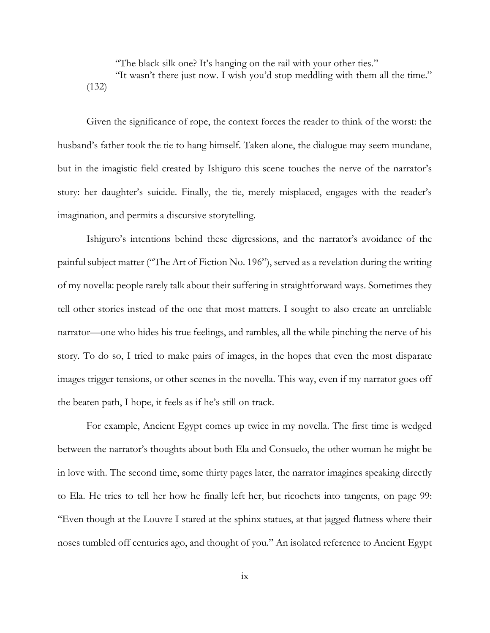"The black silk one? It's hanging on the rail with your other ties." "It wasn't there just now. I wish you'd stop meddling with them all the time." (132)

Given the significance of rope, the context forces the reader to think of the worst: the husband's father took the tie to hang himself. Taken alone, the dialogue may seem mundane, but in the imagistic field created by Ishiguro this scene touches the nerve of the narrator's story: her daughter's suicide. Finally, the tie, merely misplaced, engages with the reader's imagination, and permits a discursive storytelling.

Ishiguro's intentions behind these digressions, and the narrator's avoidance of the painful subject matter ("The Art of Fiction No. 196"), served as a revelation during the writing of my novella: people rarely talk about their suffering in straightforward ways. Sometimes they tell other stories instead of the one that most matters. I sought to also create an unreliable narrator—one who hides his true feelings, and rambles, all the while pinching the nerve of his story. To do so, I tried to make pairs of images, in the hopes that even the most disparate images trigger tensions, or other scenes in the novella. This way, even if my narrator goes off the beaten path, I hope, it feels as if he's still on track.

For example, Ancient Egypt comes up twice in my novella. The first time is wedged between the narrator's thoughts about both Ela and Consuelo, the other woman he might be in love with. The second time, some thirty pages later, the narrator imagines speaking directly to Ela. He tries to tell her how he finally left her, but ricochets into tangents, on page 99: "Even though at the Louvre I stared at the sphinx statues, at that jagged flatness where their noses tumbled off centuries ago, and thought of you." An isolated reference to Ancient Egypt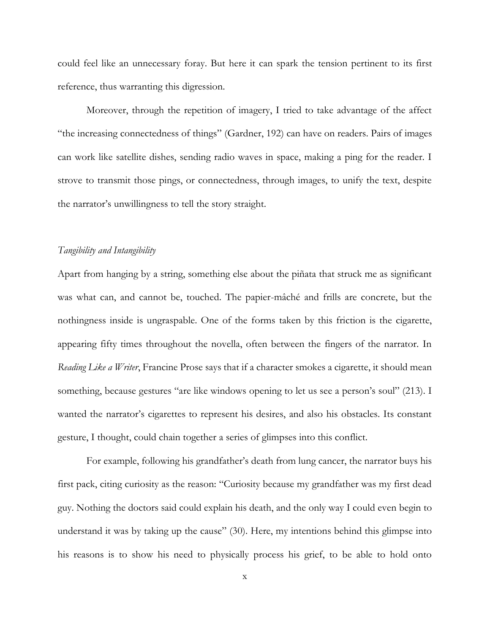could feel like an unnecessary foray. But here it can spark the tension pertinent to its first reference, thus warranting this digression.

Moreover, through the repetition of imagery, I tried to take advantage of the affect "the increasing connectedness of things" (Gardner, 192) can have on readers. Pairs of images can work like satellite dishes, sending radio waves in space, making a ping for the reader. I strove to transmit those pings, or connectedness, through images, to unify the text, despite the narrator's unwillingness to tell the story straight.

#### *Tangibility and Intangibility*

Apart from hanging by a string, something else about the piñata that struck me as significant was what can, and cannot be, touched. The papier-mâché and frills are concrete, but the nothingness inside is ungraspable. One of the forms taken by this friction is the cigarette, appearing fifty times throughout the novella, often between the fingers of the narrator. In *Reading Like a Writer*, Francine Prose says that if a character smokes a cigarette, it should mean something, because gestures "are like windows opening to let us see a person's soul" (213). I wanted the narrator's cigarettes to represent his desires, and also his obstacles. Its constant gesture, I thought, could chain together a series of glimpses into this conflict.

For example, following his grandfather's death from lung cancer, the narrator buys his first pack, citing curiosity as the reason: "Curiosity because my grandfather was my first dead guy. Nothing the doctors said could explain his death, and the only way I could even begin to understand it was by taking up the cause" (30). Here, my intentions behind this glimpse into his reasons is to show his need to physically process his grief, to be able to hold onto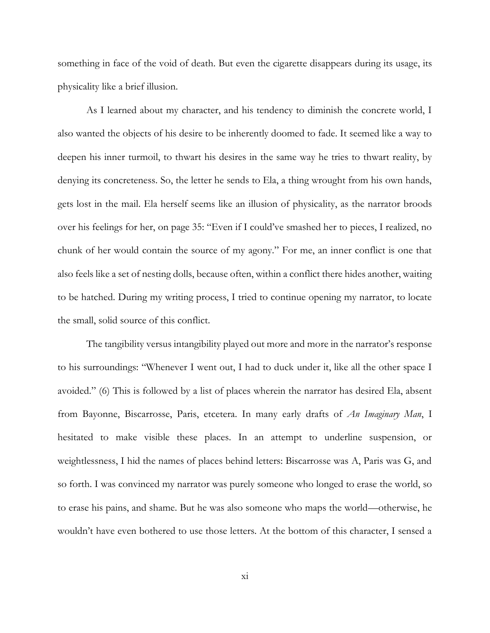something in face of the void of death. But even the cigarette disappears during its usage, its physicality like a brief illusion.

As I learned about my character, and his tendency to diminish the concrete world, I also wanted the objects of his desire to be inherently doomed to fade. It seemed like a way to deepen his inner turmoil, to thwart his desires in the same way he tries to thwart reality, by denying its concreteness. So, the letter he sends to Ela, a thing wrought from his own hands, gets lost in the mail. Ela herself seems like an illusion of physicality, as the narrator broods over his feelings for her, on page 35: "Even if I could've smashed her to pieces, I realized, no chunk of her would contain the source of my agony." For me, an inner conflict is one that also feels like a set of nesting dolls, because often, within a conflict there hides another, waiting to be hatched. During my writing process, I tried to continue opening my narrator, to locate the small, solid source of this conflict.

The tangibility versus intangibility played out more and more in the narrator's response to his surroundings: "Whenever I went out, I had to duck under it, like all the other space I avoided." (6) This is followed by a list of places wherein the narrator has desired Ela, absent from Bayonne, Biscarrosse, Paris, etcetera. In many early drafts of *An Imaginary Man*, I hesitated to make visible these places. In an attempt to underline suspension, or weightlessness, I hid the names of places behind letters: Biscarrosse was A, Paris was G, and so forth. I was convinced my narrator was purely someone who longed to erase the world, so to erase his pains, and shame. But he was also someone who maps the world—otherwise, he wouldn't have even bothered to use those letters. At the bottom of this character, I sensed a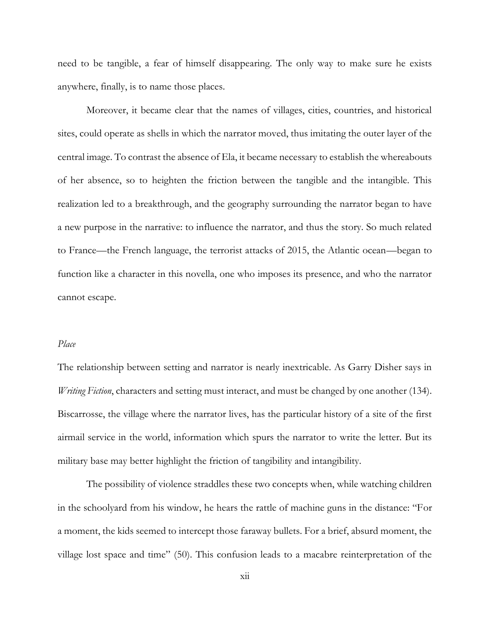need to be tangible, a fear of himself disappearing. The only way to make sure he exists anywhere, finally, is to name those places.

Moreover, it became clear that the names of villages, cities, countries, and historical sites, could operate as shells in which the narrator moved, thus imitating the outer layer of the central image. To contrast the absence of Ela, it became necessary to establish the whereabouts of her absence, so to heighten the friction between the tangible and the intangible. This realization led to a breakthrough, and the geography surrounding the narrator began to have a new purpose in the narrative: to influence the narrator, and thus the story. So much related to France—the French language, the terrorist attacks of 2015, the Atlantic ocean—began to function like a character in this novella, one who imposes its presence, and who the narrator cannot escape.

#### *Place*

The relationship between setting and narrator is nearly inextricable. As Garry Disher says in *Writing Fiction*, characters and setting must interact, and must be changed by one another (134). Biscarrosse, the village where the narrator lives, has the particular history of a site of the first airmail service in the world, information which spurs the narrator to write the letter. But its military base may better highlight the friction of tangibility and intangibility.

The possibility of violence straddles these two concepts when, while watching children in the schoolyard from his window, he hears the rattle of machine guns in the distance: "For a moment, the kids seemed to intercept those faraway bullets. For a brief, absurd moment, the village lost space and time" (50). This confusion leads to a macabre reinterpretation of the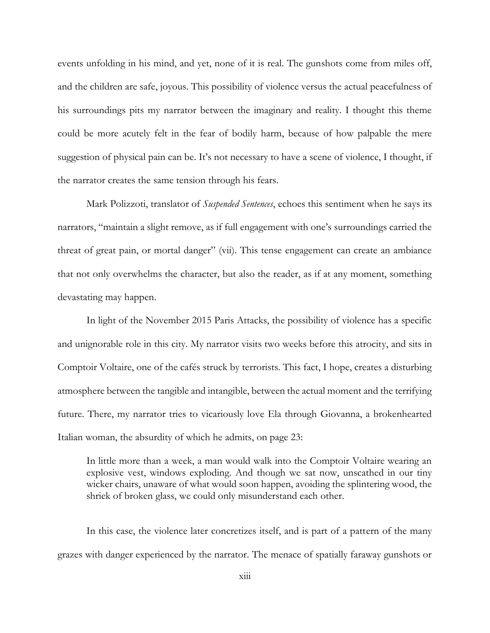events unfolding in his mind, and yet, none of it is real. The gunshots come from miles off, and the children are safe, joyous. This possibility of violence versus the actual peacefulness of his surroundings pits my narrator between the imaginary and reality. I thought this theme could be more acutely felt in the fear of bodily harm, because of how palpable the mere suggestion of physical pain can be. It's not necessary to have a scene of violence, I thought, if the narrator creates the same tension through his fears.

Mark Polizzoti, translator of *Suspended Sentences*, echoes this sentiment when he says its narrators, "maintain a slight remove, as if full engagement with one's surroundings carried the threat of great pain, or mortal danger" (vii). This tense engagement can create an ambiance that not only overwhelms the character, but also the reader, as if at any moment, something devastating may happen.

In light of the November 2015 Paris Attacks, the possibility of violence has a specific and unignorable role in this city. My narrator visits two weeks before this atrocity, and sits in Comptoir Voltaire, one of the cafés struck by terrorists. This fact, I hope, creates a disturbing atmosphere between the tangible and intangible, between the actual moment and the terrifying future. There, my narrator tries to vicariously love Ela through Giovanna, a brokenhearted Italian woman, the absurdity of which he admits, on page 23:

In little more than a week, a man would walk into the Comptoir Voltaire wearing an explosive vest, windows exploding. And though we sat now, unscathed in our tiny wicker chairs, unaware of what would soon happen, avoiding the splintering wood, the shriek of broken glass, we could only misunderstand each other.

In this case, the violence later concretizes itself, and is part of a pattern of the many grazes with danger experienced by the narrator. The menace of spatially faraway gunshots or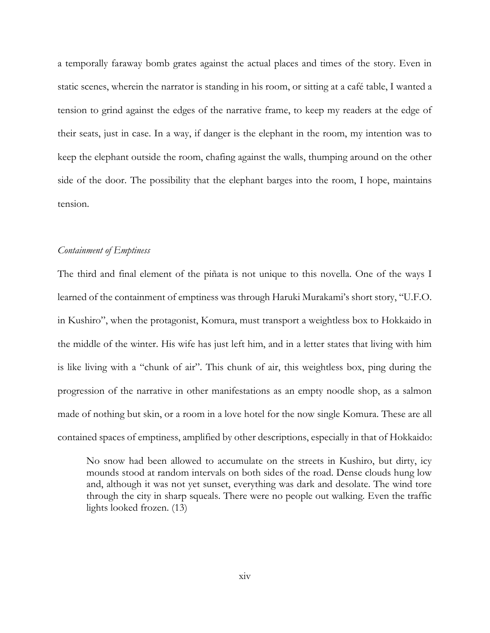a temporally faraway bomb grates against the actual places and times of the story. Even in static scenes, wherein the narrator is standing in his room, or sitting at a café table, I wanted a tension to grind against the edges of the narrative frame, to keep my readers at the edge of their seats, just in case. In a way, if danger is the elephant in the room, my intention was to keep the elephant outside the room, chafing against the walls, thumping around on the other side of the door. The possibility that the elephant barges into the room, I hope, maintains tension.

#### *Containment of Emptiness*

The third and final element of the piñata is not unique to this novella. One of the ways I learned of the containment of emptiness was through Haruki Murakami's short story, "U.F.O. in Kushiro", when the protagonist, Komura, must transport a weightless box to Hokkaido in the middle of the winter. His wife has just left him, and in a letter states that living with him is like living with a "chunk of air". This chunk of air, this weightless box, ping during the progression of the narrative in other manifestations as an empty noodle shop, as a salmon made of nothing but skin, or a room in a love hotel for the now single Komura. These are all contained spaces of emptiness, amplified by other descriptions, especially in that of Hokkaido:

No snow had been allowed to accumulate on the streets in Kushiro, but dirty, icy mounds stood at random intervals on both sides of the road. Dense clouds hung low and, although it was not yet sunset, everything was dark and desolate. The wind tore through the city in sharp squeals. There were no people out walking. Even the traffic lights looked frozen. (13)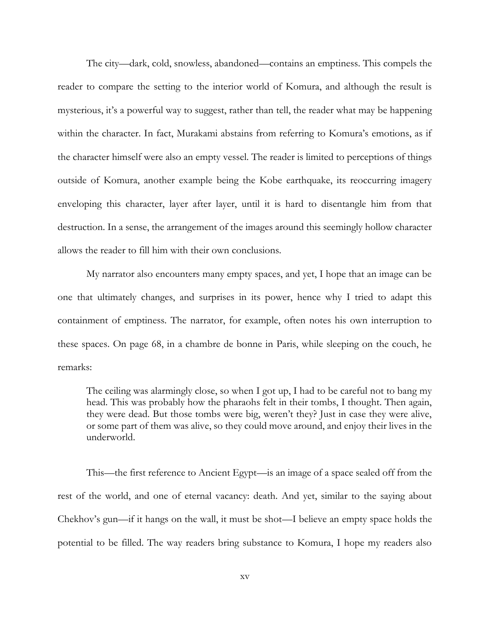The city—dark, cold, snowless, abandoned—contains an emptiness. This compels the reader to compare the setting to the interior world of Komura, and although the result is mysterious, it's a powerful way to suggest, rather than tell, the reader what may be happening within the character. In fact, Murakami abstains from referring to Komura's emotions, as if the character himself were also an empty vessel. The reader is limited to perceptions of things outside of Komura, another example being the Kobe earthquake, its reoccurring imagery enveloping this character, layer after layer, until it is hard to disentangle him from that destruction. In a sense, the arrangement of the images around this seemingly hollow character allows the reader to fill him with their own conclusions.

My narrator also encounters many empty spaces, and yet, I hope that an image can be one that ultimately changes, and surprises in its power, hence why I tried to adapt this containment of emptiness. The narrator, for example, often notes his own interruption to these spaces. On page 68, in a chambre de bonne in Paris, while sleeping on the couch, he remarks:

The ceiling was alarmingly close, so when I got up, I had to be careful not to bang my head. This was probably how the pharaohs felt in their tombs, I thought. Then again, they were dead. But those tombs were big, weren't they? Just in case they were alive, or some part of them was alive, so they could move around, and enjoy their lives in the underworld.

This—the first reference to Ancient Egypt—is an image of a space sealed off from the rest of the world, and one of eternal vacancy: death. And yet, similar to the saying about Chekhov's gun—if it hangs on the wall, it must be shot—I believe an empty space holds the potential to be filled. The way readers bring substance to Komura, I hope my readers also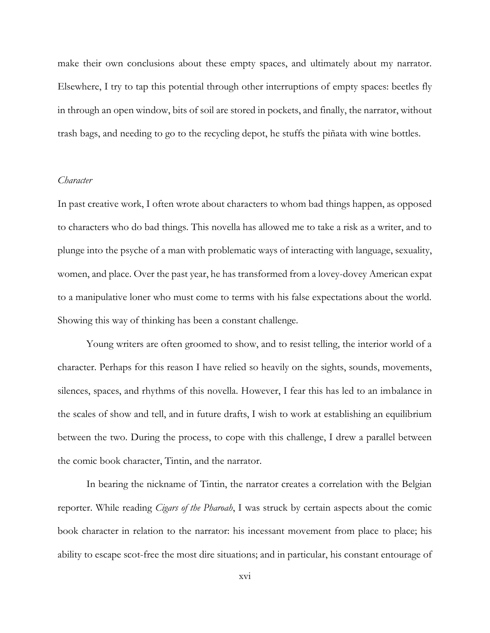make their own conclusions about these empty spaces, and ultimately about my narrator. Elsewhere, I try to tap this potential through other interruptions of empty spaces: beetles fly in through an open window, bits of soil are stored in pockets, and finally, the narrator, without trash bags, and needing to go to the recycling depot, he stuffs the piñata with wine bottles.

#### *Character*

In past creative work, I often wrote about characters to whom bad things happen, as opposed to characters who do bad things. This novella has allowed me to take a risk as a writer, and to plunge into the psyche of a man with problematic ways of interacting with language, sexuality, women, and place. Over the past year, he has transformed from a lovey-dovey American expat to a manipulative loner who must come to terms with his false expectations about the world. Showing this way of thinking has been a constant challenge.

Young writers are often groomed to show, and to resist telling, the interior world of a character. Perhaps for this reason I have relied so heavily on the sights, sounds, movements, silences, spaces, and rhythms of this novella. However, I fear this has led to an imbalance in the scales of show and tell, and in future drafts, I wish to work at establishing an equilibrium between the two. During the process, to cope with this challenge, I drew a parallel between the comic book character, Tintin, and the narrator.

In bearing the nickname of Tintin, the narrator creates a correlation with the Belgian reporter. While reading *Cigars of the Pharoah*, I was struck by certain aspects about the comic book character in relation to the narrator: his incessant movement from place to place; his ability to escape scot-free the most dire situations; and in particular, his constant entourage of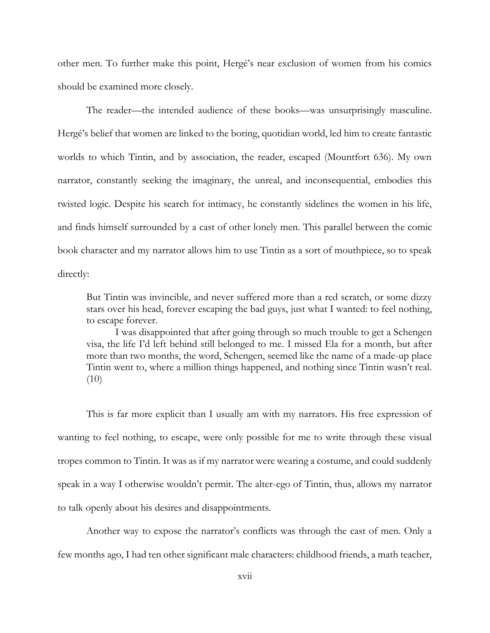other men. To further make this point, Hergé's near exclusion of women from his comics should be examined more closely.

The reader—the intended audience of these books—was unsurprisingly masculine. Hergé's belief that women are linked to the boring, quotidian world, led him to create fantastic worlds to which Tintin, and by association, the reader, escaped (Mountfort 636). My own narrator, constantly seeking the imaginary, the unreal, and inconsequential, embodies this twisted logic. Despite his search for intimacy, he constantly sidelines the women in his life, and finds himself surrounded by a cast of other lonely men. This parallel between the comic book character and my narrator allows him to use Tintin as a sort of mouthpiece, so to speak directly:

But Tintin was invincible, and never suffered more than a red scratch, or some dizzy stars over his head, forever escaping the bad guys, just what I wanted: to feel nothing, to escape forever.

I was disappointed that after going through so much trouble to get a Schengen visa, the life I'd left behind still belonged to me. I missed Ela for a month, but after more than two months, the word, Schengen, seemed like the name of a made-up place Tintin went to, where a million things happened, and nothing since Tintin wasn't real. (10)

This is far more explicit than I usually am with my narrators. His free expression of wanting to feel nothing, to escape, were only possible for me to write through these visual tropes common to Tintin. It was as if my narrator were wearing a costume, and could suddenly speak in a way I otherwise wouldn't permit. The alter-ego of Tintin, thus, allows my narrator to talk openly about his desires and disappointments.

Another way to expose the narrator's conflicts was through the cast of men. Only a few months ago, I had ten other significant male characters: childhood friends, a math teacher,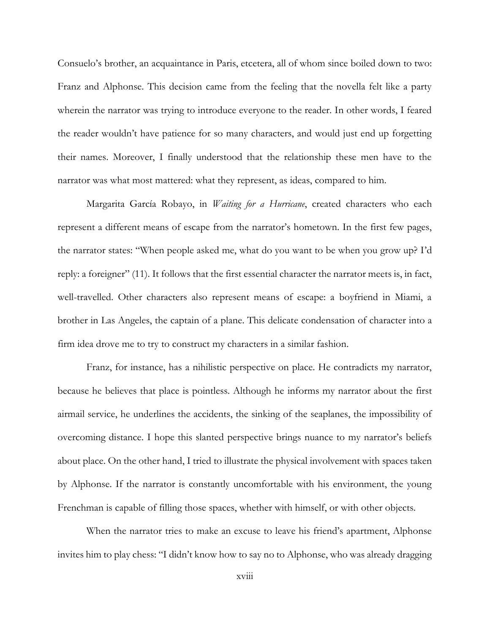Consuelo's brother, an acquaintance in Paris, etcetera, all of whom since boiled down to two: Franz and Alphonse. This decision came from the feeling that the novella felt like a party wherein the narrator was trying to introduce everyone to the reader. In other words, I feared the reader wouldn't have patience for so many characters, and would just end up forgetting their names. Moreover, I finally understood that the relationship these men have to the narrator was what most mattered: what they represent, as ideas, compared to him.

Margarita García Robayo, in *Waiting for a Hurricane*, created characters who each represent a different means of escape from the narrator's hometown. In the first few pages, the narrator states: "When people asked me, what do you want to be when you grow up? I'd reply: a foreigner" (11). It follows that the first essential character the narrator meets is, in fact, well-travelled. Other characters also represent means of escape: a boyfriend in Miami, a brother in Las Angeles, the captain of a plane. This delicate condensation of character into a firm idea drove me to try to construct my characters in a similar fashion.

Franz, for instance, has a nihilistic perspective on place. He contradicts my narrator, because he believes that place is pointless. Although he informs my narrator about the first airmail service, he underlines the accidents, the sinking of the seaplanes, the impossibility of overcoming distance. I hope this slanted perspective brings nuance to my narrator's beliefs about place. On the other hand, I tried to illustrate the physical involvement with spaces taken by Alphonse. If the narrator is constantly uncomfortable with his environment, the young Frenchman is capable of filling those spaces, whether with himself, or with other objects.

When the narrator tries to make an excuse to leave his friend's apartment, Alphonse invites him to play chess: "I didn't know how to say no to Alphonse, who was already dragging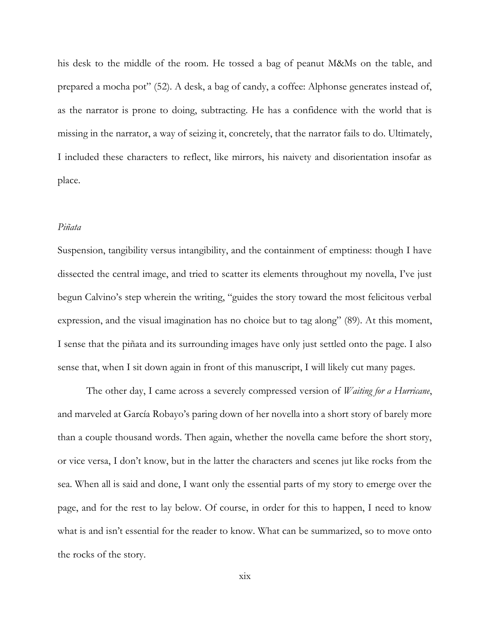his desk to the middle of the room. He tossed a bag of peanut M&Ms on the table, and prepared a mocha pot" (52). A desk, a bag of candy, a coffee: Alphonse generates instead of, as the narrator is prone to doing, subtracting. He has a confidence with the world that is missing in the narrator, a way of seizing it, concretely, that the narrator fails to do. Ultimately, I included these characters to reflect, like mirrors, his naivety and disorientation insofar as place.

#### *Piñata*

Suspension, tangibility versus intangibility, and the containment of emptiness: though I have dissected the central image, and tried to scatter its elements throughout my novella, I've just begun Calvino's step wherein the writing, "guides the story toward the most felicitous verbal expression, and the visual imagination has no choice but to tag along" (89). At this moment, I sense that the piñata and its surrounding images have only just settled onto the page. I also sense that, when I sit down again in front of this manuscript, I will likely cut many pages.

The other day, I came across a severely compressed version of *Waiting for a Hurricane*, and marveled at García Robayo's paring down of her novella into a short story of barely more than a couple thousand words. Then again, whether the novella came before the short story, or vice versa, I don't know, but in the latter the characters and scenes jut like rocks from the sea. When all is said and done, I want only the essential parts of my story to emerge over the page, and for the rest to lay below. Of course, in order for this to happen, I need to know what is and isn't essential for the reader to know. What can be summarized, so to move onto the rocks of the story.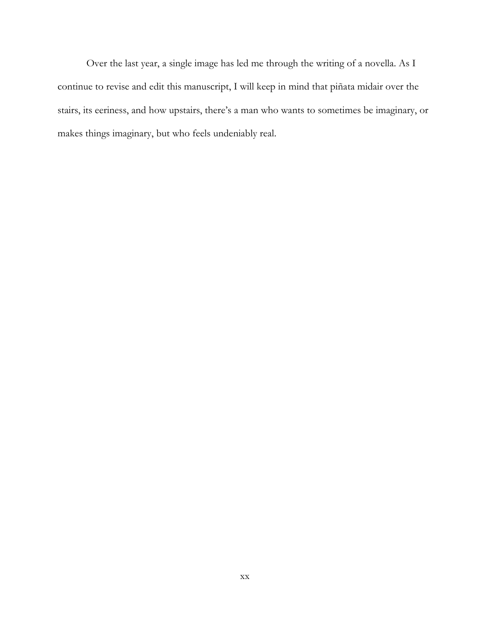Over the last year, a single image has led me through the writing of a novella. As I continue to revise and edit this manuscript, I will keep in mind that piñata midair over the stairs, its eeriness, and how upstairs, there's a man who wants to sometimes be imaginary, or makes things imaginary, but who feels undeniably real.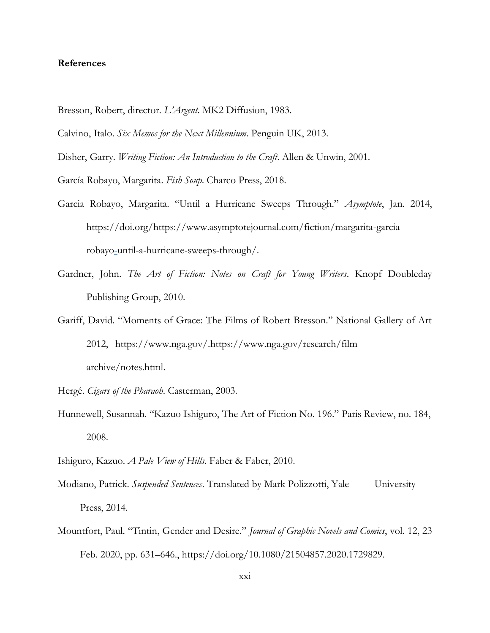#### **References**

Bresson, Robert, director. *L'Argent*. MK2 Diffusion, 1983.

Calvino, Italo. *Six Memos for the Next Millennium*. Penguin UK, 2013.

Disher, Garry. *Writing Fiction: An Introduction to the Craft*. Allen & Unwin, 2001.

García Robayo, Margarita. *Fish Soup*. Charco Press, 2018.

- Garcia Robayo, Margarita. "Until a Hurricane Sweeps Through." *Asymptote*, Jan. 2014, [https://doi.org/https://www.asymptotejournal.com/fiction/margarita-garcia](https://doi.org/https:/www.asymptotejournal.com/fiction/margarita-garcia%09robayo-) [robayo-u](https://doi.org/https:/www.asymptotejournal.com/fiction/margarita-garcia%09robayo-)ntil-a-hurricane-sweeps-through/.
- Gardner, John. *The Art of Fiction: Notes on Craft for Young Writers*. Knopf Doubleday Publishing Group, 2010.
- Gariff, David. "Moments of Grace: The Films of Robert Bresson." National Gallery of Art 2012, <https://www.nga.gov/>[.https://www.nga.gov/research/film](https://www.nga.gov/research/film) archive/notes.html.
- Hergé. *Cigars of the Pharaoh*. Casterman, 2003.
- Hunnewell, Susannah. "Kazuo Ishiguro, The Art of Fiction No. 196." Paris Review, no. 184, 2008.
- Ishiguro, Kazuo. *A Pale View of Hills*. Faber & Faber, 2010.
- Modiano, Patrick. *Suspended Sentences*. Translated by Mark Polizzotti, Yale University Press, 2014.
- Mountfort, Paul. "Tintin, Gender and Desire." *Journal of Graphic Novels and Comics*, vol. 12, 23 Feb. 2020, pp. 631–646., https://doi.org/10.1080/21504857.2020.1729829.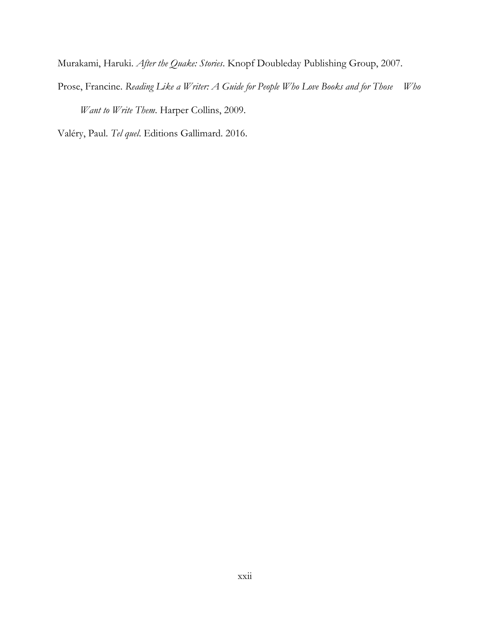Murakami, Haruki. *After the Quake: Stories*. Knopf Doubleday Publishing Group, 2007.

Prose, Francine. *Reading Like a Writer: A Guide for People Who Love Books and for Those Who Want to Write Them*. Harper Collins, 2009.

Valéry, Paul. *Tel quel*. Editions Gallimard. 2016.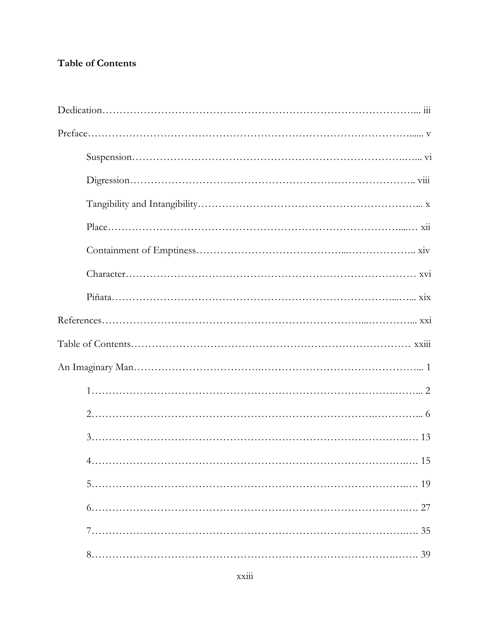## **Table of Contents**

| 15<br>$4$ |  |  |  |
|-----------|--|--|--|
|           |  |  |  |
|           |  |  |  |
|           |  |  |  |
|           |  |  |  |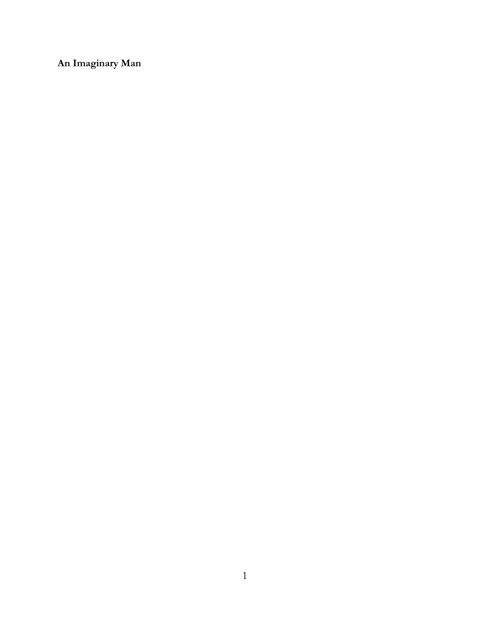**An Imaginary Man**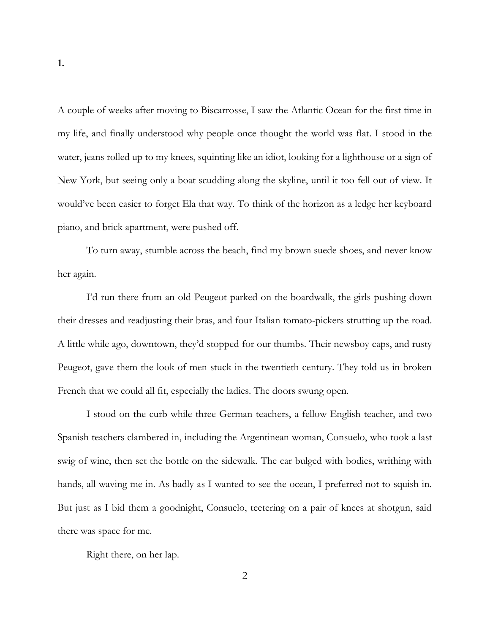A couple of weeks after moving to Biscarrosse, I saw the Atlantic Ocean for the first time in my life, and finally understood why people once thought the world was flat. I stood in the water, jeans rolled up to my knees, squinting like an idiot, looking for a lighthouse or a sign of New York, but seeing only a boat scudding along the skyline, until it too fell out of view. It would've been easier to forget Ela that way. To think of the horizon as a ledge her keyboard piano, and brick apartment, were pushed off.

To turn away, stumble across the beach, find my brown suede shoes, and never know her again.

I'd run there from an old Peugeot parked on the boardwalk, the girls pushing down their dresses and readjusting their bras, and four Italian tomato-pickers strutting up the road. A little while ago, downtown, they'd stopped for our thumbs. Their newsboy caps, and rusty Peugeot, gave them the look of men stuck in the twentieth century. They told us in broken French that we could all fit, especially the ladies. The doors swung open.

I stood on the curb while three German teachers, a fellow English teacher, and two Spanish teachers clambered in, including the Argentinean woman, Consuelo, who took a last swig of wine, then set the bottle on the sidewalk. The car bulged with bodies, writhing with hands, all waving me in. As badly as I wanted to see the ocean, I preferred not to squish in. But just as I bid them a goodnight, Consuelo, teetering on a pair of knees at shotgun, said there was space for me.

Right there, on her lap.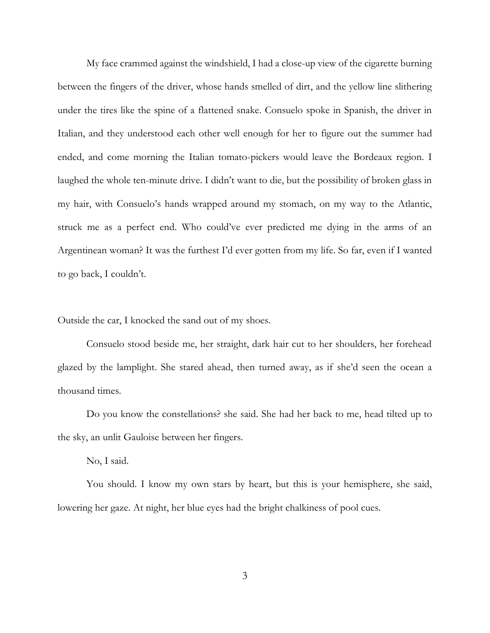My face crammed against the windshield, I had a close-up view of the cigarette burning between the fingers of the driver, whose hands smelled of dirt, and the yellow line slithering under the tires like the spine of a flattened snake. Consuelo spoke in Spanish, the driver in Italian, and they understood each other well enough for her to figure out the summer had ended, and come morning the Italian tomato-pickers would leave the Bordeaux region. I laughed the whole ten-minute drive. I didn't want to die, but the possibility of broken glass in my hair, with Consuelo's hands wrapped around my stomach, on my way to the Atlantic, struck me as a perfect end. Who could've ever predicted me dying in the arms of an Argentinean woman? It was the furthest I'd ever gotten from my life. So far, even if I wanted to go back, I couldn't.

Outside the car, I knocked the sand out of my shoes.

Consuelo stood beside me, her straight, dark hair cut to her shoulders, her forehead glazed by the lamplight. She stared ahead, then turned away, as if she'd seen the ocean a thousand times.

Do you know the constellations? she said. She had her back to me, head tilted up to the sky, an unlit Gauloise between her fingers.

No, I said.

You should. I know my own stars by heart, but this is your hemisphere, she said, lowering her gaze. At night, her blue eyes had the bright chalkiness of pool cues.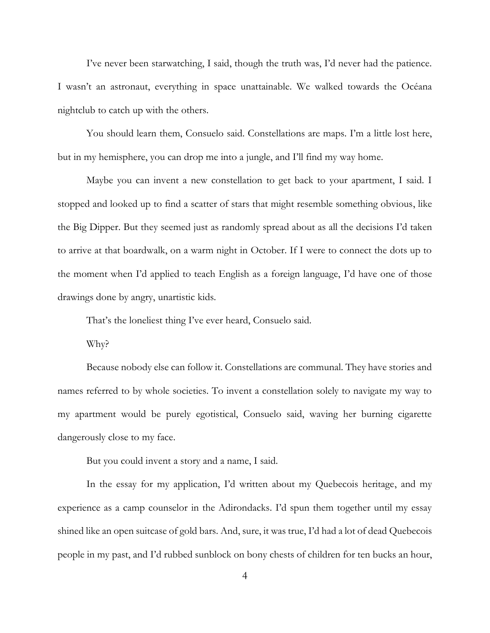I've never been starwatching, I said, though the truth was, I'd never had the patience. I wasn't an astronaut, everything in space unattainable. We walked towards the Océana nightclub to catch up with the others.

You should learn them, Consuelo said. Constellations are maps. I'm a little lost here, but in my hemisphere, you can drop me into a jungle, and I'll find my way home.

Maybe you can invent a new constellation to get back to your apartment, I said. I stopped and looked up to find a scatter of stars that might resemble something obvious, like the Big Dipper. But they seemed just as randomly spread about as all the decisions I'd taken to arrive at that boardwalk, on a warm night in October. If I were to connect the dots up to the moment when I'd applied to teach English as a foreign language, I'd have one of those drawings done by angry, unartistic kids.

That's the loneliest thing I've ever heard, Consuelo said.

Why?

Because nobody else can follow it. Constellations are communal. They have stories and names referred to by whole societies. To invent a constellation solely to navigate my way to my apartment would be purely egotistical, Consuelo said, waving her burning cigarette dangerously close to my face.

But you could invent a story and a name, I said.

In the essay for my application, I'd written about my Quebecois heritage, and my experience as a camp counselor in the Adirondacks. I'd spun them together until my essay shined like an open suitcase of gold bars. And, sure, it was true, I'd had a lot of dead Quebecois people in my past, and I'd rubbed sunblock on bony chests of children for ten bucks an hour,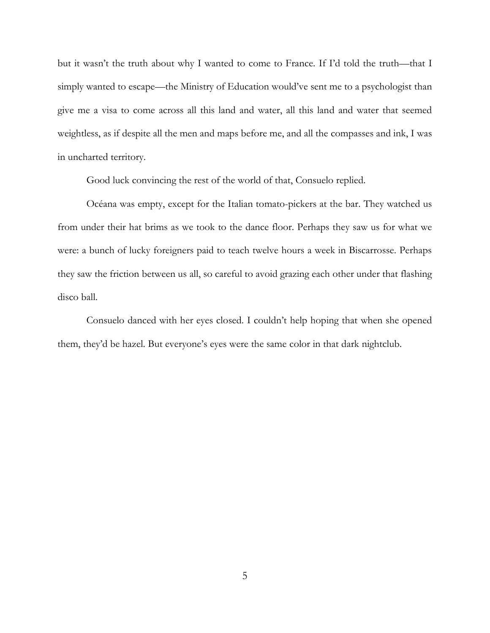but it wasn't the truth about why I wanted to come to France. If I'd told the truth—that I simply wanted to escape—the Ministry of Education would've sent me to a psychologist than give me a visa to come across all this land and water, all this land and water that seemed weightless, as if despite all the men and maps before me, and all the compasses and ink, I was in uncharted territory.

Good luck convincing the rest of the world of that, Consuelo replied.

Océana was empty, except for the Italian tomato-pickers at the bar. They watched us from under their hat brims as we took to the dance floor. Perhaps they saw us for what we were: a bunch of lucky foreigners paid to teach twelve hours a week in Biscarrosse. Perhaps they saw the friction between us all, so careful to avoid grazing each other under that flashing disco ball.

Consuelo danced with her eyes closed. I couldn't help hoping that when she opened them, they'd be hazel. But everyone's eyes were the same color in that dark nightclub.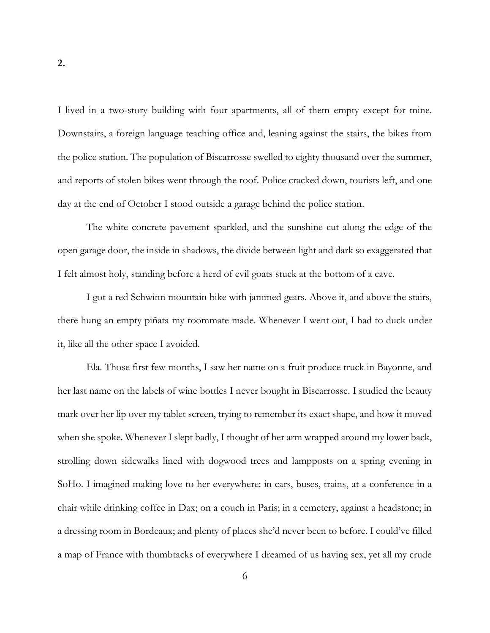I lived in a two-story building with four apartments, all of them empty except for mine. Downstairs, a foreign language teaching office and, leaning against the stairs, the bikes from the police station. The population of Biscarrosse swelled to eighty thousand over the summer, and reports of stolen bikes went through the roof. Police cracked down, tourists left, and one day at the end of October I stood outside a garage behind the police station.

The white concrete pavement sparkled, and the sunshine cut along the edge of the open garage door, the inside in shadows, the divide between light and dark so exaggerated that I felt almost holy, standing before a herd of evil goats stuck at the bottom of a cave.

I got a red Schwinn mountain bike with jammed gears. Above it, and above the stairs, there hung an empty piñata my roommate made. Whenever I went out, I had to duck under it, like all the other space I avoided.

Ela. Those first few months, I saw her name on a fruit produce truck in Bayonne, and her last name on the labels of wine bottles I never bought in Biscarrosse. I studied the beauty mark over her lip over my tablet screen, trying to remember its exact shape, and how it moved when she spoke. Whenever I slept badly, I thought of her arm wrapped around my lower back, strolling down sidewalks lined with dogwood trees and lampposts on a spring evening in SoHo. I imagined making love to her everywhere: in cars, buses, trains, at a conference in a chair while drinking coffee in Dax; on a couch in Paris; in a cemetery, against a headstone; in a dressing room in Bordeaux; and plenty of places she'd never been to before. I could've filled a map of France with thumbtacks of everywhere I dreamed of us having sex, yet all my crude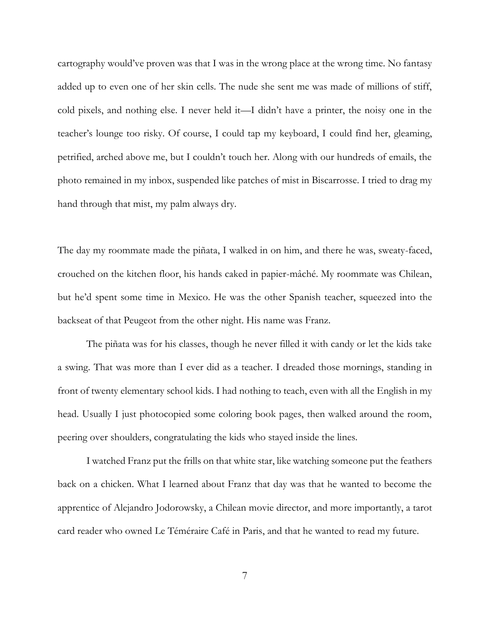cartography would've proven was that I was in the wrong place at the wrong time. No fantasy added up to even one of her skin cells. The nude she sent me was made of millions of stiff, cold pixels, and nothing else. I never held it—I didn't have a printer, the noisy one in the teacher's lounge too risky. Of course, I could tap my keyboard, I could find her, gleaming, petrified, arched above me, but I couldn't touch her. Along with our hundreds of emails, the photo remained in my inbox, suspended like patches of mist in Biscarrosse. I tried to drag my hand through that mist, my palm always dry.

The day my roommate made the piñata, I walked in on him, and there he was, sweaty-faced, crouched on the kitchen floor, his hands caked in papier-mâché. My roommate was Chilean, but he'd spent some time in Mexico. He was the other Spanish teacher, squeezed into the backseat of that Peugeot from the other night. His name was Franz.

The piñata was for his classes, though he never filled it with candy or let the kids take a swing. That was more than I ever did as a teacher. I dreaded those mornings, standing in front of twenty elementary school kids. I had nothing to teach, even with all the English in my head. Usually I just photocopied some coloring book pages, then walked around the room, peering over shoulders, congratulating the kids who stayed inside the lines.

I watched Franz put the frills on that white star, like watching someone put the feathers back on a chicken. What I learned about Franz that day was that he wanted to become the apprentice of Alejandro Jodorowsky, a Chilean movie director, and more importantly, a tarot card reader who owned Le Téméraire Café in Paris, and that he wanted to read my future.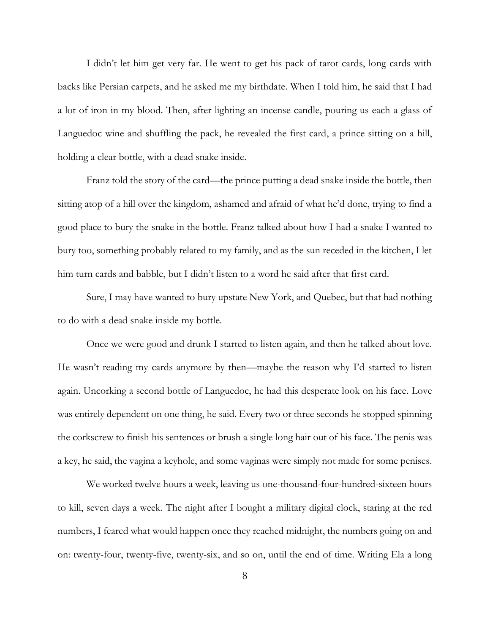I didn't let him get very far. He went to get his pack of tarot cards, long cards with backs like Persian carpets, and he asked me my birthdate. When I told him, he said that I had a lot of iron in my blood. Then, after lighting an incense candle, pouring us each a glass of Languedoc wine and shuffling the pack, he revealed the first card, a prince sitting on a hill, holding a clear bottle, with a dead snake inside.

Franz told the story of the card—the prince putting a dead snake inside the bottle, then sitting atop of a hill over the kingdom, ashamed and afraid of what he'd done, trying to find a good place to bury the snake in the bottle. Franz talked about how I had a snake I wanted to bury too, something probably related to my family, and as the sun receded in the kitchen, I let him turn cards and babble, but I didn't listen to a word he said after that first card.

Sure, I may have wanted to bury upstate New York, and Quebec, but that had nothing to do with a dead snake inside my bottle.

Once we were good and drunk I started to listen again, and then he talked about love. He wasn't reading my cards anymore by then—maybe the reason why I'd started to listen again. Uncorking a second bottle of Languedoc, he had this desperate look on his face. Love was entirely dependent on one thing, he said. Every two or three seconds he stopped spinning the corkscrew to finish his sentences or brush a single long hair out of his face. The penis was a key, he said, the vagina a keyhole, and some vaginas were simply not made for some penises.

We worked twelve hours a week, leaving us one-thousand-four-hundred-sixteen hours to kill, seven days a week. The night after I bought a military digital clock, staring at the red numbers, I feared what would happen once they reached midnight, the numbers going on and on: twenty-four, twenty-five, twenty-six, and so on, until the end of time. Writing Ela a long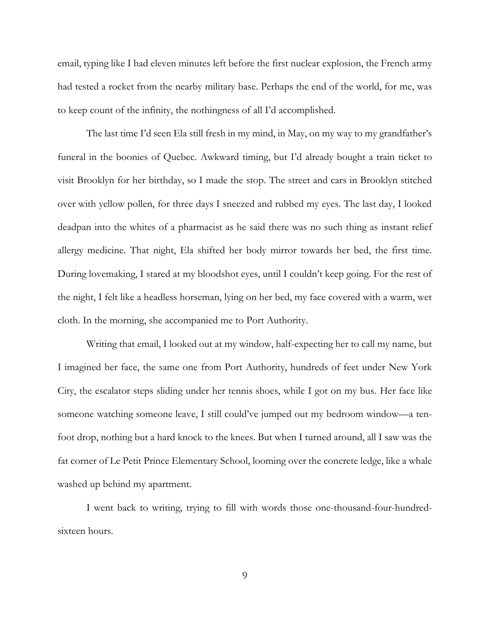email, typing like I had eleven minutes left before the first nuclear explosion, the French army had tested a rocket from the nearby military base. Perhaps the end of the world, for me, was to keep count of the infinity, the nothingness of all I'd accomplished.

The last time I'd seen Ela still fresh in my mind, in May, on my way to my grandfather's funeral in the boonies of Quebec. Awkward timing, but I'd already bought a train ticket to visit Brooklyn for her birthday, so I made the stop. The street and cars in Brooklyn stitched over with yellow pollen, for three days I sneezed and rubbed my eyes. The last day, I looked deadpan into the whites of a pharmacist as he said there was no such thing as instant relief allergy medicine. That night, Ela shifted her body mirror towards her bed, the first time. During lovemaking, I stared at my bloodshot eyes, until I couldn't keep going. For the rest of the night, I felt like a headless horseman, lying on her bed, my face covered with a warm, wet cloth. In the morning, she accompanied me to Port Authority.

Writing that email, I looked out at my window, half-expecting her to call my name, but I imagined her face, the same one from Port Authority, hundreds of feet under New York City, the escalator steps sliding under her tennis shoes, while I got on my bus. Her face like someone watching someone leave, I still could've jumped out my bedroom window—a tenfoot drop, nothing but a hard knock to the knees. But when I turned around, all I saw was the fat corner of Le Petit Prince Elementary School, looming over the concrete ledge, like a whale washed up behind my apartment.

I went back to writing, trying to fill with words those one-thousand-four-hundredsixteen hours.

9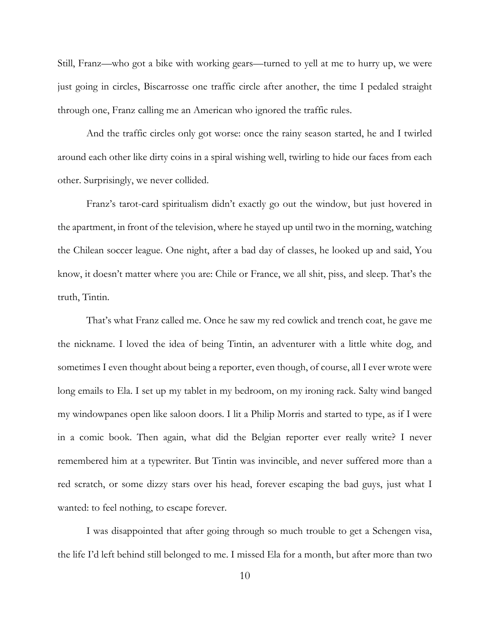Still, Franz—who got a bike with working gears—turned to yell at me to hurry up, we were just going in circles, Biscarrosse one traffic circle after another, the time I pedaled straight through one, Franz calling me an American who ignored the traffic rules.

And the traffic circles only got worse: once the rainy season started, he and I twirled around each other like dirty coins in a spiral wishing well, twirling to hide our faces from each other. Surprisingly, we never collided.

Franz's tarot-card spiritualism didn't exactly go out the window, but just hovered in the apartment, in front of the television, where he stayed up until two in the morning, watching the Chilean soccer league. One night, after a bad day of classes, he looked up and said, You know, it doesn't matter where you are: Chile or France, we all shit, piss, and sleep. That's the truth, Tintin.

That's what Franz called me. Once he saw my red cowlick and trench coat, he gave me the nickname. I loved the idea of being Tintin, an adventurer with a little white dog, and sometimes I even thought about being a reporter, even though, of course, all I ever wrote were long emails to Ela. I set up my tablet in my bedroom, on my ironing rack. Salty wind banged my windowpanes open like saloon doors. I lit a Philip Morris and started to type, as if I were in a comic book. Then again, what did the Belgian reporter ever really write? I never remembered him at a typewriter. But Tintin was invincible, and never suffered more than a red scratch, or some dizzy stars over his head, forever escaping the bad guys, just what I wanted: to feel nothing, to escape forever.

I was disappointed that after going through so much trouble to get a Schengen visa, the life I'd left behind still belonged to me. I missed Ela for a month, but after more than two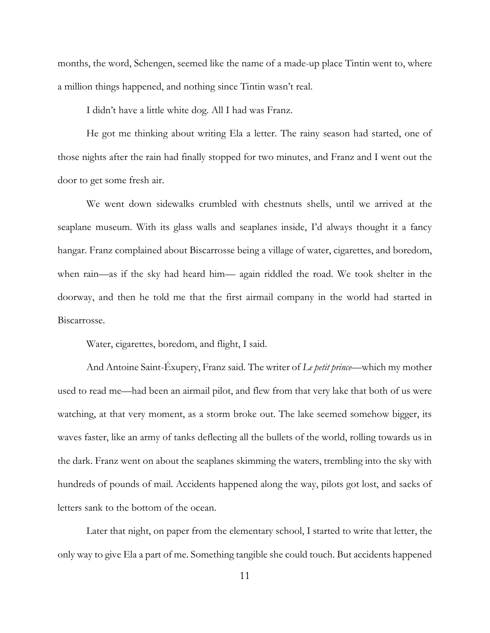months, the word, Schengen, seemed like the name of a made-up place Tintin went to, where a million things happened, and nothing since Tintin wasn't real.

I didn't have a little white dog. All I had was Franz.

He got me thinking about writing Ela a letter. The rainy season had started, one of those nights after the rain had finally stopped for two minutes, and Franz and I went out the door to get some fresh air.

We went down sidewalks crumbled with chestnuts shells, until we arrived at the seaplane museum. With its glass walls and seaplanes inside, I'd always thought it a fancy hangar. Franz complained about Biscarrosse being a village of water, cigarettes, and boredom, when rain—as if the sky had heard him— again riddled the road. We took shelter in the doorway, and then he told me that the first airmail company in the world had started in Biscarrosse.

Water, cigarettes, boredom, and flight, I said.

And Antoine Saint-Éxupery, Franz said. The writer of *Le petit prince*—which my mother used to read me—had been an airmail pilot, and flew from that very lake that both of us were watching, at that very moment, as a storm broke out. The lake seemed somehow bigger, its waves faster, like an army of tanks deflecting all the bullets of the world, rolling towards us in the dark. Franz went on about the seaplanes skimming the waters, trembling into the sky with hundreds of pounds of mail. Accidents happened along the way, pilots got lost, and sacks of letters sank to the bottom of the ocean.

Later that night, on paper from the elementary school, I started to write that letter, the only way to give Ela a part of me. Something tangible she could touch. But accidents happened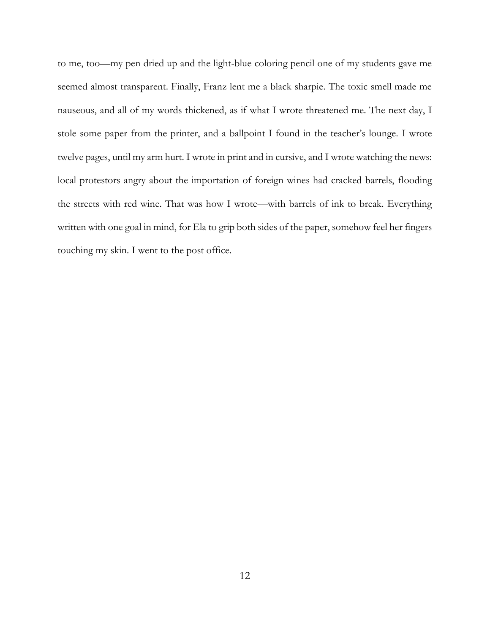to me, too—my pen dried up and the light-blue coloring pencil one of my students gave me seemed almost transparent. Finally, Franz lent me a black sharpie. The toxic smell made me nauseous, and all of my words thickened, as if what I wrote threatened me. The next day, I stole some paper from the printer, and a ballpoint I found in the teacher's lounge. I wrote twelve pages, until my arm hurt. I wrote in print and in cursive, and I wrote watching the news: local protestors angry about the importation of foreign wines had cracked barrels, flooding the streets with red wine. That was how I wrote—with barrels of ink to break. Everything written with one goal in mind, for Ela to grip both sides of the paper, somehow feel her fingers touching my skin. I went to the post office.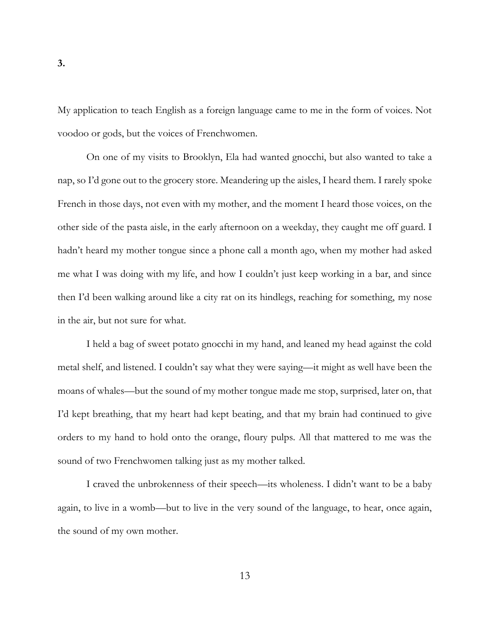My application to teach English as a foreign language came to me in the form of voices. Not voodoo or gods, but the voices of Frenchwomen.

On one of my visits to Brooklyn, Ela had wanted gnocchi, but also wanted to take a nap, so I'd gone out to the grocery store. Meandering up the aisles, I heard them. I rarely spoke French in those days, not even with my mother, and the moment I heard those voices, on the other side of the pasta aisle, in the early afternoon on a weekday, they caught me off guard. I hadn't heard my mother tongue since a phone call a month ago, when my mother had asked me what I was doing with my life, and how I couldn't just keep working in a bar, and since then I'd been walking around like a city rat on its hindlegs, reaching for something, my nose in the air, but not sure for what.

I held a bag of sweet potato gnocchi in my hand, and leaned my head against the cold metal shelf, and listened. I couldn't say what they were saying—it might as well have been the moans of whales—but the sound of my mother tongue made me stop, surprised, later on, that I'd kept breathing, that my heart had kept beating, and that my brain had continued to give orders to my hand to hold onto the orange, floury pulps. All that mattered to me was the sound of two Frenchwomen talking just as my mother talked.

I craved the unbrokenness of their speech—its wholeness. I didn't want to be a baby again, to live in a womb—but to live in the very sound of the language, to hear, once again, the sound of my own mother.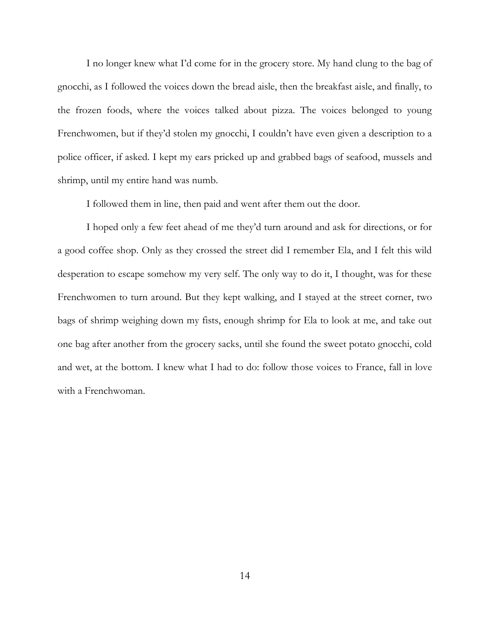I no longer knew what I'd come for in the grocery store. My hand clung to the bag of gnocchi, as I followed the voices down the bread aisle, then the breakfast aisle, and finally, to the frozen foods, where the voices talked about pizza. The voices belonged to young Frenchwomen, but if they'd stolen my gnocchi, I couldn't have even given a description to a police officer, if asked. I kept my ears pricked up and grabbed bags of seafood, mussels and shrimp, until my entire hand was numb.

I followed them in line, then paid and went after them out the door.

I hoped only a few feet ahead of me they'd turn around and ask for directions, or for a good coffee shop. Only as they crossed the street did I remember Ela, and I felt this wild desperation to escape somehow my very self. The only way to do it, I thought, was for these Frenchwomen to turn around. But they kept walking, and I stayed at the street corner, two bags of shrimp weighing down my fists, enough shrimp for Ela to look at me, and take out one bag after another from the grocery sacks, until she found the sweet potato gnocchi, cold and wet, at the bottom. I knew what I had to do: follow those voices to France, fall in love with a Frenchwoman.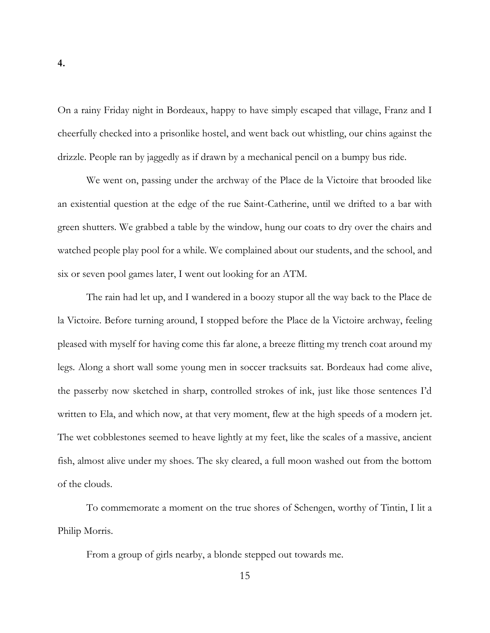On a rainy Friday night in Bordeaux, happy to have simply escaped that village, Franz and I cheerfully checked into a prisonlike hostel, and went back out whistling, our chins against the drizzle. People ran by jaggedly as if drawn by a mechanical pencil on a bumpy bus ride.

We went on, passing under the archway of the Place de la Victoire that brooded like an existential question at the edge of the rue Saint-Catherine, until we drifted to a bar with green shutters. We grabbed a table by the window, hung our coats to dry over the chairs and watched people play pool for a while. We complained about our students, and the school, and six or seven pool games later, I went out looking for an ATM.

The rain had let up, and I wandered in a boozy stupor all the way back to the Place de la Victoire. Before turning around, I stopped before the Place de la Victoire archway, feeling pleased with myself for having come this far alone, a breeze flitting my trench coat around my legs. Along a short wall some young men in soccer tracksuits sat. Bordeaux had come alive, the passerby now sketched in sharp, controlled strokes of ink, just like those sentences I'd written to Ela, and which now, at that very moment, flew at the high speeds of a modern jet. The wet cobblestones seemed to heave lightly at my feet, like the scales of a massive, ancient fish, almost alive under my shoes. The sky cleared, a full moon washed out from the bottom of the clouds.

To commemorate a moment on the true shores of Schengen, worthy of Tintin, I lit a Philip Morris.

From a group of girls nearby, a blonde stepped out towards me.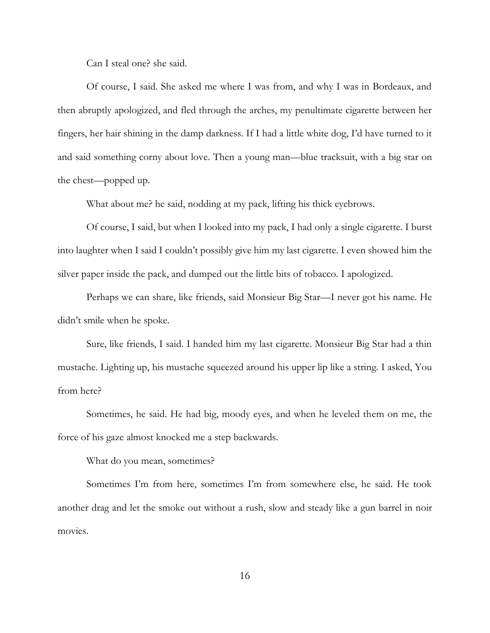Can I steal one? she said.

Of course, I said. She asked me where I was from, and why I was in Bordeaux, and then abruptly apologized, and fled through the arches, my penultimate cigarette between her fingers, her hair shining in the damp darkness. If I had a little white dog, I'd have turned to it and said something corny about love. Then a young man—blue tracksuit, with a big star on the chest—popped up.

What about me? he said, nodding at my pack, lifting his thick eyebrows.

Of course, I said, but when I looked into my pack, I had only a single cigarette. I burst into laughter when I said I couldn't possibly give him my last cigarette. I even showed him the silver paper inside the pack, and dumped out the little bits of tobacco. I apologized.

Perhaps we can share, like friends, said Monsieur Big Star—I never got his name. He didn't smile when he spoke.

Sure, like friends, I said. I handed him my last cigarette. Monsieur Big Star had a thin mustache. Lighting up, his mustache squeezed around his upper lip like a string. I asked, You from here?

Sometimes, he said. He had big, moody eyes, and when he leveled them on me, the force of his gaze almost knocked me a step backwards.

What do you mean, sometimes?

Sometimes I'm from here, sometimes I'm from somewhere else, he said. He took another drag and let the smoke out without a rush, slow and steady like a gun barrel in noir movies.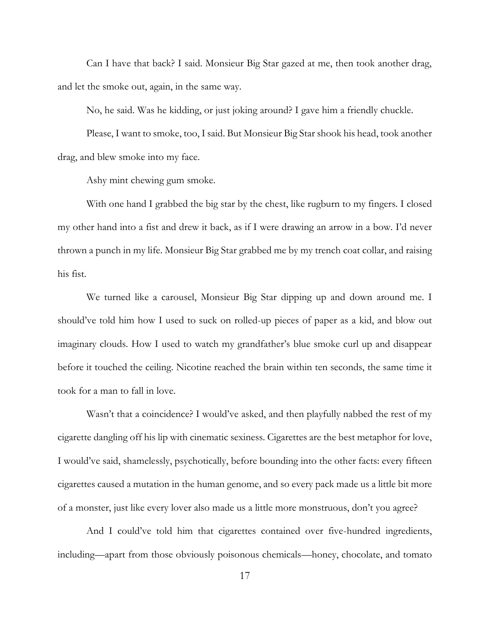Can I have that back? I said. Monsieur Big Star gazed at me, then took another drag, and let the smoke out, again, in the same way.

No, he said. Was he kidding, or just joking around? I gave him a friendly chuckle.

Please, I want to smoke, too, I said. But Monsieur Big Star shook his head, took another drag, and blew smoke into my face.

Ashy mint chewing gum smoke.

With one hand I grabbed the big star by the chest, like rugburn to my fingers. I closed my other hand into a fist and drew it back, as if I were drawing an arrow in a bow. I'd never thrown a punch in my life. Monsieur Big Star grabbed me by my trench coat collar, and raising his fist.

We turned like a carousel, Monsieur Big Star dipping up and down around me. I should've told him how I used to suck on rolled-up pieces of paper as a kid, and blow out imaginary clouds. How I used to watch my grandfather's blue smoke curl up and disappear before it touched the ceiling. Nicotine reached the brain within ten seconds, the same time it took for a man to fall in love.

Wasn't that a coincidence? I would've asked, and then playfully nabbed the rest of my cigarette dangling off his lip with cinematic sexiness. Cigarettes are the best metaphor for love, I would've said, shamelessly, psychotically, before bounding into the other facts: every fifteen cigarettes caused a mutation in the human genome, and so every pack made us a little bit more of a monster, just like every lover also made us a little more monstruous, don't you agree?

And I could've told him that cigarettes contained over five-hundred ingredients, including—apart from those obviously poisonous chemicals—honey, chocolate, and tomato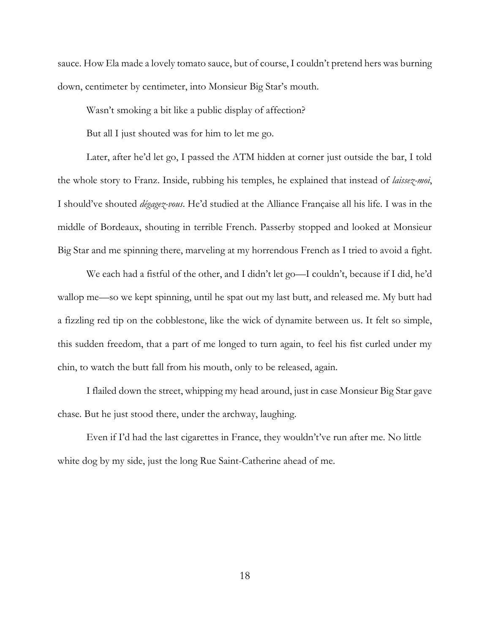sauce. How Ela made a lovely tomato sauce, but of course, I couldn't pretend hers was burning down, centimeter by centimeter, into Monsieur Big Star's mouth.

Wasn't smoking a bit like a public display of affection?

But all I just shouted was for him to let me go.

Later, after he'd let go, I passed the ATM hidden at corner just outside the bar, I told the whole story to Franz. Inside, rubbing his temples, he explained that instead of *laissez-moi*, I should've shouted *dégagez-vous*. He'd studied at the Alliance Française all his life. I was in the middle of Bordeaux, shouting in terrible French. Passerby stopped and looked at Monsieur Big Star and me spinning there, marveling at my horrendous French as I tried to avoid a fight.

We each had a fistful of the other, and I didn't let go—I couldn't, because if I did, he'd wallop me—so we kept spinning, until he spat out my last butt, and released me. My butt had a fizzling red tip on the cobblestone, like the wick of dynamite between us. It felt so simple, this sudden freedom, that a part of me longed to turn again, to feel his fist curled under my chin, to watch the butt fall from his mouth, only to be released, again.

I flailed down the street, whipping my head around, just in case Monsieur Big Star gave chase. But he just stood there, under the archway, laughing.

Even if I'd had the last cigarettes in France, they wouldn't've run after me. No little white dog by my side, just the long Rue Saint-Catherine ahead of me.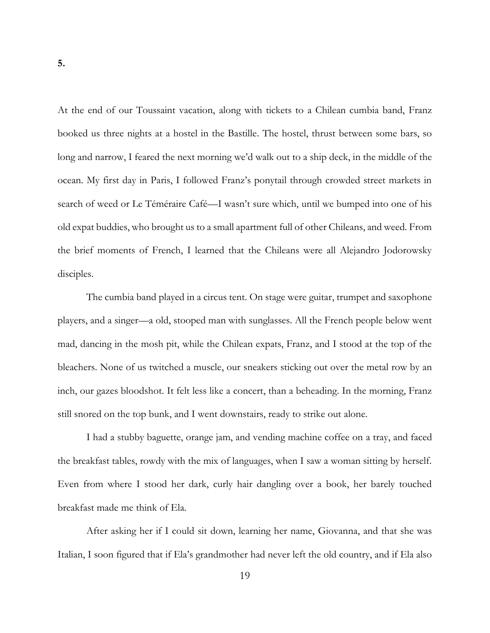At the end of our Toussaint vacation, along with tickets to a Chilean cumbia band, Franz booked us three nights at a hostel in the Bastille. The hostel, thrust between some bars, so long and narrow, I feared the next morning we'd walk out to a ship deck, in the middle of the ocean. My first day in Paris, I followed Franz's ponytail through crowded street markets in search of weed or Le Téméraire Café—I wasn't sure which, until we bumped into one of his old expat buddies, who brought us to a small apartment full of other Chileans, and weed. From the brief moments of French, I learned that the Chileans were all Alejandro Jodorowsky disciples.

The cumbia band played in a circus tent. On stage were guitar, trumpet and saxophone players, and a singer—a old, stooped man with sunglasses. All the French people below went mad, dancing in the mosh pit, while the Chilean expats, Franz, and I stood at the top of the bleachers. None of us twitched a muscle, our sneakers sticking out over the metal row by an inch, our gazes bloodshot. It felt less like a concert, than a beheading. In the morning, Franz still snored on the top bunk, and I went downstairs, ready to strike out alone.

I had a stubby baguette, orange jam, and vending machine coffee on a tray, and faced the breakfast tables, rowdy with the mix of languages, when I saw a woman sitting by herself. Even from where I stood her dark, curly hair dangling over a book, her barely touched breakfast made me think of Ela.

After asking her if I could sit down, learning her name, Giovanna, and that she was Italian, I soon figured that if Ela's grandmother had never left the old country, and if Ela also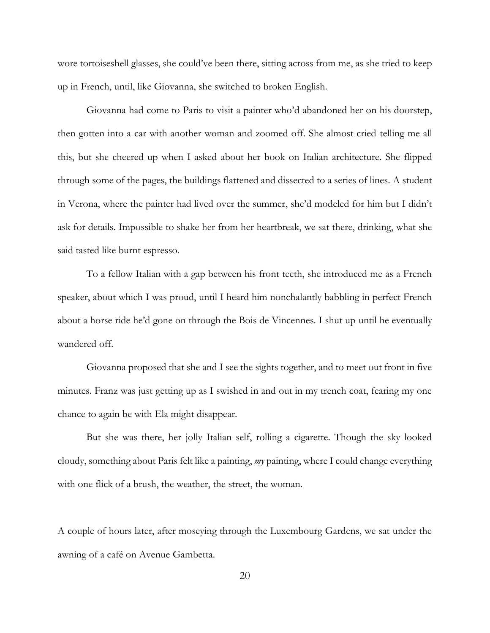wore tortoiseshell glasses, she could've been there, sitting across from me, as she tried to keep up in French, until, like Giovanna, she switched to broken English.

Giovanna had come to Paris to visit a painter who'd abandoned her on his doorstep, then gotten into a car with another woman and zoomed off. She almost cried telling me all this, but she cheered up when I asked about her book on Italian architecture. She flipped through some of the pages, the buildings flattened and dissected to a series of lines. A student in Verona, where the painter had lived over the summer, she'd modeled for him but I didn't ask for details. Impossible to shake her from her heartbreak, we sat there, drinking, what she said tasted like burnt espresso.

To a fellow Italian with a gap between his front teeth, she introduced me as a French speaker, about which I was proud, until I heard him nonchalantly babbling in perfect French about a horse ride he'd gone on through the Bois de Vincennes. I shut up until he eventually wandered off.

Giovanna proposed that she and I see the sights together, and to meet out front in five minutes. Franz was just getting up as I swished in and out in my trench coat, fearing my one chance to again be with Ela might disappear.

But she was there, her jolly Italian self, rolling a cigarette. Though the sky looked cloudy, something about Paris felt like a painting, *my* painting, where I could change everything with one flick of a brush, the weather, the street, the woman.

A couple of hours later, after moseying through the Luxembourg Gardens, we sat under the awning of a café on Avenue Gambetta.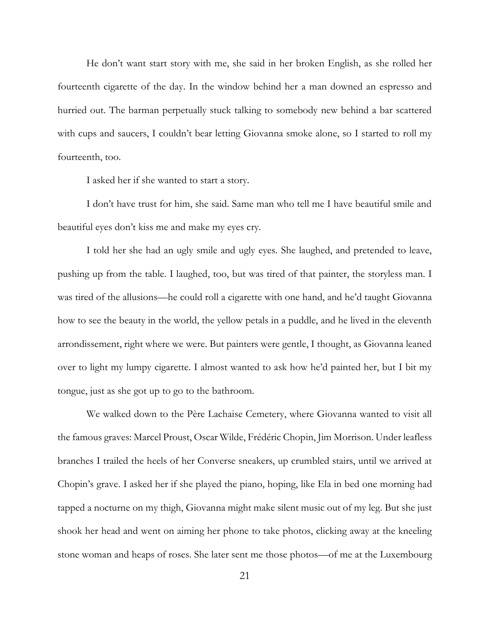He don't want start story with me, she said in her broken English, as she rolled her fourteenth cigarette of the day. In the window behind her a man downed an espresso and hurried out. The barman perpetually stuck talking to somebody new behind a bar scattered with cups and saucers, I couldn't bear letting Giovanna smoke alone, so I started to roll my fourteenth, too.

I asked her if she wanted to start a story.

I don't have trust for him, she said. Same man who tell me I have beautiful smile and beautiful eyes don't kiss me and make my eyes cry.

I told her she had an ugly smile and ugly eyes. She laughed, and pretended to leave, pushing up from the table. I laughed, too, but was tired of that painter, the storyless man. I was tired of the allusions—he could roll a cigarette with one hand, and he'd taught Giovanna how to see the beauty in the world, the yellow petals in a puddle, and he lived in the eleventh arrondissement, right where we were. But painters were gentle, I thought, as Giovanna leaned over to light my lumpy cigarette. I almost wanted to ask how he'd painted her, but I bit my tongue, just as she got up to go to the bathroom.

We walked down to the Père Lachaise Cemetery, where Giovanna wanted to visit all the famous graves: Marcel Proust, Oscar Wilde, Frédéric Chopin, Jim Morrison. Under leafless branches I trailed the heels of her Converse sneakers, up crumbled stairs, until we arrived at Chopin's grave. I asked her if she played the piano, hoping, like Ela in bed one morning had tapped a nocturne on my thigh, Giovanna might make silent music out of my leg. But she just shook her head and went on aiming her phone to take photos, clicking away at the kneeling stone woman and heaps of roses. She later sent me those photos—of me at the Luxembourg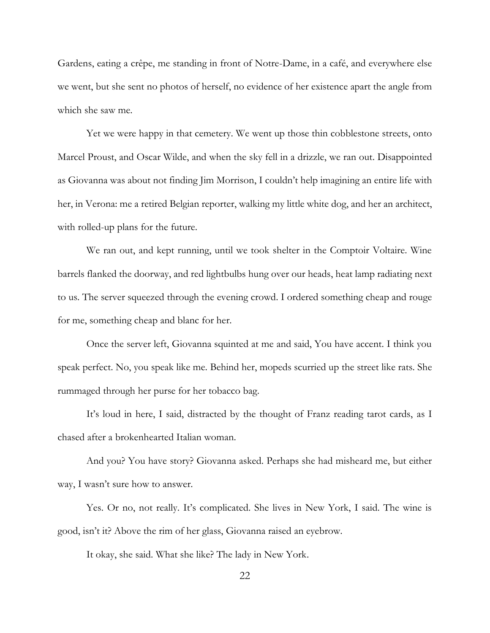Gardens, eating a crêpe, me standing in front of Notre-Dame, in a café, and everywhere else we went, but she sent no photos of herself, no evidence of her existence apart the angle from which she saw me.

Yet we were happy in that cemetery. We went up those thin cobblestone streets, onto Marcel Proust, and Oscar Wilde, and when the sky fell in a drizzle, we ran out. Disappointed as Giovanna was about not finding Jim Morrison, I couldn't help imagining an entire life with her, in Verona: me a retired Belgian reporter, walking my little white dog, and her an architect, with rolled-up plans for the future.

We ran out, and kept running, until we took shelter in the Comptoir Voltaire. Wine barrels flanked the doorway, and red lightbulbs hung over our heads, heat lamp radiating next to us. The server squeezed through the evening crowd. I ordered something cheap and rouge for me, something cheap and blanc for her.

Once the server left, Giovanna squinted at me and said, You have accent. I think you speak perfect. No, you speak like me. Behind her, mopeds scurried up the street like rats. She rummaged through her purse for her tobacco bag.

It's loud in here, I said, distracted by the thought of Franz reading tarot cards, as I chased after a brokenhearted Italian woman.

And you? You have story? Giovanna asked. Perhaps she had misheard me, but either way, I wasn't sure how to answer.

Yes. Or no, not really. It's complicated. She lives in New York, I said. The wine is good, isn't it? Above the rim of her glass, Giovanna raised an eyebrow.

It okay, she said. What she like? The lady in New York.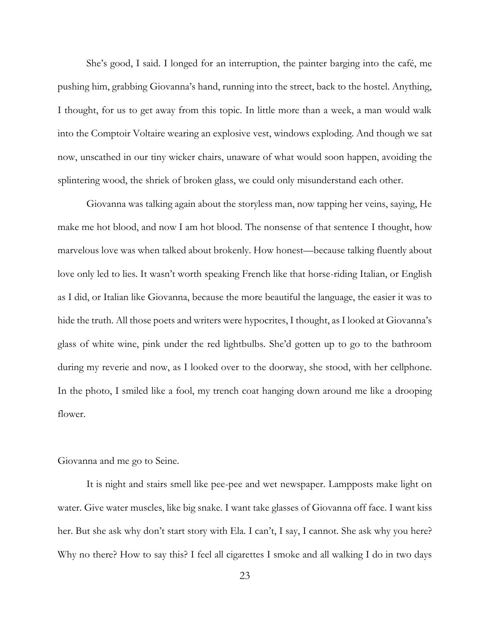She's good, I said. I longed for an interruption, the painter barging into the café, me pushing him, grabbing Giovanna's hand, running into the street, back to the hostel. Anything, I thought, for us to get away from this topic. In little more than a week, a man would walk into the Comptoir Voltaire wearing an explosive vest, windows exploding. And though we sat now, unscathed in our tiny wicker chairs, unaware of what would soon happen, avoiding the splintering wood, the shriek of broken glass, we could only misunderstand each other.

Giovanna was talking again about the storyless man, now tapping her veins, saying, He make me hot blood, and now I am hot blood. The nonsense of that sentence I thought, how marvelous love was when talked about brokenly. How honest—because talking fluently about love only led to lies. It wasn't worth speaking French like that horse-riding Italian, or English as I did, or Italian like Giovanna, because the more beautiful the language, the easier it was to hide the truth. All those poets and writers were hypocrites, I thought, as I looked at Giovanna's glass of white wine, pink under the red lightbulbs. She'd gotten up to go to the bathroom during my reverie and now, as I looked over to the doorway, she stood, with her cellphone. In the photo, I smiled like a fool, my trench coat hanging down around me like a drooping flower.

## Giovanna and me go to Seine.

It is night and stairs smell like pee-pee and wet newspaper. Lampposts make light on water. Give water muscles, like big snake. I want take glasses of Giovanna off face. I want kiss her. But she ask why don't start story with Ela. I can't, I say, I cannot. She ask why you here? Why no there? How to say this? I feel all cigarettes I smoke and all walking I do in two days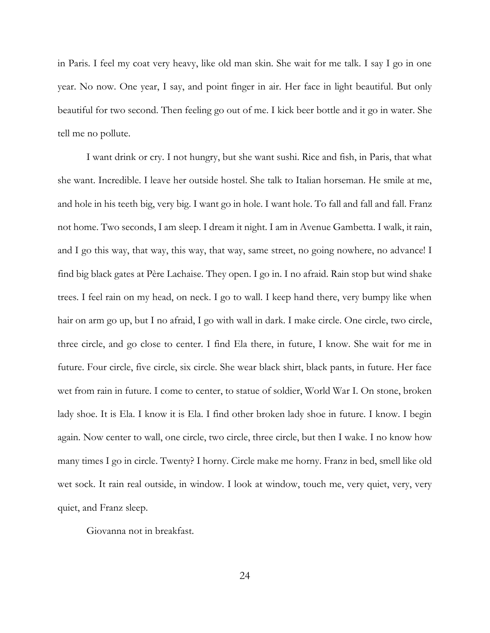in Paris. I feel my coat very heavy, like old man skin. She wait for me talk. I say I go in one year. No now. One year, I say, and point finger in air. Her face in light beautiful. But only beautiful for two second. Then feeling go out of me. I kick beer bottle and it go in water. She tell me no pollute.

I want drink or cry. I not hungry, but she want sushi. Rice and fish, in Paris, that what she want. Incredible. I leave her outside hostel. She talk to Italian horseman. He smile at me, and hole in his teeth big, very big. I want go in hole. I want hole. To fall and fall and fall. Franz not home. Two seconds, I am sleep. I dream it night. I am in Avenue Gambetta. I walk, it rain, and I go this way, that way, this way, that way, same street, no going nowhere, no advance! I find big black gates at Père Lachaise. They open. I go in. I no afraid. Rain stop but wind shake trees. I feel rain on my head, on neck. I go to wall. I keep hand there, very bumpy like when hair on arm go up, but I no afraid, I go with wall in dark. I make circle. One circle, two circle, three circle, and go close to center. I find Ela there, in future, I know. She wait for me in future. Four circle, five circle, six circle. She wear black shirt, black pants, in future. Her face wet from rain in future. I come to center, to statue of soldier, World War I. On stone, broken lady shoe. It is Ela. I know it is Ela. I find other broken lady shoe in future. I know. I begin again. Now center to wall, one circle, two circle, three circle, but then I wake. I no know how many times I go in circle. Twenty? I horny. Circle make me horny. Franz in bed, smell like old wet sock. It rain real outside, in window. I look at window, touch me, very quiet, very, very quiet, and Franz sleep.

Giovanna not in breakfast.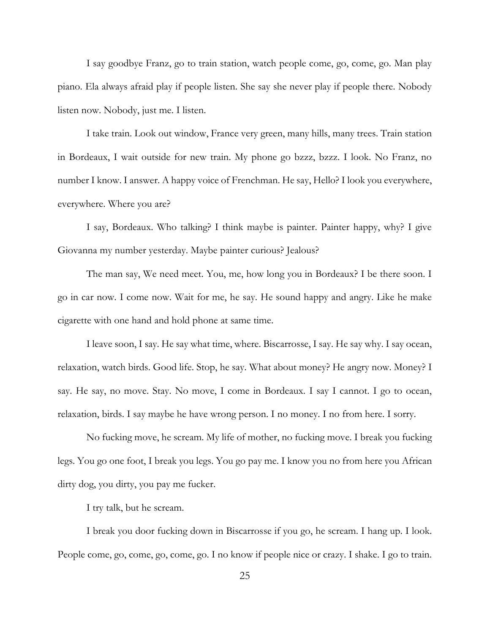I say goodbye Franz, go to train station, watch people come, go, come, go. Man play piano. Ela always afraid play if people listen. She say she never play if people there. Nobody listen now. Nobody, just me. I listen.

I take train. Look out window, France very green, many hills, many trees. Train station in Bordeaux, I wait outside for new train. My phone go bzzz, bzzz. I look. No Franz, no number I know. I answer. A happy voice of Frenchman. He say, Hello? I look you everywhere, everywhere. Where you are?

I say, Bordeaux. Who talking? I think maybe is painter. Painter happy, why? I give Giovanna my number yesterday. Maybe painter curious? Jealous?

The man say, We need meet. You, me, how long you in Bordeaux? I be there soon. I go in car now. I come now. Wait for me, he say. He sound happy and angry. Like he make cigarette with one hand and hold phone at same time.

I leave soon, I say. He say what time, where. Biscarrosse, I say. He say why. I say ocean, relaxation, watch birds. Good life. Stop, he say. What about money? He angry now. Money? I say. He say, no move. Stay. No move, I come in Bordeaux. I say I cannot. I go to ocean, relaxation, birds. I say maybe he have wrong person. I no money. I no from here. I sorry.

No fucking move, he scream. My life of mother, no fucking move. I break you fucking legs. You go one foot, I break you legs. You go pay me. I know you no from here you African dirty dog, you dirty, you pay me fucker.

I try talk, but he scream.

I break you door fucking down in Biscarrosse if you go, he scream. I hang up. I look. People come, go, come, go, come, go. I no know if people nice or crazy. I shake. I go to train.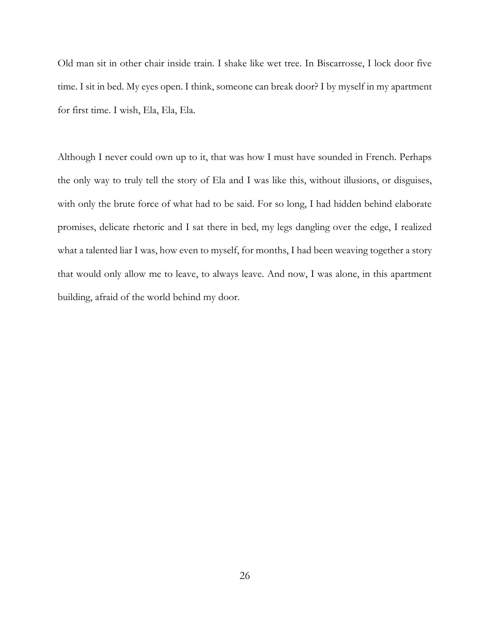Old man sit in other chair inside train. I shake like wet tree. In Biscarrosse, I lock door five time. I sit in bed. My eyes open. I think, someone can break door? I by myself in my apartment for first time. I wish, Ela, Ela, Ela.

Although I never could own up to it, that was how I must have sounded in French. Perhaps the only way to truly tell the story of Ela and I was like this, without illusions, or disguises, with only the brute force of what had to be said. For so long, I had hidden behind elaborate promises, delicate rhetoric and I sat there in bed, my legs dangling over the edge, I realized what a talented liar I was, how even to myself, for months, I had been weaving together a story that would only allow me to leave, to always leave. And now, I was alone, in this apartment building, afraid of the world behind my door.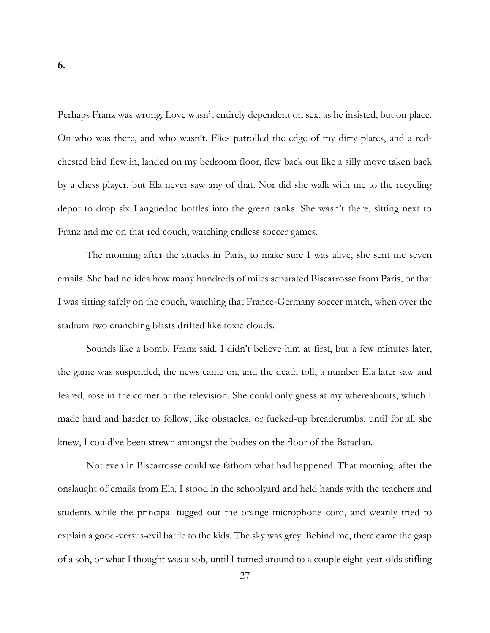Perhaps Franz was wrong. Love wasn't entirely dependent on sex, as he insisted, but on place. On who was there, and who wasn't. Flies patrolled the edge of my dirty plates, and a redchested bird flew in, landed on my bedroom floor, flew back out like a silly move taken back by a chess player, but Ela never saw any of that. Nor did she walk with me to the recycling depot to drop six Languedoc bottles into the green tanks. She wasn't there, sitting next to Franz and me on that red couch, watching endless soccer games.

The morning after the attacks in Paris, to make sure I was alive, she sent me seven emails. She had no idea how many hundreds of miles separated Biscarrosse from Paris, or that I was sitting safely on the couch, watching that France-Germany soccer match, when over the stadium two crunching blasts drifted like toxic clouds.

Sounds like a bomb, Franz said. I didn't believe him at first, but a few minutes later, the game was suspended, the news came on, and the death toll, a number Ela later saw and feared, rose in the corner of the television. She could only guess at my whereabouts, which I made hard and harder to follow, like obstacles, or fucked-up breadcrumbs, until for all she knew, I could've been strewn amongst the bodies on the floor of the Bataclan.

Not even in Biscarrosse could we fathom what had happened. That morning, after the onslaught of emails from Ela, I stood in the schoolyard and held hands with the teachers and students while the principal tugged out the orange microphone cord, and wearily tried to explain a good-versus-evil battle to the kids. The sky was grey. Behind me, there came the gasp of a sob, or what I thought was a sob, until I turned around to a couple eight-year-olds stifling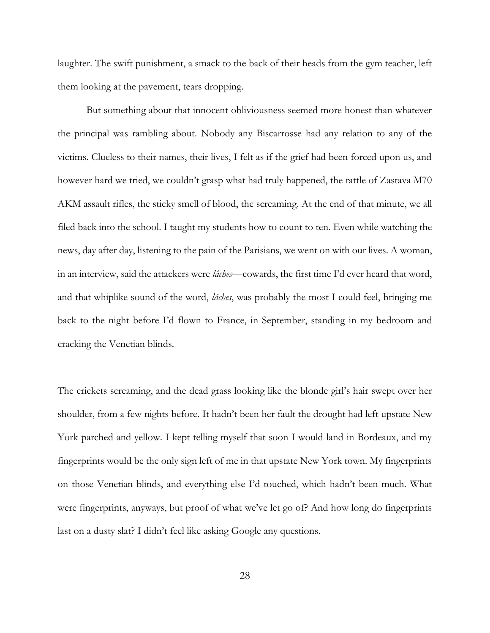laughter. The swift punishment, a smack to the back of their heads from the gym teacher, left them looking at the pavement, tears dropping.

But something about that innocent obliviousness seemed more honest than whatever the principal was rambling about. Nobody any Biscarrosse had any relation to any of the victims. Clueless to their names, their lives, I felt as if the grief had been forced upon us, and however hard we tried, we couldn't grasp what had truly happened, the rattle of Zastava M70 AKM assault rifles, the sticky smell of blood, the screaming. At the end of that minute, we all filed back into the school. I taught my students how to count to ten. Even while watching the news, day after day, listening to the pain of the Parisians, we went on with our lives. A woman, in an interview, said the attackers were *lâches*—cowards, the first time I'd ever heard that word, and that whiplike sound of the word, *lâches*, was probably the most I could feel, bringing me back to the night before I'd flown to France, in September, standing in my bedroom and cracking the Venetian blinds.

The crickets screaming, and the dead grass looking like the blonde girl's hair swept over her shoulder, from a few nights before. It hadn't been her fault the drought had left upstate New York parched and yellow. I kept telling myself that soon I would land in Bordeaux, and my fingerprints would be the only sign left of me in that upstate New York town. My fingerprints on those Venetian blinds, and everything else I'd touched, which hadn't been much. What were fingerprints, anyways, but proof of what we've let go of? And how long do fingerprints last on a dusty slat? I didn't feel like asking Google any questions.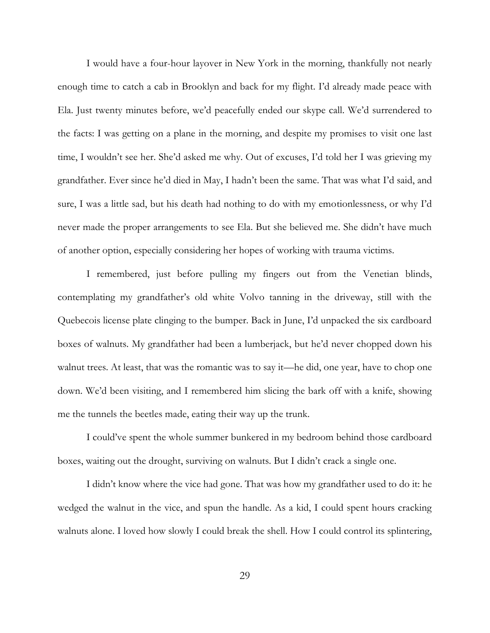I would have a four-hour layover in New York in the morning, thankfully not nearly enough time to catch a cab in Brooklyn and back for my flight. I'd already made peace with Ela. Just twenty minutes before, we'd peacefully ended our skype call. We'd surrendered to the facts: I was getting on a plane in the morning, and despite my promises to visit one last time, I wouldn't see her. She'd asked me why. Out of excuses, I'd told her I was grieving my grandfather. Ever since he'd died in May, I hadn't been the same. That was what I'd said, and sure, I was a little sad, but his death had nothing to do with my emotionlessness, or why I'd never made the proper arrangements to see Ela. But she believed me. She didn't have much of another option, especially considering her hopes of working with trauma victims.

I remembered, just before pulling my fingers out from the Venetian blinds, contemplating my grandfather's old white Volvo tanning in the driveway, still with the Quebecois license plate clinging to the bumper. Back in June, I'd unpacked the six cardboard boxes of walnuts. My grandfather had been a lumberjack, but he'd never chopped down his walnut trees. At least, that was the romantic was to say it—he did, one year, have to chop one down. We'd been visiting, and I remembered him slicing the bark off with a knife, showing me the tunnels the beetles made, eating their way up the trunk.

I could've spent the whole summer bunkered in my bedroom behind those cardboard boxes, waiting out the drought, surviving on walnuts. But I didn't crack a single one.

I didn't know where the vice had gone. That was how my grandfather used to do it: he wedged the walnut in the vice, and spun the handle. As a kid, I could spent hours cracking walnuts alone. I loved how slowly I could break the shell. How I could control its splintering,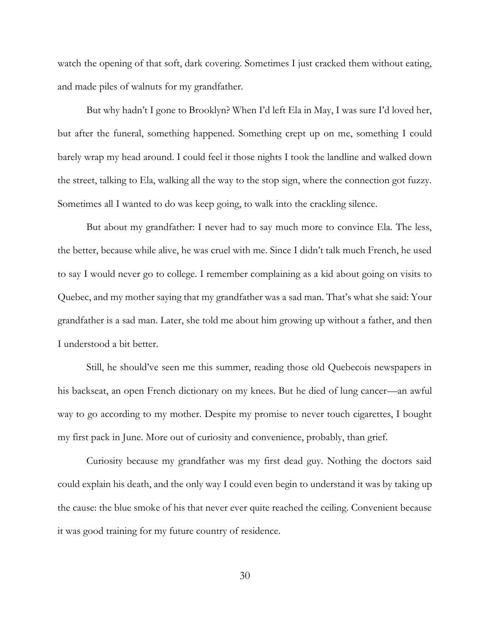watch the opening of that soft, dark covering. Sometimes I just cracked them without eating, and made piles of walnuts for my grandfather.

But why hadn't I gone to Brooklyn? When I'd left Ela in May, I was sure I'd loved her, but after the funeral, something happened. Something crept up on me, something I could barely wrap my head around. I could feel it those nights I took the landline and walked down the street, talking to Ela, walking all the way to the stop sign, where the connection got fuzzy. Sometimes all I wanted to do was keep going, to walk into the crackling silence.

But about my grandfather: I never had to say much more to convince Ela. The less, the better, because while alive, he was cruel with me. Since I didn't talk much French, he used to say I would never go to college. I remember complaining as a kid about going on visits to Quebec, and my mother saying that my grandfather was a sad man. That's what she said: Your grandfather is a sad man. Later, she told me about him growing up without a father, and then I understood a bit better.

Still, he should've seen me this summer, reading those old Quebecois newspapers in his backseat, an open French dictionary on my knees. But he died of lung cancer—an awful way to go according to my mother. Despite my promise to never touch cigarettes, I bought my first pack in June. More out of curiosity and convenience, probably, than grief.

Curiosity because my grandfather was my first dead guy. Nothing the doctors said could explain his death, and the only way I could even begin to understand it was by taking up the cause: the blue smoke of his that never ever quite reached the ceiling. Convenient because it was good training for my future country of residence.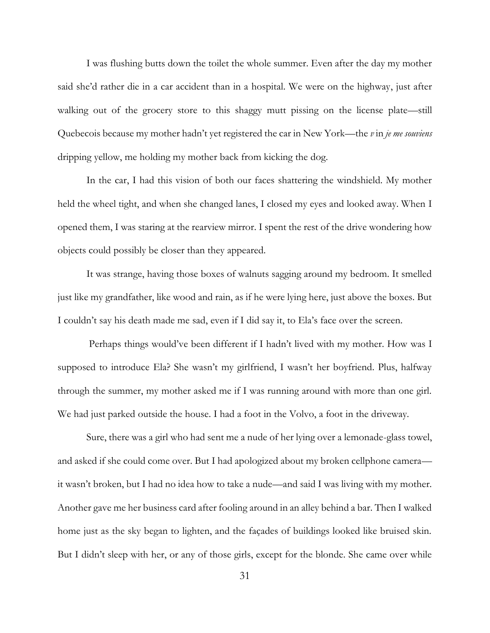I was flushing butts down the toilet the whole summer. Even after the day my mother said she'd rather die in a car accident than in a hospital. We were on the highway, just after walking out of the grocery store to this shaggy mutt pissing on the license plate—still Quebecois because my mother hadn't yet registered the car in New York—the *v* in *je me souviens* dripping yellow, me holding my mother back from kicking the dog.

In the car, I had this vision of both our faces shattering the windshield. My mother held the wheel tight, and when she changed lanes, I closed my eyes and looked away. When I opened them, I was staring at the rearview mirror. I spent the rest of the drive wondering how objects could possibly be closer than they appeared.

It was strange, having those boxes of walnuts sagging around my bedroom. It smelled just like my grandfather, like wood and rain, as if he were lying here, just above the boxes. But I couldn't say his death made me sad, even if I did say it, to Ela's face over the screen.

Perhaps things would've been different if I hadn't lived with my mother. How was I supposed to introduce Ela? She wasn't my girlfriend, I wasn't her boyfriend. Plus, halfway through the summer, my mother asked me if I was running around with more than one girl. We had just parked outside the house. I had a foot in the Volvo, a foot in the driveway.

Sure, there was a girl who had sent me a nude of her lying over a lemonade-glass towel, and asked if she could come over. But I had apologized about my broken cellphone camera it wasn't broken, but I had no idea how to take a nude—and said I was living with my mother. Another gave me her business card after fooling around in an alley behind a bar. Then I walked home just as the sky began to lighten, and the façades of buildings looked like bruised skin. But I didn't sleep with her, or any of those girls, except for the blonde. She came over while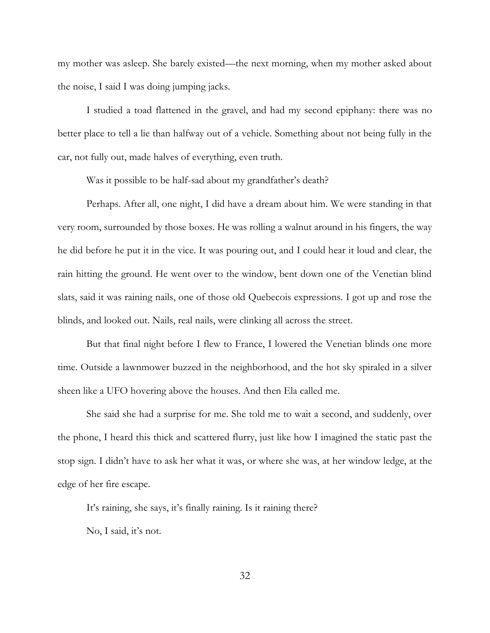my mother was asleep. She barely existed—the next morning, when my mother asked about the noise, I said I was doing jumping jacks.

I studied a toad flattened in the gravel, and had my second epiphany: there was no better place to tell a lie than halfway out of a vehicle. Something about not being fully in the car, not fully out, made halves of everything, even truth.

Was it possible to be half-sad about my grandfather's death?

Perhaps. After all, one night, I did have a dream about him. We were standing in that very room, surrounded by those boxes. He was rolling a walnut around in his fingers, the way he did before he put it in the vice. It was pouring out, and I could hear it loud and clear, the rain hitting the ground. He went over to the window, bent down one of the Venetian blind slats, said it was raining nails, one of those old Quebecois expressions. I got up and rose the blinds, and looked out. Nails, real nails, were clinking all across the street.

But that final night before I flew to France, I lowered the Venetian blinds one more time. Outside a lawnmower buzzed in the neighborhood, and the hot sky spiraled in a silver sheen like a UFO hovering above the houses. And then Ela called me.

She said she had a surprise for me. She told me to wait a second, and suddenly, over the phone, I heard this thick and scattered flurry, just like how I imagined the static past the stop sign. I didn't have to ask her what it was, or where she was, at her window ledge, at the edge of her fire escape.

It's raining, she says, it's finally raining. Is it raining there?

No, I said, it's not.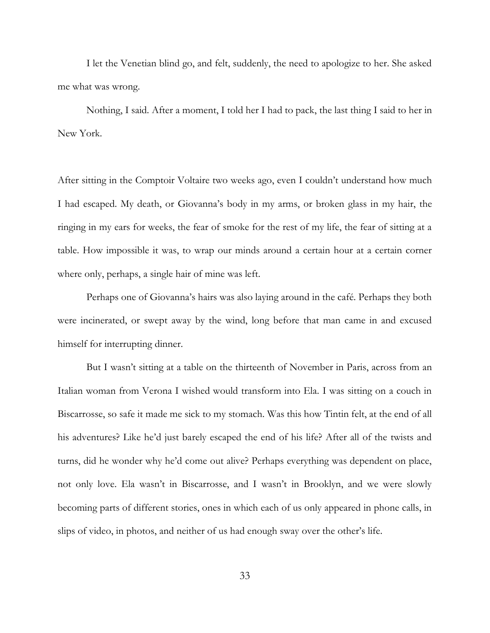I let the Venetian blind go, and felt, suddenly, the need to apologize to her. She asked me what was wrong.

Nothing, I said. After a moment, I told her I had to pack, the last thing I said to her in New York.

After sitting in the Comptoir Voltaire two weeks ago, even I couldn't understand how much I had escaped. My death, or Giovanna's body in my arms, or broken glass in my hair, the ringing in my ears for weeks, the fear of smoke for the rest of my life, the fear of sitting at a table. How impossible it was, to wrap our minds around a certain hour at a certain corner where only, perhaps, a single hair of mine was left.

Perhaps one of Giovanna's hairs was also laying around in the café. Perhaps they both were incinerated, or swept away by the wind, long before that man came in and excused himself for interrupting dinner.

But I wasn't sitting at a table on the thirteenth of November in Paris, across from an Italian woman from Verona I wished would transform into Ela. I was sitting on a couch in Biscarrosse, so safe it made me sick to my stomach. Was this how Tintin felt, at the end of all his adventures? Like he'd just barely escaped the end of his life? After all of the twists and turns, did he wonder why he'd come out alive? Perhaps everything was dependent on place, not only love. Ela wasn't in Biscarrosse, and I wasn't in Brooklyn, and we were slowly becoming parts of different stories, ones in which each of us only appeared in phone calls, in slips of video, in photos, and neither of us had enough sway over the other's life.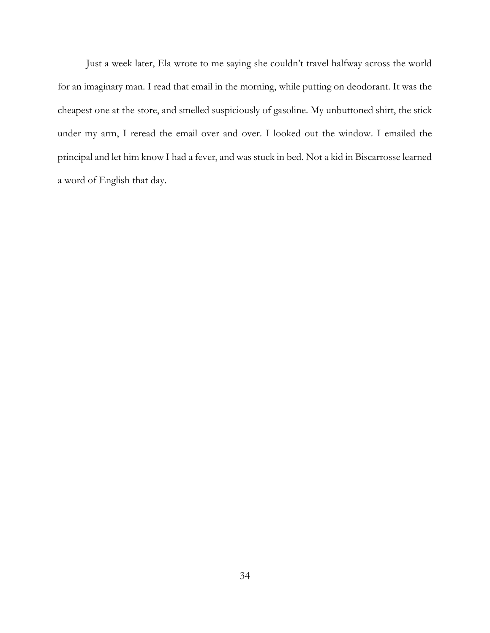Just a week later, Ela wrote to me saying she couldn't travel halfway across the world for an imaginary man. I read that email in the morning, while putting on deodorant. It was the cheapest one at the store, and smelled suspiciously of gasoline. My unbuttoned shirt, the stick under my arm, I reread the email over and over. I looked out the window. I emailed the principal and let him know I had a fever, and was stuck in bed. Not a kid in Biscarrosse learned a word of English that day.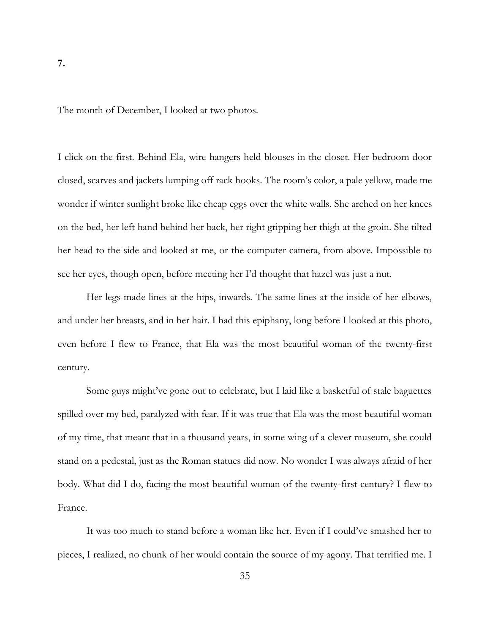The month of December, I looked at two photos.

I click on the first. Behind Ela, wire hangers held blouses in the closet. Her bedroom door closed, scarves and jackets lumping off rack hooks. The room's color, a pale yellow, made me wonder if winter sunlight broke like cheap eggs over the white walls. She arched on her knees on the bed, her left hand behind her back, her right gripping her thigh at the groin. She tilted her head to the side and looked at me, or the computer camera, from above. Impossible to see her eyes, though open, before meeting her I'd thought that hazel was just a nut.

Her legs made lines at the hips, inwards. The same lines at the inside of her elbows, and under her breasts, and in her hair. I had this epiphany, long before I looked at this photo, even before I flew to France, that Ela was the most beautiful woman of the twenty-first century.

Some guys might've gone out to celebrate, but I laid like a basketful of stale baguettes spilled over my bed, paralyzed with fear. If it was true that Ela was the most beautiful woman of my time, that meant that in a thousand years, in some wing of a clever museum, she could stand on a pedestal, just as the Roman statues did now. No wonder I was always afraid of her body. What did I do, facing the most beautiful woman of the twenty-first century? I flew to France.

It was too much to stand before a woman like her. Even if I could've smashed her to pieces, I realized, no chunk of her would contain the source of my agony. That terrified me. I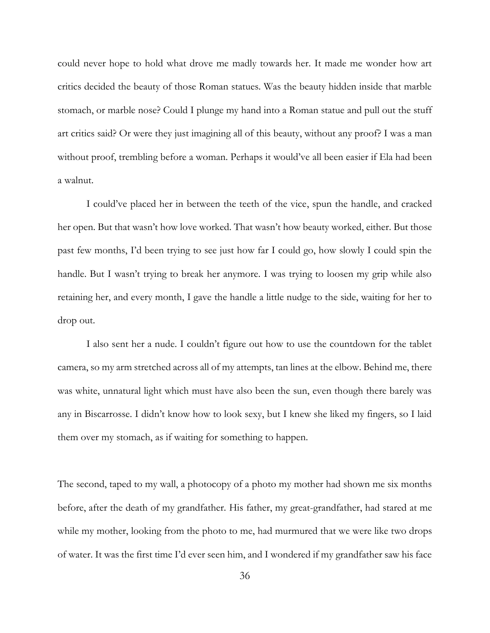could never hope to hold what drove me madly towards her. It made me wonder how art critics decided the beauty of those Roman statues. Was the beauty hidden inside that marble stomach, or marble nose? Could I plunge my hand into a Roman statue and pull out the stuff art critics said? Or were they just imagining all of this beauty, without any proof? I was a man without proof, trembling before a woman. Perhaps it would've all been easier if Ela had been a walnut.

I could've placed her in between the teeth of the vice, spun the handle, and cracked her open. But that wasn't how love worked. That wasn't how beauty worked, either. But those past few months, I'd been trying to see just how far I could go, how slowly I could spin the handle. But I wasn't trying to break her anymore. I was trying to loosen my grip while also retaining her, and every month, I gave the handle a little nudge to the side, waiting for her to drop out.

I also sent her a nude. I couldn't figure out how to use the countdown for the tablet camera, so my arm stretched across all of my attempts, tan lines at the elbow. Behind me, there was white, unnatural light which must have also been the sun, even though there barely was any in Biscarrosse. I didn't know how to look sexy, but I knew she liked my fingers, so I laid them over my stomach, as if waiting for something to happen.

The second, taped to my wall, a photocopy of a photo my mother had shown me six months before, after the death of my grandfather. His father, my great-grandfather, had stared at me while my mother, looking from the photo to me, had murmured that we were like two drops of water. It was the first time I'd ever seen him, and I wondered if my grandfather saw his face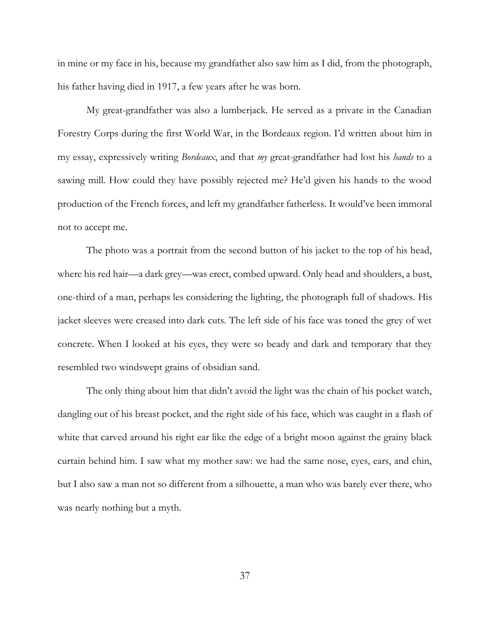in mine or my face in his, because my grandfather also saw him as I did, from the photograph, his father having died in 1917, a few years after he was born.

My great-grandfather was also a lumberjack. He served as a private in the Canadian Forestry Corps during the first World War, in the Bordeaux region. I'd written about him in my essay, expressively writing *Bordeaux*, and that *my* great-grandfather had lost his *hands* to a sawing mill. How could they have possibly rejected me? He'd given his hands to the wood production of the French forces, and left my grandfather fatherless. It would've been immoral not to accept me.

The photo was a portrait from the second button of his jacket to the top of his head, where his red hair—a dark grey—was erect, combed upward. Only head and shoulders, a bust, one-third of a man, perhaps les considering the lighting, the photograph full of shadows. His jacket sleeves were creased into dark cuts. The left side of his face was toned the grey of wet concrete. When I looked at his eyes, they were so beady and dark and temporary that they resembled two windswept grains of obsidian sand.

The only thing about him that didn't avoid the light was the chain of his pocket watch, dangling out of his breast pocket, and the right side of his face, which was caught in a flash of white that carved around his right ear like the edge of a bright moon against the grainy black curtain behind him. I saw what my mother saw: we had the same nose, eyes, ears, and chin, but I also saw a man not so different from a silhouette, a man who was barely ever there, who was nearly nothing but a myth.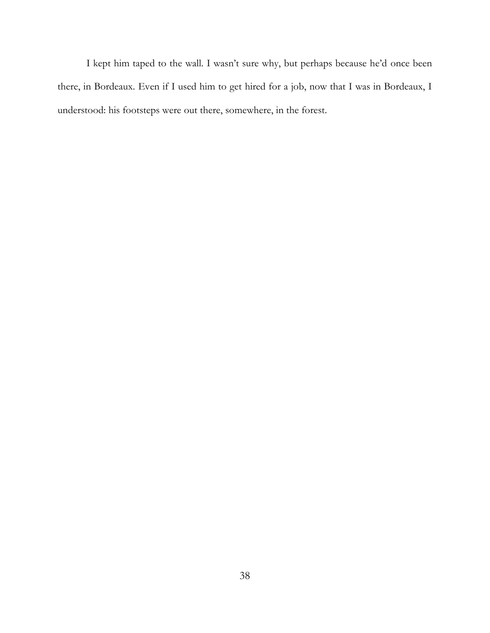I kept him taped to the wall. I wasn't sure why, but perhaps because he'd once been there, in Bordeaux. Even if I used him to get hired for a job, now that I was in Bordeaux, I understood: his footsteps were out there, somewhere, in the forest.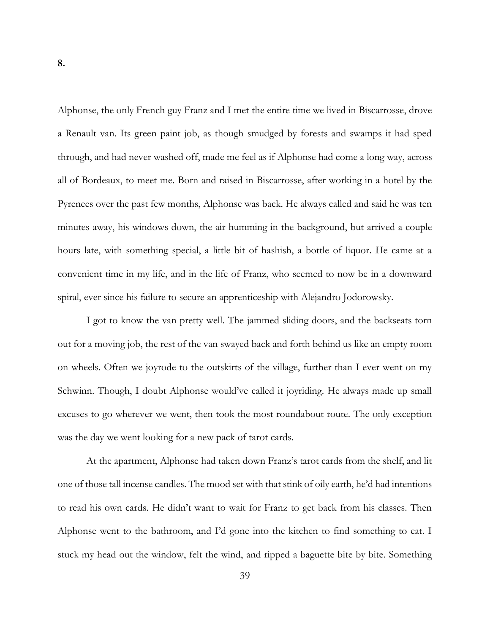Alphonse, the only French guy Franz and I met the entire time we lived in Biscarrosse, drove a Renault van. Its green paint job, as though smudged by forests and swamps it had sped through, and had never washed off, made me feel as if Alphonse had come a long way, across all of Bordeaux, to meet me. Born and raised in Biscarrosse, after working in a hotel by the Pyrenees over the past few months, Alphonse was back. He always called and said he was ten minutes away, his windows down, the air humming in the background, but arrived a couple hours late, with something special, a little bit of hashish, a bottle of liquor. He came at a convenient time in my life, and in the life of Franz, who seemed to now be in a downward spiral, ever since his failure to secure an apprenticeship with Alejandro Jodorowsky.

I got to know the van pretty well. The jammed sliding doors, and the backseats torn out for a moving job, the rest of the van swayed back and forth behind us like an empty room on wheels. Often we joyrode to the outskirts of the village, further than I ever went on my Schwinn. Though, I doubt Alphonse would've called it joyriding. He always made up small excuses to go wherever we went, then took the most roundabout route. The only exception was the day we went looking for a new pack of tarot cards.

At the apartment, Alphonse had taken down Franz's tarot cards from the shelf, and lit one of those tall incense candles. The mood set with that stink of oily earth, he'd had intentions to read his own cards. He didn't want to wait for Franz to get back from his classes. Then Alphonse went to the bathroom, and I'd gone into the kitchen to find something to eat. I stuck my head out the window, felt the wind, and ripped a baguette bite by bite. Something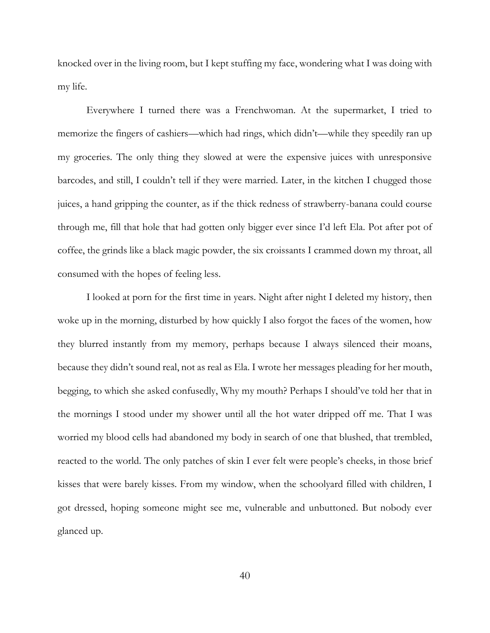knocked over in the living room, but I kept stuffing my face, wondering what I was doing with my life.

Everywhere I turned there was a Frenchwoman. At the supermarket, I tried to memorize the fingers of cashiers—which had rings, which didn't—while they speedily ran up my groceries. The only thing they slowed at were the expensive juices with unresponsive barcodes, and still, I couldn't tell if they were married. Later, in the kitchen I chugged those juices, a hand gripping the counter, as if the thick redness of strawberry-banana could course through me, fill that hole that had gotten only bigger ever since I'd left Ela. Pot after pot of coffee, the grinds like a black magic powder, the six croissants I crammed down my throat, all consumed with the hopes of feeling less.

I looked at porn for the first time in years. Night after night I deleted my history, then woke up in the morning, disturbed by how quickly I also forgot the faces of the women, how they blurred instantly from my memory, perhaps because I always silenced their moans, because they didn't sound real, not as real as Ela. I wrote her messages pleading for her mouth, begging, to which she asked confusedly, Why my mouth? Perhaps I should've told her that in the mornings I stood under my shower until all the hot water dripped off me. That I was worried my blood cells had abandoned my body in search of one that blushed, that trembled, reacted to the world. The only patches of skin I ever felt were people's cheeks, in those brief kisses that were barely kisses. From my window, when the schoolyard filled with children, I got dressed, hoping someone might see me, vulnerable and unbuttoned. But nobody ever glanced up.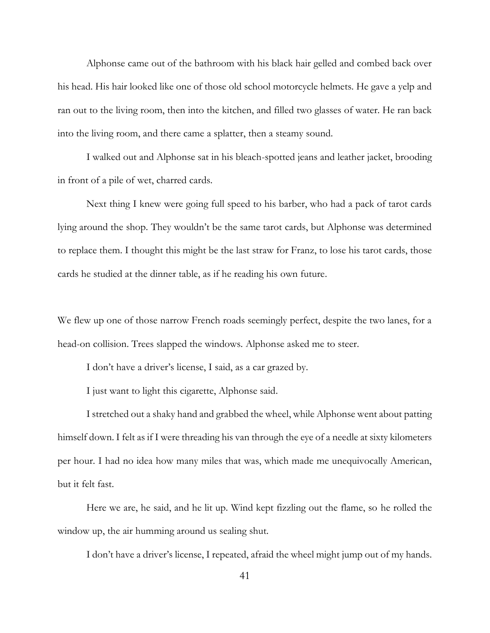Alphonse came out of the bathroom with his black hair gelled and combed back over his head. His hair looked like one of those old school motorcycle helmets. He gave a yelp and ran out to the living room, then into the kitchen, and filled two glasses of water. He ran back into the living room, and there came a splatter, then a steamy sound.

I walked out and Alphonse sat in his bleach-spotted jeans and leather jacket, brooding in front of a pile of wet, charred cards.

Next thing I knew were going full speed to his barber, who had a pack of tarot cards lying around the shop. They wouldn't be the same tarot cards, but Alphonse was determined to replace them. I thought this might be the last straw for Franz, to lose his tarot cards, those cards he studied at the dinner table, as if he reading his own future.

We flew up one of those narrow French roads seemingly perfect, despite the two lanes, for a head-on collision. Trees slapped the windows. Alphonse asked me to steer.

I don't have a driver's license, I said, as a car grazed by.

I just want to light this cigarette, Alphonse said.

I stretched out a shaky hand and grabbed the wheel, while Alphonse went about patting himself down. I felt as if I were threading his van through the eye of a needle at sixty kilometers per hour. I had no idea how many miles that was, which made me unequivocally American, but it felt fast.

Here we are, he said, and he lit up. Wind kept fizzling out the flame, so he rolled the window up, the air humming around us sealing shut.

I don't have a driver's license, I repeated, afraid the wheel might jump out of my hands.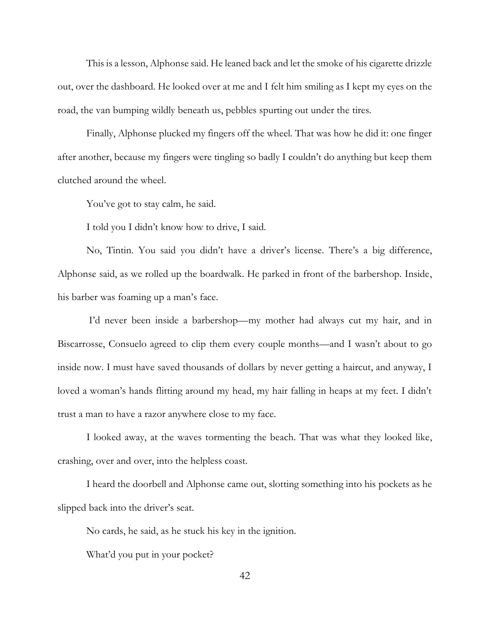This is a lesson, Alphonse said. He leaned back and let the smoke of his cigarette drizzle out, over the dashboard. He looked over at me and I felt him smiling as I kept my eyes on the road, the van bumping wildly beneath us, pebbles spurting out under the tires.

Finally, Alphonse plucked my fingers off the wheel. That was how he did it: one finger after another, because my fingers were tingling so badly I couldn't do anything but keep them clutched around the wheel.

You've got to stay calm, he said.

I told you I didn't know how to drive, I said.

No, Tintin. You said you didn't have a driver's license. There's a big difference, Alphonse said, as we rolled up the boardwalk. He parked in front of the barbershop. Inside, his barber was foaming up a man's face.

I'd never been inside a barbershop—my mother had always cut my hair, and in Biscarrosse, Consuelo agreed to clip them every couple months—and I wasn't about to go inside now. I must have saved thousands of dollars by never getting a haircut, and anyway, I loved a woman's hands flitting around my head, my hair falling in heaps at my feet. I didn't trust a man to have a razor anywhere close to my face.

I looked away, at the waves tormenting the beach. That was what they looked like, crashing, over and over, into the helpless coast.

I heard the doorbell and Alphonse came out, slotting something into his pockets as he slipped back into the driver's seat.

No cards, he said, as he stuck his key in the ignition.

What'd you put in your pocket?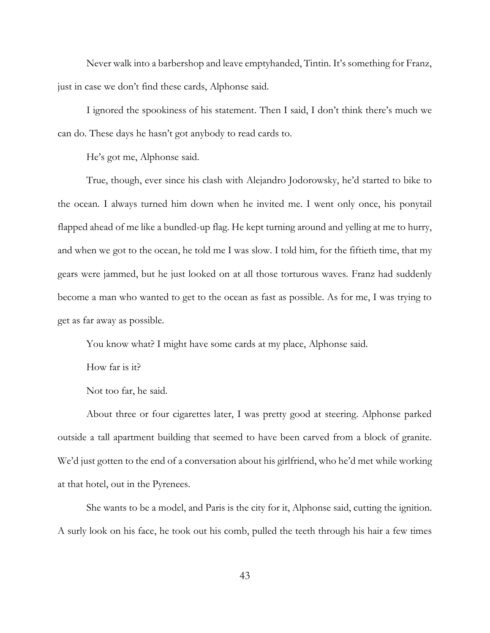Never walk into a barbershop and leave emptyhanded, Tintin. It's something for Franz, just in case we don't find these cards, Alphonse said.

I ignored the spookiness of his statement. Then I said, I don't think there's much we can do. These days he hasn't got anybody to read cards to.

He's got me, Alphonse said.

True, though, ever since his clash with Alejandro Jodorowsky, he'd started to bike to the ocean. I always turned him down when he invited me. I went only once, his ponytail flapped ahead of me like a bundled-up flag. He kept turning around and yelling at me to hurry, and when we got to the ocean, he told me I was slow. I told him, for the fiftieth time, that my gears were jammed, but he just looked on at all those torturous waves. Franz had suddenly become a man who wanted to get to the ocean as fast as possible. As for me, I was trying to get as far away as possible.

You know what? I might have some cards at my place, Alphonse said.

How far is it?

Not too far, he said.

About three or four cigarettes later, I was pretty good at steering. Alphonse parked outside a tall apartment building that seemed to have been carved from a block of granite. We'd just gotten to the end of a conversation about his girlfriend, who he'd met while working at that hotel, out in the Pyrenees.

She wants to be a model, and Paris is the city for it, Alphonse said, cutting the ignition. A surly look on his face, he took out his comb, pulled the teeth through his hair a few times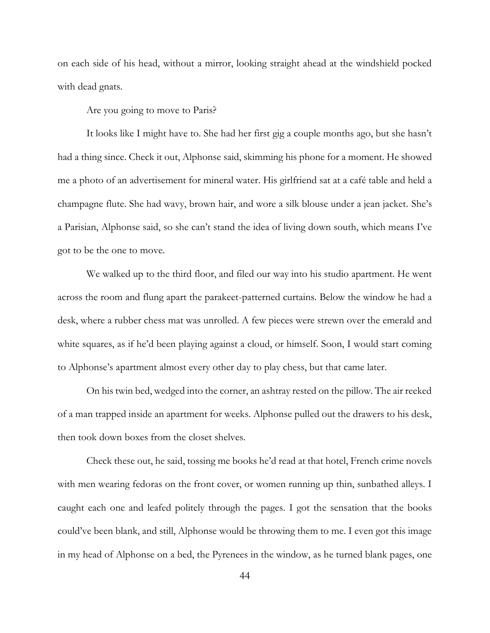on each side of his head, without a mirror, looking straight ahead at the windshield pocked with dead gnats.

Are you going to move to Paris?

It looks like I might have to. She had her first gig a couple months ago, but she hasn't had a thing since. Check it out, Alphonse said, skimming his phone for a moment. He showed me a photo of an advertisement for mineral water. His girlfriend sat at a café table and held a champagne flute. She had wavy, brown hair, and wore a silk blouse under a jean jacket. She's a Parisian, Alphonse said, so she can't stand the idea of living down south, which means I've got to be the one to move.

We walked up to the third floor, and filed our way into his studio apartment. He went across the room and flung apart the parakeet-patterned curtains. Below the window he had a desk, where a rubber chess mat was unrolled. A few pieces were strewn over the emerald and white squares, as if he'd been playing against a cloud, or himself. Soon, I would start coming to Alphonse's apartment almost every other day to play chess, but that came later.

On his twin bed, wedged into the corner, an ashtray rested on the pillow. The air reeked of a man trapped inside an apartment for weeks. Alphonse pulled out the drawers to his desk, then took down boxes from the closet shelves.

Check these out, he said, tossing me books he'd read at that hotel, French crime novels with men wearing fedoras on the front cover, or women running up thin, sunbathed alleys. I caught each one and leafed politely through the pages. I got the sensation that the books could've been blank, and still, Alphonse would be throwing them to me. I even got this image in my head of Alphonse on a bed, the Pyrenees in the window, as he turned blank pages, one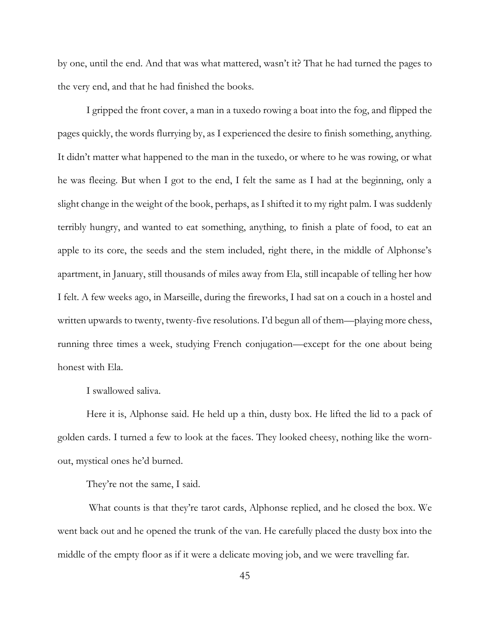by one, until the end. And that was what mattered, wasn't it? That he had turned the pages to the very end, and that he had finished the books.

I gripped the front cover, a man in a tuxedo rowing a boat into the fog, and flipped the pages quickly, the words flurrying by, as I experienced the desire to finish something, anything. It didn't matter what happened to the man in the tuxedo, or where to he was rowing, or what he was fleeing. But when I got to the end, I felt the same as I had at the beginning, only a slight change in the weight of the book, perhaps, as I shifted it to my right palm. I was suddenly terribly hungry, and wanted to eat something, anything, to finish a plate of food, to eat an apple to its core, the seeds and the stem included, right there, in the middle of Alphonse's apartment, in January, still thousands of miles away from Ela, still incapable of telling her how I felt. A few weeks ago, in Marseille, during the fireworks, I had sat on a couch in a hostel and written upwards to twenty, twenty-five resolutions. I'd begun all of them—playing more chess, running three times a week, studying French conjugation—except for the one about being honest with Ela.

I swallowed saliva.

Here it is, Alphonse said. He held up a thin, dusty box. He lifted the lid to a pack of golden cards. I turned a few to look at the faces. They looked cheesy, nothing like the wornout, mystical ones he'd burned.

They're not the same, I said.

What counts is that they're tarot cards, Alphonse replied, and he closed the box. We went back out and he opened the trunk of the van. He carefully placed the dusty box into the middle of the empty floor as if it were a delicate moving job, and we were travelling far.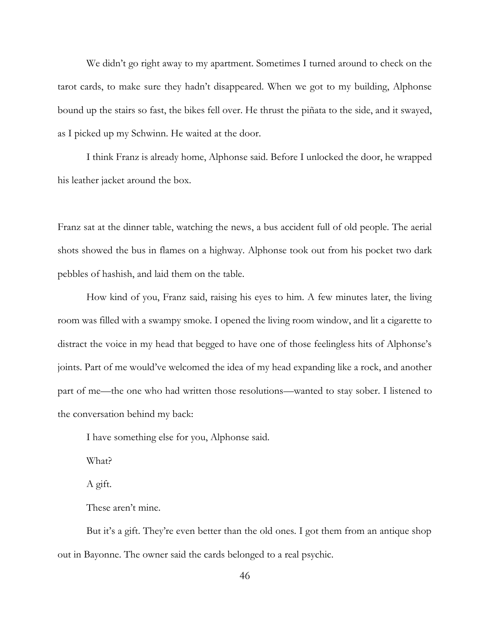We didn't go right away to my apartment. Sometimes I turned around to check on the tarot cards, to make sure they hadn't disappeared. When we got to my building, Alphonse bound up the stairs so fast, the bikes fell over. He thrust the piñata to the side, and it swayed, as I picked up my Schwinn. He waited at the door.

I think Franz is already home, Alphonse said. Before I unlocked the door, he wrapped his leather jacket around the box.

Franz sat at the dinner table, watching the news, a bus accident full of old people. The aerial shots showed the bus in flames on a highway. Alphonse took out from his pocket two dark pebbles of hashish, and laid them on the table.

How kind of you, Franz said, raising his eyes to him. A few minutes later, the living room was filled with a swampy smoke. I opened the living room window, and lit a cigarette to distract the voice in my head that begged to have one of those feelingless hits of Alphonse's joints. Part of me would've welcomed the idea of my head expanding like a rock, and another part of me—the one who had written those resolutions—wanted to stay sober. I listened to the conversation behind my back:

I have something else for you, Alphonse said.

What?

A gift.

These aren't mine.

But it's a gift. They're even better than the old ones. I got them from an antique shop out in Bayonne. The owner said the cards belonged to a real psychic.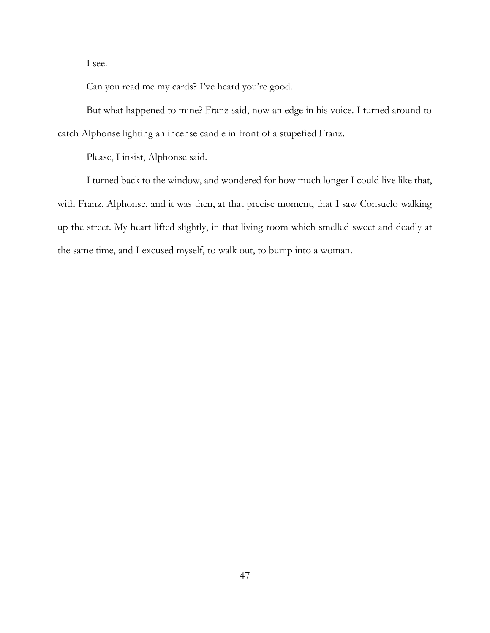I see.

Can you read me my cards? I've heard you're good.

But what happened to mine? Franz said, now an edge in his voice. I turned around to catch Alphonse lighting an incense candle in front of a stupefied Franz.

Please, I insist, Alphonse said.

I turned back to the window, and wondered for how much longer I could live like that, with Franz, Alphonse, and it was then, at that precise moment, that I saw Consuelo walking up the street. My heart lifted slightly, in that living room which smelled sweet and deadly at the same time, and I excused myself, to walk out, to bump into a woman.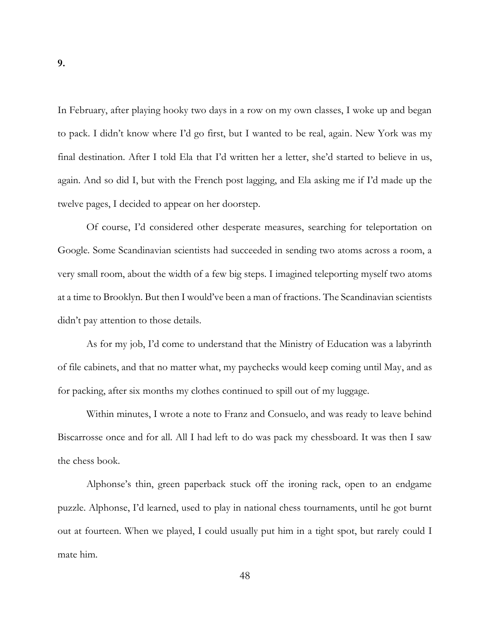In February, after playing hooky two days in a row on my own classes, I woke up and began to pack. I didn't know where I'd go first, but I wanted to be real, again. New York was my final destination. After I told Ela that I'd written her a letter, she'd started to believe in us, again. And so did I, but with the French post lagging, and Ela asking me if I'd made up the twelve pages, I decided to appear on her doorstep.

Of course, I'd considered other desperate measures, searching for teleportation on Google. Some Scandinavian scientists had succeeded in sending two atoms across a room, a very small room, about the width of a few big steps. I imagined teleporting myself two atoms at a time to Brooklyn. But then I would've been a man of fractions. The Scandinavian scientists didn't pay attention to those details.

As for my job, I'd come to understand that the Ministry of Education was a labyrinth of file cabinets, and that no matter what, my paychecks would keep coming until May, and as for packing, after six months my clothes continued to spill out of my luggage.

Within minutes, I wrote a note to Franz and Consuelo, and was ready to leave behind Biscarrosse once and for all. All I had left to do was pack my chessboard. It was then I saw the chess book.

Alphonse's thin, green paperback stuck off the ironing rack, open to an endgame puzzle. Alphonse, I'd learned, used to play in national chess tournaments, until he got burnt out at fourteen. When we played, I could usually put him in a tight spot, but rarely could I mate him.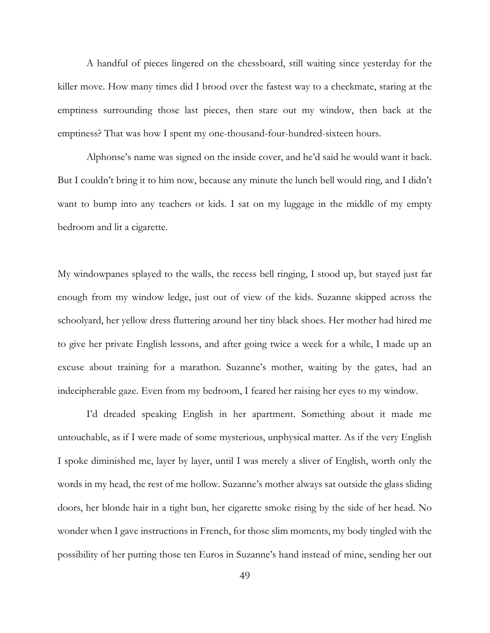A handful of pieces lingered on the chessboard, still waiting since yesterday for the killer move. How many times did I brood over the fastest way to a checkmate, staring at the emptiness surrounding those last pieces, then stare out my window, then back at the emptiness? That was how I spent my one-thousand-four-hundred-sixteen hours.

Alphonse's name was signed on the inside cover, and he'd said he would want it back. But I couldn't bring it to him now, because any minute the lunch bell would ring, and I didn't want to bump into any teachers or kids. I sat on my luggage in the middle of my empty bedroom and lit a cigarette.

My windowpanes splayed to the walls, the recess bell ringing, I stood up, but stayed just far enough from my window ledge, just out of view of the kids. Suzanne skipped across the schoolyard, her yellow dress fluttering around her tiny black shoes. Her mother had hired me to give her private English lessons, and after going twice a week for a while, I made up an excuse about training for a marathon. Suzanne's mother, waiting by the gates, had an indecipherable gaze. Even from my bedroom, I feared her raising her eyes to my window.

I'd dreaded speaking English in her apartment. Something about it made me untouchable, as if I were made of some mysterious, unphysical matter. As if the very English I spoke diminished me, layer by layer, until I was merely a sliver of English, worth only the words in my head, the rest of me hollow. Suzanne's mother always sat outside the glass sliding doors, her blonde hair in a tight bun, her cigarette smoke rising by the side of her head. No wonder when I gave instructions in French, for those slim moments, my body tingled with the possibility of her putting those ten Euros in Suzanne's hand instead of mine, sending her out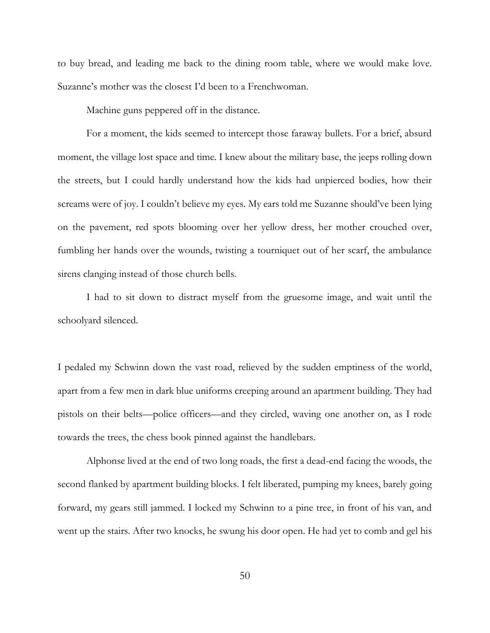to buy bread, and leading me back to the dining room table, where we would make love. Suzanne's mother was the closest I'd been to a Frenchwoman.

Machine guns peppered off in the distance.

For a moment, the kids seemed to intercept those faraway bullets. For a brief, absurd moment, the village lost space and time. I knew about the military base, the jeeps rolling down the streets, but I could hardly understand how the kids had unpierced bodies, how their screams were of joy. I couldn't believe my eyes. My ears told me Suzanne should've been lying on the pavement, red spots blooming over her yellow dress, her mother crouched over, fumbling her hands over the wounds, twisting a tourniquet out of her scarf, the ambulance sirens clanging instead of those church bells.

I had to sit down to distract myself from the gruesome image, and wait until the schoolyard silenced.

I pedaled my Schwinn down the vast road, relieved by the sudden emptiness of the world, apart from a few men in dark blue uniforms creeping around an apartment building. They had pistols on their belts—police officers—and they circled, waving one another on, as I rode towards the trees, the chess book pinned against the handlebars.

Alphonse lived at the end of two long roads, the first a dead-end facing the woods, the second flanked by apartment building blocks. I felt liberated, pumping my knees, barely going forward, my gears still jammed. I locked my Schwinn to a pine tree, in front of his van, and went up the stairs. After two knocks, he swung his door open. He had yet to comb and gel his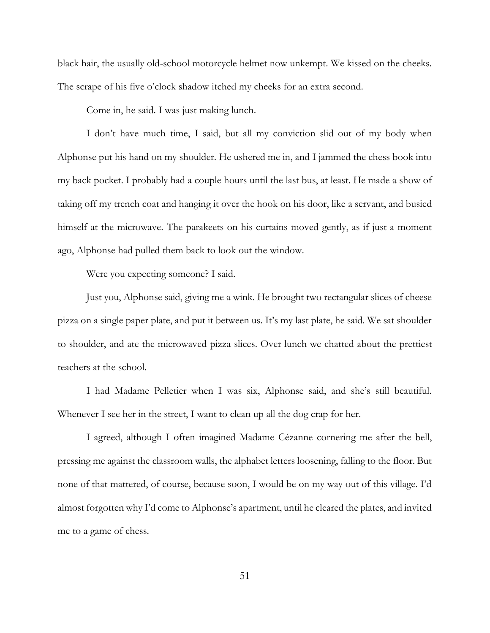black hair, the usually old-school motorcycle helmet now unkempt. We kissed on the cheeks. The scrape of his five o'clock shadow itched my cheeks for an extra second.

Come in, he said. I was just making lunch.

I don't have much time, I said, but all my conviction slid out of my body when Alphonse put his hand on my shoulder. He ushered me in, and I jammed the chess book into my back pocket. I probably had a couple hours until the last bus, at least. He made a show of taking off my trench coat and hanging it over the hook on his door, like a servant, and busied himself at the microwave. The parakeets on his curtains moved gently, as if just a moment ago, Alphonse had pulled them back to look out the window.

Were you expecting someone? I said.

Just you, Alphonse said, giving me a wink. He brought two rectangular slices of cheese pizza on a single paper plate, and put it between us. It's my last plate, he said. We sat shoulder to shoulder, and ate the microwaved pizza slices. Over lunch we chatted about the prettiest teachers at the school.

I had Madame Pelletier when I was six, Alphonse said, and she's still beautiful. Whenever I see her in the street, I want to clean up all the dog crap for her.

I agreed, although I often imagined Madame Cézanne cornering me after the bell, pressing me against the classroom walls, the alphabet letters loosening, falling to the floor. But none of that mattered, of course, because soon, I would be on my way out of this village. I'd almost forgotten why I'd come to Alphonse's apartment, until he cleared the plates, and invited me to a game of chess.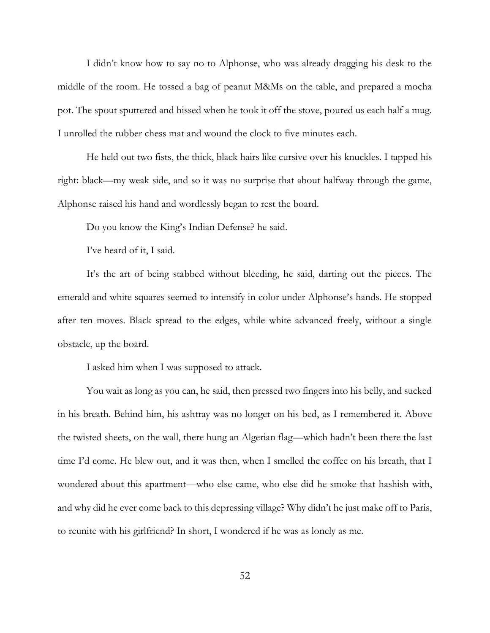I didn't know how to say no to Alphonse, who was already dragging his desk to the middle of the room. He tossed a bag of peanut M&Ms on the table, and prepared a mocha pot. The spout sputtered and hissed when he took it off the stove, poured us each half a mug. I unrolled the rubber chess mat and wound the clock to five minutes each.

He held out two fists, the thick, black hairs like cursive over his knuckles. I tapped his right: black—my weak side, and so it was no surprise that about halfway through the game, Alphonse raised his hand and wordlessly began to rest the board.

Do you know the King's Indian Defense? he said.

I've heard of it, I said.

It's the art of being stabbed without bleeding, he said, darting out the pieces. The emerald and white squares seemed to intensify in color under Alphonse's hands. He stopped after ten moves. Black spread to the edges, while white advanced freely, without a single obstacle, up the board.

I asked him when I was supposed to attack.

You wait as long as you can, he said, then pressed two fingers into his belly, and sucked in his breath. Behind him, his ashtray was no longer on his bed, as I remembered it. Above the twisted sheets, on the wall, there hung an Algerian flag—which hadn't been there the last time I'd come. He blew out, and it was then, when I smelled the coffee on his breath, that I wondered about this apartment—who else came, who else did he smoke that hashish with, and why did he ever come back to this depressing village? Why didn't he just make off to Paris, to reunite with his girlfriend? In short, I wondered if he was as lonely as me.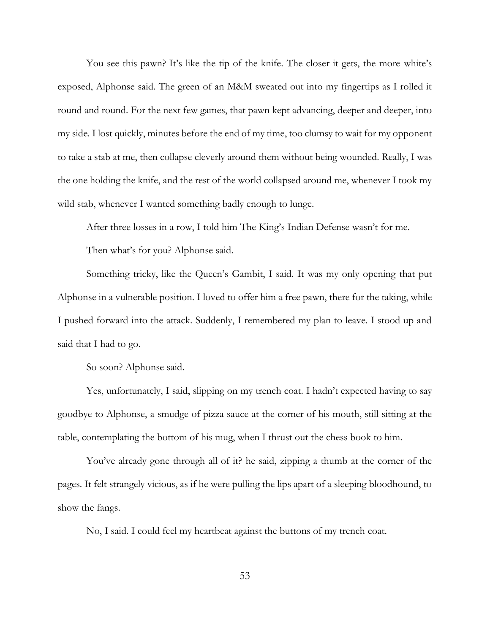You see this pawn? It's like the tip of the knife. The closer it gets, the more white's exposed, Alphonse said. The green of an M&M sweated out into my fingertips as I rolled it round and round. For the next few games, that pawn kept advancing, deeper and deeper, into my side. I lost quickly, minutes before the end of my time, too clumsy to wait for my opponent to take a stab at me, then collapse cleverly around them without being wounded. Really, I was the one holding the knife, and the rest of the world collapsed around me, whenever I took my wild stab, whenever I wanted something badly enough to lunge.

After three losses in a row, I told him The King's Indian Defense wasn't for me.

Then what's for you? Alphonse said.

Something tricky, like the Queen's Gambit, I said. It was my only opening that put Alphonse in a vulnerable position. I loved to offer him a free pawn, there for the taking, while I pushed forward into the attack. Suddenly, I remembered my plan to leave. I stood up and said that I had to go.

So soon? Alphonse said.

Yes, unfortunately, I said, slipping on my trench coat. I hadn't expected having to say goodbye to Alphonse, a smudge of pizza sauce at the corner of his mouth, still sitting at the table, contemplating the bottom of his mug, when I thrust out the chess book to him.

You've already gone through all of it? he said, zipping a thumb at the corner of the pages. It felt strangely vicious, as if he were pulling the lips apart of a sleeping bloodhound, to show the fangs.

No, I said. I could feel my heartbeat against the buttons of my trench coat.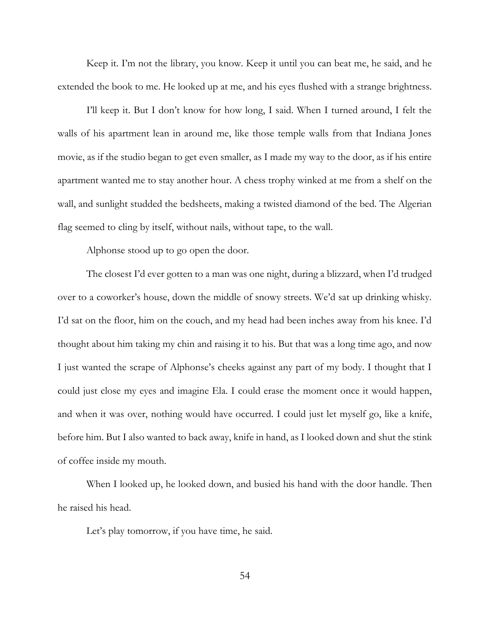Keep it. I'm not the library, you know. Keep it until you can beat me, he said, and he extended the book to me. He looked up at me, and his eyes flushed with a strange brightness.

I'll keep it. But I don't know for how long, I said. When I turned around, I felt the walls of his apartment lean in around me, like those temple walls from that Indiana Jones movie, as if the studio began to get even smaller, as I made my way to the door, as if his entire apartment wanted me to stay another hour. A chess trophy winked at me from a shelf on the wall, and sunlight studded the bedsheets, making a twisted diamond of the bed. The Algerian flag seemed to cling by itself, without nails, without tape, to the wall.

Alphonse stood up to go open the door.

The closest I'd ever gotten to a man was one night, during a blizzard, when I'd trudged over to a coworker's house, down the middle of snowy streets. We'd sat up drinking whisky. I'd sat on the floor, him on the couch, and my head had been inches away from his knee. I'd thought about him taking my chin and raising it to his. But that was a long time ago, and now I just wanted the scrape of Alphonse's cheeks against any part of my body. I thought that I could just close my eyes and imagine Ela. I could erase the moment once it would happen, and when it was over, nothing would have occurred. I could just let myself go, like a knife, before him. But I also wanted to back away, knife in hand, as I looked down and shut the stink of coffee inside my mouth.

When I looked up, he looked down, and busied his hand with the door handle. Then he raised his head.

Let's play tomorrow, if you have time, he said.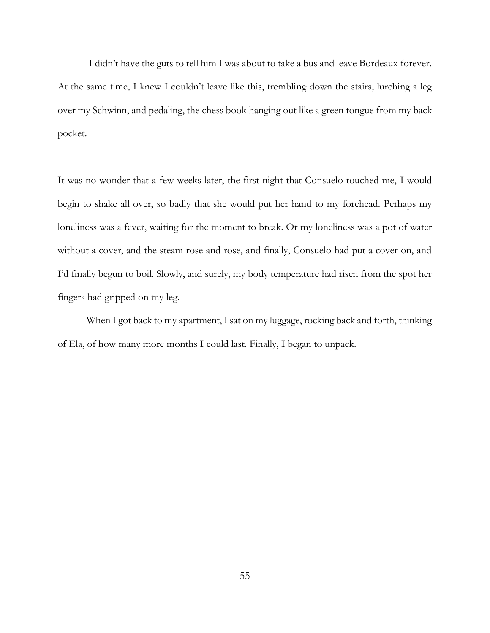I didn't have the guts to tell him I was about to take a bus and leave Bordeaux forever. At the same time, I knew I couldn't leave like this, trembling down the stairs, lurching a leg over my Schwinn, and pedaling, the chess book hanging out like a green tongue from my back pocket.

It was no wonder that a few weeks later, the first night that Consuelo touched me, I would begin to shake all over, so badly that she would put her hand to my forehead. Perhaps my loneliness was a fever, waiting for the moment to break. Or my loneliness was a pot of water without a cover, and the steam rose and rose, and finally, Consuelo had put a cover on, and I'd finally begun to boil. Slowly, and surely, my body temperature had risen from the spot her fingers had gripped on my leg.

When I got back to my apartment, I sat on my luggage, rocking back and forth, thinking of Ela, of how many more months I could last. Finally, I began to unpack.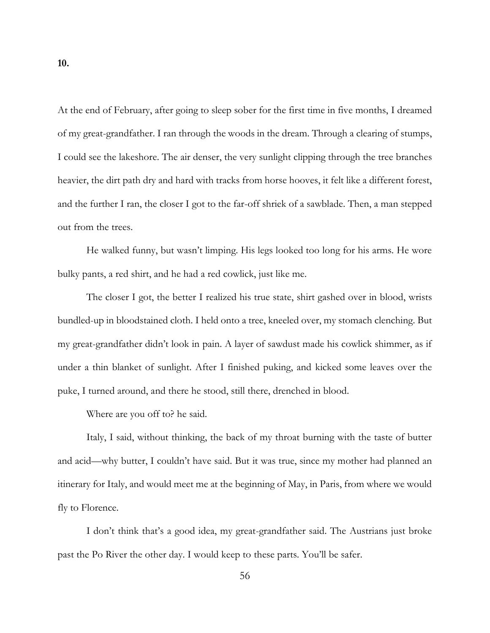At the end of February, after going to sleep sober for the first time in five months, I dreamed of my great-grandfather. I ran through the woods in the dream. Through a clearing of stumps, I could see the lakeshore. The air denser, the very sunlight clipping through the tree branches heavier, the dirt path dry and hard with tracks from horse hooves, it felt like a different forest, and the further I ran, the closer I got to the far-off shriek of a sawblade. Then, a man stepped out from the trees.

He walked funny, but wasn't limping. His legs looked too long for his arms. He wore bulky pants, a red shirt, and he had a red cowlick, just like me.

The closer I got, the better I realized his true state, shirt gashed over in blood, wrists bundled-up in bloodstained cloth. I held onto a tree, kneeled over, my stomach clenching. But my great-grandfather didn't look in pain. A layer of sawdust made his cowlick shimmer, as if under a thin blanket of sunlight. After I finished puking, and kicked some leaves over the puke, I turned around, and there he stood, still there, drenched in blood.

Where are you off to? he said.

Italy, I said, without thinking, the back of my throat burning with the taste of butter and acid—why butter, I couldn't have said. But it was true, since my mother had planned an itinerary for Italy, and would meet me at the beginning of May, in Paris, from where we would fly to Florence.

I don't think that's a good idea, my great-grandfather said. The Austrians just broke past the Po River the other day. I would keep to these parts. You'll be safer.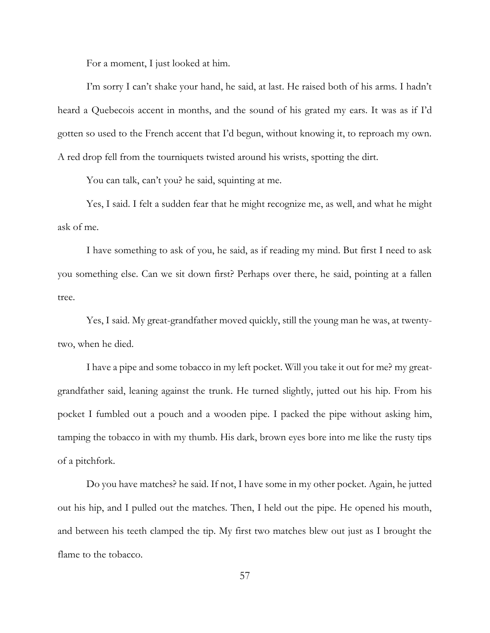For a moment, I just looked at him.

I'm sorry I can't shake your hand, he said, at last. He raised both of his arms. I hadn't heard a Quebecois accent in months, and the sound of his grated my ears. It was as if I'd gotten so used to the French accent that I'd begun, without knowing it, to reproach my own. A red drop fell from the tourniquets twisted around his wrists, spotting the dirt.

You can talk, can't you? he said, squinting at me.

Yes, I said. I felt a sudden fear that he might recognize me, as well, and what he might ask of me.

I have something to ask of you, he said, as if reading my mind. But first I need to ask you something else. Can we sit down first? Perhaps over there, he said, pointing at a fallen tree.

Yes, I said. My great-grandfather moved quickly, still the young man he was, at twentytwo, when he died.

I have a pipe and some tobacco in my left pocket. Will you take it out for me? my greatgrandfather said, leaning against the trunk. He turned slightly, jutted out his hip. From his pocket I fumbled out a pouch and a wooden pipe. I packed the pipe without asking him, tamping the tobacco in with my thumb. His dark, brown eyes bore into me like the rusty tips of a pitchfork.

Do you have matches? he said. If not, I have some in my other pocket. Again, he jutted out his hip, and I pulled out the matches. Then, I held out the pipe. He opened his mouth, and between his teeth clamped the tip. My first two matches blew out just as I brought the flame to the tobacco.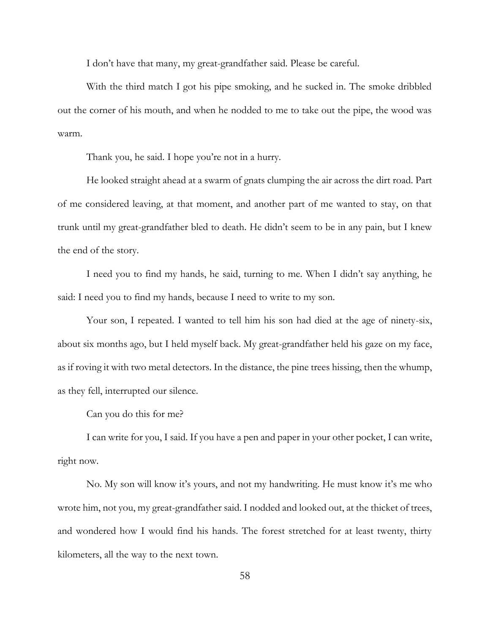I don't have that many, my great-grandfather said. Please be careful.

With the third match I got his pipe smoking, and he sucked in. The smoke dribbled out the corner of his mouth, and when he nodded to me to take out the pipe, the wood was warm.

Thank you, he said. I hope you're not in a hurry.

He looked straight ahead at a swarm of gnats clumping the air across the dirt road. Part of me considered leaving, at that moment, and another part of me wanted to stay, on that trunk until my great-grandfather bled to death. He didn't seem to be in any pain, but I knew the end of the story.

I need you to find my hands, he said, turning to me. When I didn't say anything, he said: I need you to find my hands, because I need to write to my son.

Your son, I repeated. I wanted to tell him his son had died at the age of ninety-six, about six months ago, but I held myself back. My great-grandfather held his gaze on my face, as if roving it with two metal detectors. In the distance, the pine trees hissing, then the whump, as they fell, interrupted our silence.

Can you do this for me?

I can write for you, I said. If you have a pen and paper in your other pocket, I can write, right now.

No. My son will know it's yours, and not my handwriting. He must know it's me who wrote him, not you, my great-grandfather said. I nodded and looked out, at the thicket of trees, and wondered how I would find his hands. The forest stretched for at least twenty, thirty kilometers, all the way to the next town.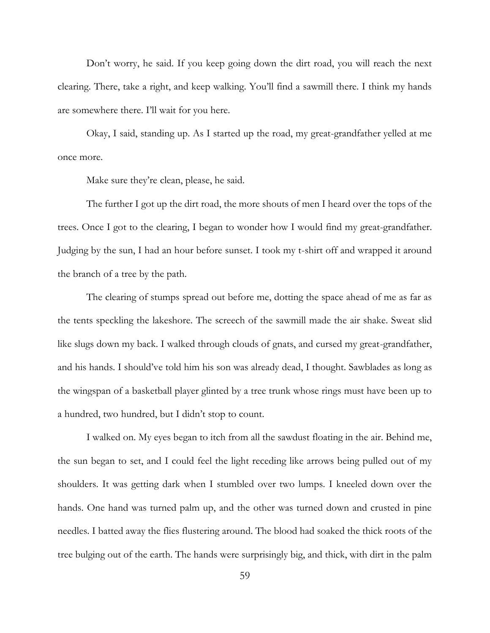Don't worry, he said. If you keep going down the dirt road, you will reach the next clearing. There, take a right, and keep walking. You'll find a sawmill there. I think my hands are somewhere there. I'll wait for you here.

Okay, I said, standing up. As I started up the road, my great-grandfather yelled at me once more.

Make sure they're clean, please, he said.

The further I got up the dirt road, the more shouts of men I heard over the tops of the trees. Once I got to the clearing, I began to wonder how I would find my great-grandfather. Judging by the sun, I had an hour before sunset. I took my t-shirt off and wrapped it around the branch of a tree by the path.

The clearing of stumps spread out before me, dotting the space ahead of me as far as the tents speckling the lakeshore. The screech of the sawmill made the air shake. Sweat slid like slugs down my back. I walked through clouds of gnats, and cursed my great-grandfather, and his hands. I should've told him his son was already dead, I thought. Sawblades as long as the wingspan of a basketball player glinted by a tree trunk whose rings must have been up to a hundred, two hundred, but I didn't stop to count.

I walked on. My eyes began to itch from all the sawdust floating in the air. Behind me, the sun began to set, and I could feel the light receding like arrows being pulled out of my shoulders. It was getting dark when I stumbled over two lumps. I kneeled down over the hands. One hand was turned palm up, and the other was turned down and crusted in pine needles. I batted away the flies flustering around. The blood had soaked the thick roots of the tree bulging out of the earth. The hands were surprisingly big, and thick, with dirt in the palm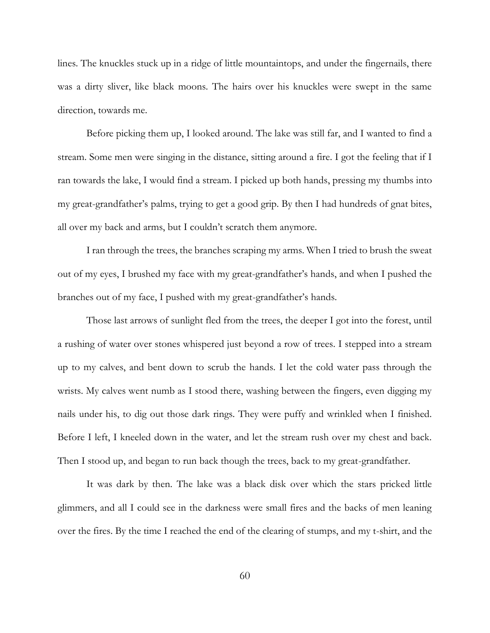lines. The knuckles stuck up in a ridge of little mountaintops, and under the fingernails, there was a dirty sliver, like black moons. The hairs over his knuckles were swept in the same direction, towards me.

Before picking them up, I looked around. The lake was still far, and I wanted to find a stream. Some men were singing in the distance, sitting around a fire. I got the feeling that if I ran towards the lake, I would find a stream. I picked up both hands, pressing my thumbs into my great-grandfather's palms, trying to get a good grip. By then I had hundreds of gnat bites, all over my back and arms, but I couldn't scratch them anymore.

I ran through the trees, the branches scraping my arms. When I tried to brush the sweat out of my eyes, I brushed my face with my great-grandfather's hands, and when I pushed the branches out of my face, I pushed with my great-grandfather's hands.

Those last arrows of sunlight fled from the trees, the deeper I got into the forest, until a rushing of water over stones whispered just beyond a row of trees. I stepped into a stream up to my calves, and bent down to scrub the hands. I let the cold water pass through the wrists. My calves went numb as I stood there, washing between the fingers, even digging my nails under his, to dig out those dark rings. They were puffy and wrinkled when I finished. Before I left, I kneeled down in the water, and let the stream rush over my chest and back. Then I stood up, and began to run back though the trees, back to my great-grandfather.

It was dark by then. The lake was a black disk over which the stars pricked little glimmers, and all I could see in the darkness were small fires and the backs of men leaning over the fires. By the time I reached the end of the clearing of stumps, and my t-shirt, and the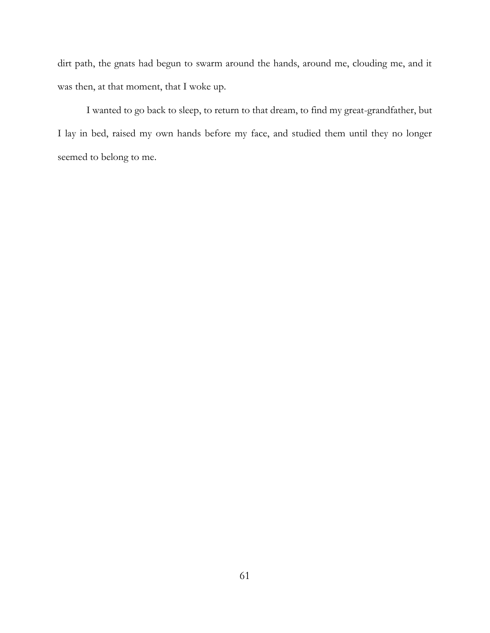dirt path, the gnats had begun to swarm around the hands, around me, clouding me, and it was then, at that moment, that I woke up.

I wanted to go back to sleep, to return to that dream, to find my great-grandfather, but I lay in bed, raised my own hands before my face, and studied them until they no longer seemed to belong to me.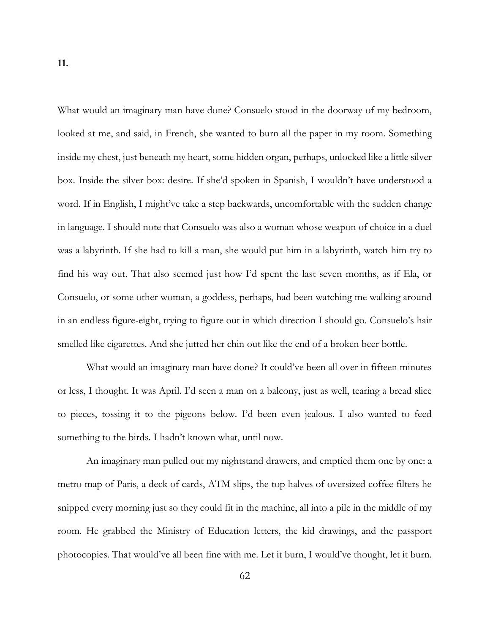What would an imaginary man have done? Consuelo stood in the doorway of my bedroom, looked at me, and said, in French, she wanted to burn all the paper in my room. Something inside my chest, just beneath my heart, some hidden organ, perhaps, unlocked like a little silver box. Inside the silver box: desire. If she'd spoken in Spanish, I wouldn't have understood a word. If in English, I might've take a step backwards, uncomfortable with the sudden change in language. I should note that Consuelo was also a woman whose weapon of choice in a duel was a labyrinth. If she had to kill a man, she would put him in a labyrinth, watch him try to find his way out. That also seemed just how I'd spent the last seven months, as if Ela, or Consuelo, or some other woman, a goddess, perhaps, had been watching me walking around in an endless figure-eight, trying to figure out in which direction I should go. Consuelo's hair smelled like cigarettes. And she jutted her chin out like the end of a broken beer bottle.

What would an imaginary man have done? It could've been all over in fifteen minutes or less, I thought. It was April. I'd seen a man on a balcony, just as well, tearing a bread slice to pieces, tossing it to the pigeons below. I'd been even jealous. I also wanted to feed something to the birds. I hadn't known what, until now.

An imaginary man pulled out my nightstand drawers, and emptied them one by one: a metro map of Paris, a deck of cards, ATM slips, the top halves of oversized coffee filters he snipped every morning just so they could fit in the machine, all into a pile in the middle of my room. He grabbed the Ministry of Education letters, the kid drawings, and the passport photocopies. That would've all been fine with me. Let it burn, I would've thought, let it burn.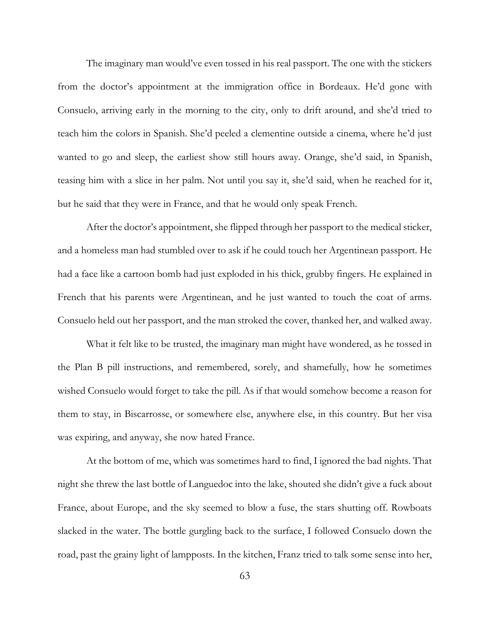The imaginary man would've even tossed in his real passport. The one with the stickers from the doctor's appointment at the immigration office in Bordeaux. He'd gone with Consuelo, arriving early in the morning to the city, only to drift around, and she'd tried to teach him the colors in Spanish. She'd peeled a clementine outside a cinema, where he'd just wanted to go and sleep, the earliest show still hours away. Orange, she'd said, in Spanish, teasing him with a slice in her palm. Not until you say it, she'd said, when he reached for it, but he said that they were in France, and that he would only speak French.

After the doctor's appointment, she flipped through her passport to the medical sticker, and a homeless man had stumbled over to ask if he could touch her Argentinean passport. He had a face like a cartoon bomb had just exploded in his thick, grubby fingers. He explained in French that his parents were Argentinean, and he just wanted to touch the coat of arms. Consuelo held out her passport, and the man stroked the cover, thanked her, and walked away.

What it felt like to be trusted, the imaginary man might have wondered, as he tossed in the Plan B pill instructions, and remembered, sorely, and shamefully, how he sometimes wished Consuelo would forget to take the pill. As if that would somehow become a reason for them to stay, in Biscarrosse, or somewhere else, anywhere else, in this country. But her visa was expiring, and anyway, she now hated France.

At the bottom of me, which was sometimes hard to find, I ignored the bad nights. That night she threw the last bottle of Languedoc into the lake, shouted she didn't give a fuck about France, about Europe, and the sky seemed to blow a fuse, the stars shutting off. Rowboats slacked in the water. The bottle gurgling back to the surface, I followed Consuelo down the road, past the grainy light of lampposts. In the kitchen, Franz tried to talk some sense into her,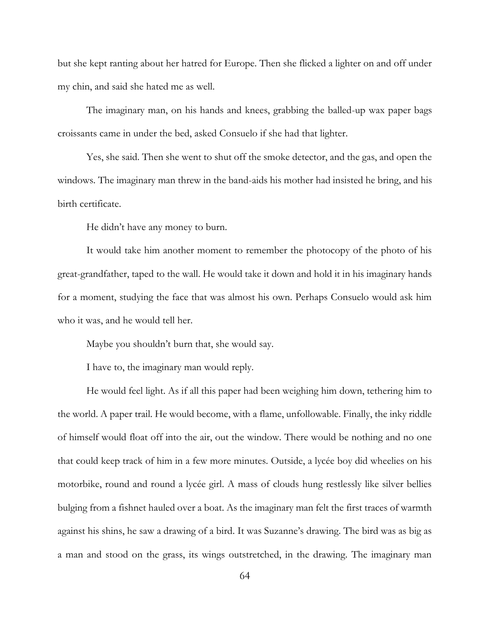but she kept ranting about her hatred for Europe. Then she flicked a lighter on and off under my chin, and said she hated me as well.

The imaginary man, on his hands and knees, grabbing the balled-up wax paper bags croissants came in under the bed, asked Consuelo if she had that lighter.

Yes, she said. Then she went to shut off the smoke detector, and the gas, and open the windows. The imaginary man threw in the band-aids his mother had insisted he bring, and his birth certificate.

He didn't have any money to burn.

It would take him another moment to remember the photocopy of the photo of his great-grandfather, taped to the wall. He would take it down and hold it in his imaginary hands for a moment, studying the face that was almost his own. Perhaps Consuelo would ask him who it was, and he would tell her.

Maybe you shouldn't burn that, she would say.

I have to, the imaginary man would reply.

He would feel light. As if all this paper had been weighing him down, tethering him to the world. A paper trail. He would become, with a flame, unfollowable. Finally, the inky riddle of himself would float off into the air, out the window. There would be nothing and no one that could keep track of him in a few more minutes. Outside, a lycée boy did wheelies on his motorbike, round and round a lycée girl. A mass of clouds hung restlessly like silver bellies bulging from a fishnet hauled over a boat. As the imaginary man felt the first traces of warmth against his shins, he saw a drawing of a bird. It was Suzanne's drawing. The bird was as big as a man and stood on the grass, its wings outstretched, in the drawing. The imaginary man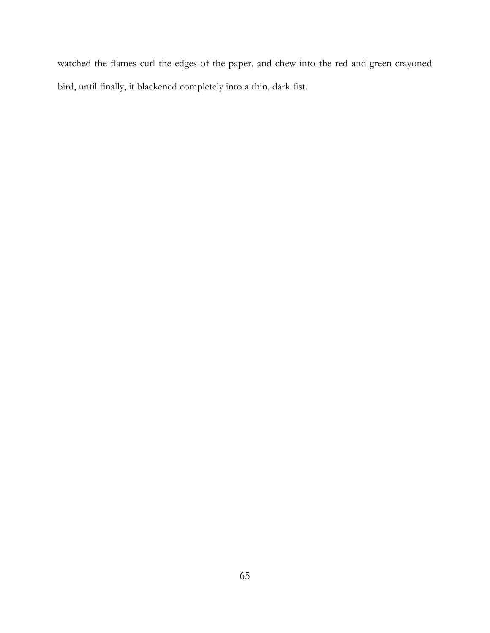watched the flames curl the edges of the paper, and chew into the red and green crayoned bird, until finally, it blackened completely into a thin, dark fist.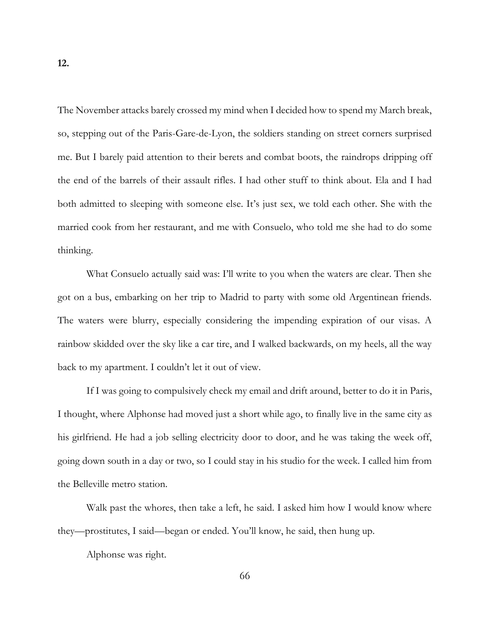The November attacks barely crossed my mind when I decided how to spend my March break, so, stepping out of the Paris-Gare-de-Lyon, the soldiers standing on street corners surprised me. But I barely paid attention to their berets and combat boots, the raindrops dripping off the end of the barrels of their assault rifles. I had other stuff to think about. Ela and I had both admitted to sleeping with someone else. It's just sex, we told each other. She with the married cook from her restaurant, and me with Consuelo, who told me she had to do some thinking.

What Consuelo actually said was: I'll write to you when the waters are clear. Then she got on a bus, embarking on her trip to Madrid to party with some old Argentinean friends. The waters were blurry, especially considering the impending expiration of our visas. A rainbow skidded over the sky like a car tire, and I walked backwards, on my heels, all the way back to my apartment. I couldn't let it out of view.

If I was going to compulsively check my email and drift around, better to do it in Paris, I thought, where Alphonse had moved just a short while ago, to finally live in the same city as his girlfriend. He had a job selling electricity door to door, and he was taking the week off, going down south in a day or two, so I could stay in his studio for the week. I called him from the Belleville metro station.

Walk past the whores, then take a left, he said. I asked him how I would know where they—prostitutes, I said—began or ended. You'll know, he said, then hung up.

Alphonse was right.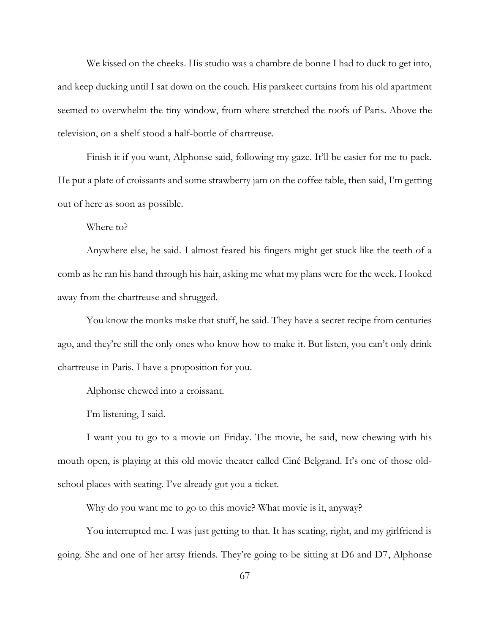We kissed on the cheeks. His studio was a chambre de bonne I had to duck to get into, and keep ducking until I sat down on the couch. His parakeet curtains from his old apartment seemed to overwhelm the tiny window, from where stretched the roofs of Paris. Above the television, on a shelf stood a half-bottle of chartreuse.

Finish it if you want, Alphonse said, following my gaze. It'll be easier for me to pack. He put a plate of croissants and some strawberry jam on the coffee table, then said, I'm getting out of here as soon as possible.

Where to?

Anywhere else, he said. I almost feared his fingers might get stuck like the teeth of a comb as he ran his hand through his hair, asking me what my plans were for the week. I looked away from the chartreuse and shrugged.

You know the monks make that stuff, he said. They have a secret recipe from centuries ago, and they're still the only ones who know how to make it. But listen, you can't only drink chartreuse in Paris. I have a proposition for you.

Alphonse chewed into a croissant.

I'm listening, I said.

I want you to go to a movie on Friday. The movie, he said, now chewing with his mouth open, is playing at this old movie theater called Ciné Belgrand. It's one of those oldschool places with seating. I've already got you a ticket.

Why do you want me to go to this movie? What movie is it, anyway?

You interrupted me. I was just getting to that. It has seating, right, and my girlfriend is going. She and one of her artsy friends. They're going to be sitting at D6 and D7, Alphonse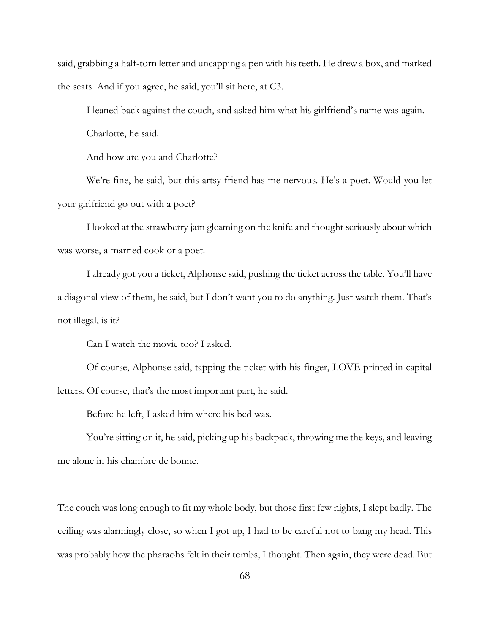said, grabbing a half-torn letter and uncapping a pen with his teeth. He drew a box, and marked the seats. And if you agree, he said, you'll sit here, at C3.

I leaned back against the couch, and asked him what his girlfriend's name was again.

Charlotte, he said.

And how are you and Charlotte?

We're fine, he said, but this artsy friend has me nervous. He's a poet. Would you let your girlfriend go out with a poet?

I looked at the strawberry jam gleaming on the knife and thought seriously about which was worse, a married cook or a poet.

I already got you a ticket, Alphonse said, pushing the ticket across the table. You'll have a diagonal view of them, he said, but I don't want you to do anything. Just watch them. That's not illegal, is it?

Can I watch the movie too? I asked.

Of course, Alphonse said, tapping the ticket with his finger, LOVE printed in capital letters. Of course, that's the most important part, he said.

Before he left, I asked him where his bed was.

You're sitting on it, he said, picking up his backpack, throwing me the keys, and leaving me alone in his chambre de bonne.

The couch was long enough to fit my whole body, but those first few nights, I slept badly. The ceiling was alarmingly close, so when I got up, I had to be careful not to bang my head. This was probably how the pharaohs felt in their tombs, I thought. Then again, they were dead. But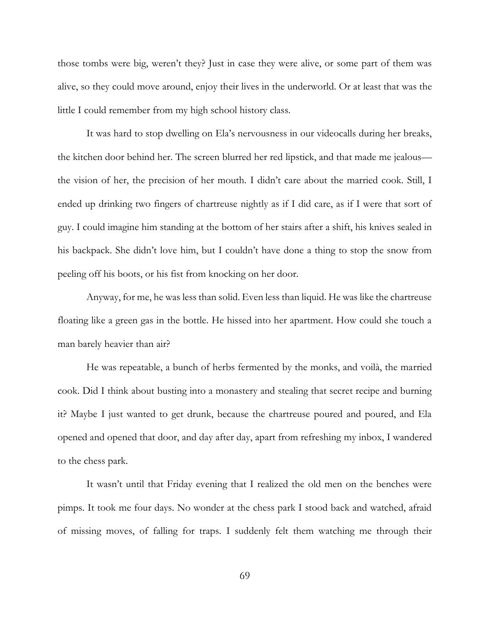those tombs were big, weren't they? Just in case they were alive, or some part of them was alive, so they could move around, enjoy their lives in the underworld. Or at least that was the little I could remember from my high school history class.

It was hard to stop dwelling on Ela's nervousness in our videocalls during her breaks, the kitchen door behind her. The screen blurred her red lipstick, and that made me jealous the vision of her, the precision of her mouth. I didn't care about the married cook. Still, I ended up drinking two fingers of chartreuse nightly as if I did care, as if I were that sort of guy. I could imagine him standing at the bottom of her stairs after a shift, his knives sealed in his backpack. She didn't love him, but I couldn't have done a thing to stop the snow from peeling off his boots, or his fist from knocking on her door.

Anyway, for me, he was less than solid. Even less than liquid. He was like the chartreuse floating like a green gas in the bottle. He hissed into her apartment. How could she touch a man barely heavier than air?

He was repeatable, a bunch of herbs fermented by the monks, and voilà, the married cook. Did I think about busting into a monastery and stealing that secret recipe and burning it? Maybe I just wanted to get drunk, because the chartreuse poured and poured, and Ela opened and opened that door, and day after day, apart from refreshing my inbox, I wandered to the chess park.

It wasn't until that Friday evening that I realized the old men on the benches were pimps. It took me four days. No wonder at the chess park I stood back and watched, afraid of missing moves, of falling for traps. I suddenly felt them watching me through their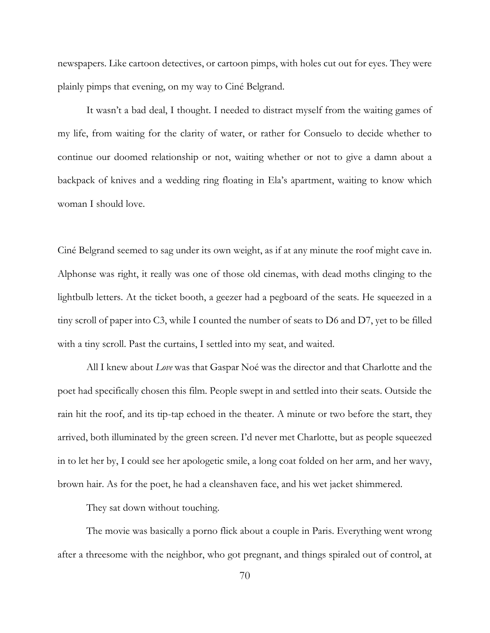newspapers. Like cartoon detectives, or cartoon pimps, with holes cut out for eyes. They were plainly pimps that evening, on my way to Ciné Belgrand.

It wasn't a bad deal, I thought. I needed to distract myself from the waiting games of my life, from waiting for the clarity of water, or rather for Consuelo to decide whether to continue our doomed relationship or not, waiting whether or not to give a damn about a backpack of knives and a wedding ring floating in Ela's apartment, waiting to know which woman I should love.

Ciné Belgrand seemed to sag under its own weight, as if at any minute the roof might cave in. Alphonse was right, it really was one of those old cinemas, with dead moths clinging to the lightbulb letters. At the ticket booth, a geezer had a pegboard of the seats. He squeezed in a tiny scroll of paper into C3, while I counted the number of seats to D6 and D7, yet to be filled with a tiny scroll. Past the curtains, I settled into my seat, and waited.

All I knew about *Love* was that Gaspar Noé was the director and that Charlotte and the poet had specifically chosen this film. People swept in and settled into their seats. Outside the rain hit the roof, and its tip-tap echoed in the theater. A minute or two before the start, they arrived, both illuminated by the green screen. I'd never met Charlotte, but as people squeezed in to let her by, I could see her apologetic smile, a long coat folded on her arm, and her wavy, brown hair. As for the poet, he had a cleanshaven face, and his wet jacket shimmered.

They sat down without touching.

The movie was basically a porno flick about a couple in Paris. Everything went wrong after a threesome with the neighbor, who got pregnant, and things spiraled out of control, at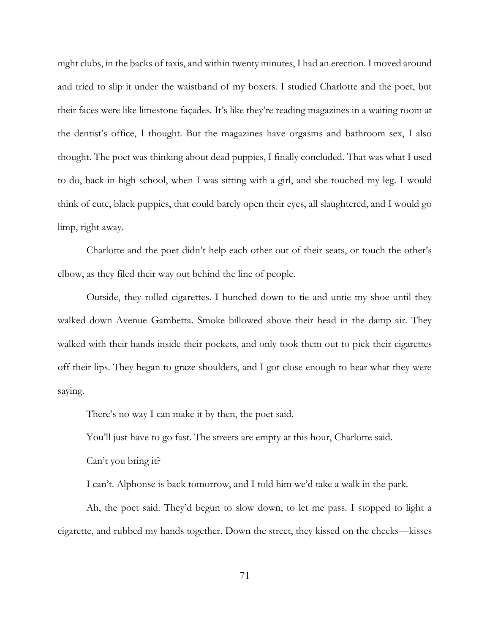night clubs, in the backs of taxis, and within twenty minutes, I had an erection. I moved around and tried to slip it under the waistband of my boxers. I studied Charlotte and the poet, but their faces were like limestone façades. It's like they're reading magazines in a waiting room at the dentist's office, I thought. But the magazines have orgasms and bathroom sex, I also thought. The poet was thinking about dead puppies, I finally concluded. That was what I used to do, back in high school, when I was sitting with a girl, and she touched my leg. I would think of cute, black puppies, that could barely open their eyes, all slaughtered, and I would go limp, right away.

Charlotte and the poet didn't help each other out of their seats, or touch the other's elbow, as they filed their way out behind the line of people.

Outside, they rolled cigarettes. I hunched down to tie and untie my shoe until they walked down Avenue Gambetta. Smoke billowed above their head in the damp air. They walked with their hands inside their pockets, and only took them out to pick their cigarettes off their lips. They began to graze shoulders, and I got close enough to hear what they were saying.

There's no way I can make it by then, the poet said.

You'll just have to go fast. The streets are empty at this hour, Charlotte said.

Can't you bring it?

I can't. Alphonse is back tomorrow, and I told him we'd take a walk in the park.

Ah, the poet said. They'd begun to slow down, to let me pass. I stopped to light a cigarette, and rubbed my hands together. Down the street, they kissed on the cheeks—kisses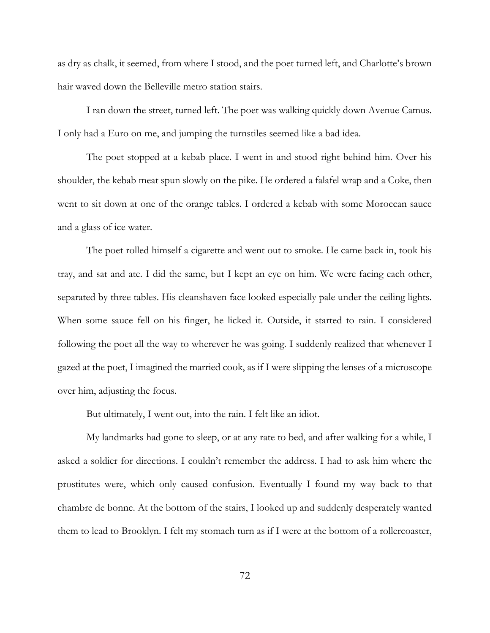as dry as chalk, it seemed, from where I stood, and the poet turned left, and Charlotte's brown hair waved down the Belleville metro station stairs.

I ran down the street, turned left. The poet was walking quickly down Avenue Camus. I only had a Euro on me, and jumping the turnstiles seemed like a bad idea.

The poet stopped at a kebab place. I went in and stood right behind him. Over his shoulder, the kebab meat spun slowly on the pike. He ordered a falafel wrap and a Coke, then went to sit down at one of the orange tables. I ordered a kebab with some Moroccan sauce and a glass of ice water.

The poet rolled himself a cigarette and went out to smoke. He came back in, took his tray, and sat and ate. I did the same, but I kept an eye on him. We were facing each other, separated by three tables. His cleanshaven face looked especially pale under the ceiling lights. When some sauce fell on his finger, he licked it. Outside, it started to rain. I considered following the poet all the way to wherever he was going. I suddenly realized that whenever I gazed at the poet, I imagined the married cook, as if I were slipping the lenses of a microscope over him, adjusting the focus.

But ultimately, I went out, into the rain. I felt like an idiot.

My landmarks had gone to sleep, or at any rate to bed, and after walking for a while, I asked a soldier for directions. I couldn't remember the address. I had to ask him where the prostitutes were, which only caused confusion. Eventually I found my way back to that chambre de bonne. At the bottom of the stairs, I looked up and suddenly desperately wanted them to lead to Brooklyn. I felt my stomach turn as if I were at the bottom of a rollercoaster,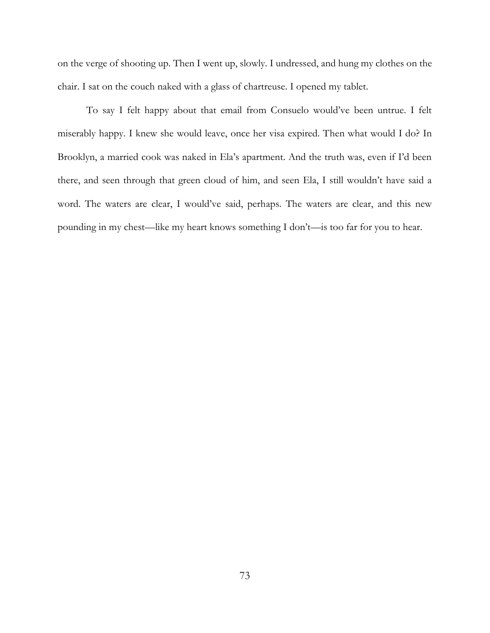on the verge of shooting up. Then I went up, slowly. I undressed, and hung my clothes on the chair. I sat on the couch naked with a glass of chartreuse. I opened my tablet.

To say I felt happy about that email from Consuelo would've been untrue. I felt miserably happy. I knew she would leave, once her visa expired. Then what would I do? In Brooklyn, a married cook was naked in Ela's apartment. And the truth was, even if I'd been there, and seen through that green cloud of him, and seen Ela, I still wouldn't have said a word. The waters are clear, I would've said, perhaps. The waters are clear, and this new pounding in my chest—like my heart knows something I don't—is too far for you to hear.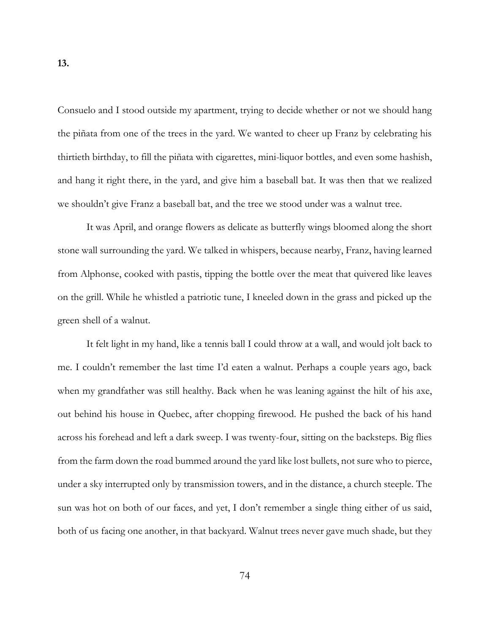Consuelo and I stood outside my apartment, trying to decide whether or not we should hang the piñata from one of the trees in the yard. We wanted to cheer up Franz by celebrating his thirtieth birthday, to fill the piñata with cigarettes, mini-liquor bottles, and even some hashish, and hang it right there, in the yard, and give him a baseball bat. It was then that we realized we shouldn't give Franz a baseball bat, and the tree we stood under was a walnut tree.

It was April, and orange flowers as delicate as butterfly wings bloomed along the short stone wall surrounding the yard. We talked in whispers, because nearby, Franz, having learned from Alphonse, cooked with pastis, tipping the bottle over the meat that quivered like leaves on the grill. While he whistled a patriotic tune, I kneeled down in the grass and picked up the green shell of a walnut.

It felt light in my hand, like a tennis ball I could throw at a wall, and would jolt back to me. I couldn't remember the last time I'd eaten a walnut. Perhaps a couple years ago, back when my grandfather was still healthy. Back when he was leaning against the hilt of his axe, out behind his house in Quebec, after chopping firewood. He pushed the back of his hand across his forehead and left a dark sweep. I was twenty-four, sitting on the backsteps. Big flies from the farm down the road bummed around the yard like lost bullets, not sure who to pierce, under a sky interrupted only by transmission towers, and in the distance, a church steeple. The sun was hot on both of our faces, and yet, I don't remember a single thing either of us said, both of us facing one another, in that backyard. Walnut trees never gave much shade, but they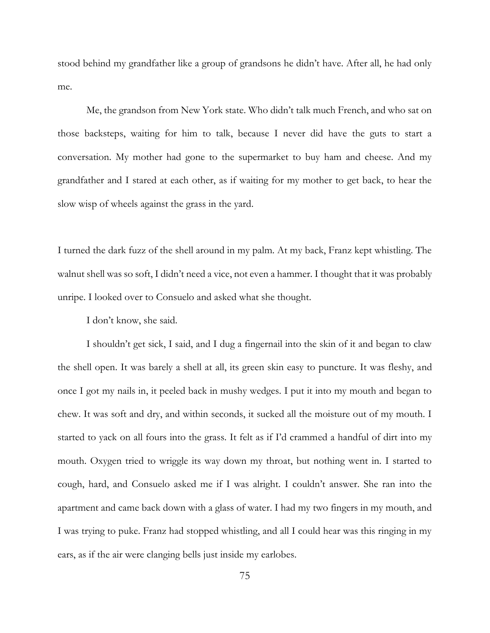stood behind my grandfather like a group of grandsons he didn't have. After all, he had only me.

Me, the grandson from New York state. Who didn't talk much French, and who sat on those backsteps, waiting for him to talk, because I never did have the guts to start a conversation. My mother had gone to the supermarket to buy ham and cheese. And my grandfather and I stared at each other, as if waiting for my mother to get back, to hear the slow wisp of wheels against the grass in the yard.

I turned the dark fuzz of the shell around in my palm. At my back, Franz kept whistling. The walnut shell was so soft, I didn't need a vice, not even a hammer. I thought that it was probably unripe. I looked over to Consuelo and asked what she thought.

I don't know, she said.

I shouldn't get sick, I said, and I dug a fingernail into the skin of it and began to claw the shell open. It was barely a shell at all, its green skin easy to puncture. It was fleshy, and once I got my nails in, it peeled back in mushy wedges. I put it into my mouth and began to chew. It was soft and dry, and within seconds, it sucked all the moisture out of my mouth. I started to yack on all fours into the grass. It felt as if I'd crammed a handful of dirt into my mouth. Oxygen tried to wriggle its way down my throat, but nothing went in. I started to cough, hard, and Consuelo asked me if I was alright. I couldn't answer. She ran into the apartment and came back down with a glass of water. I had my two fingers in my mouth, and I was trying to puke. Franz had stopped whistling, and all I could hear was this ringing in my ears, as if the air were clanging bells just inside my earlobes.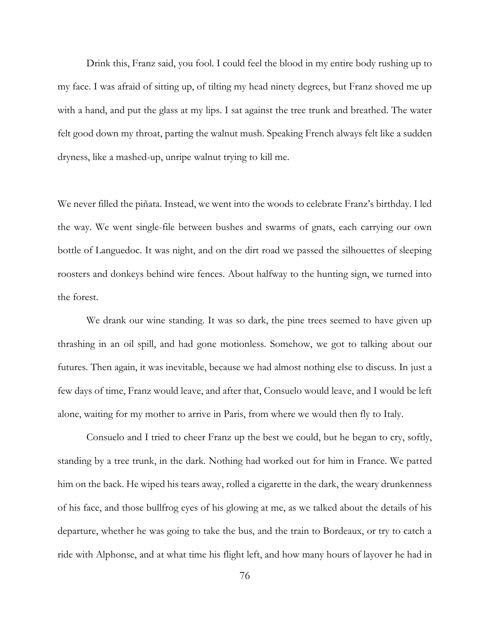Drink this, Franz said, you fool. I could feel the blood in my entire body rushing up to my face. I was afraid of sitting up, of tilting my head ninety degrees, but Franz shoved me up with a hand, and put the glass at my lips. I sat against the tree trunk and breathed. The water felt good down my throat, parting the walnut mush. Speaking French always felt like a sudden dryness, like a mashed-up, unripe walnut trying to kill me.

We never filled the piñata. Instead, we went into the woods to celebrate Franz's birthday. I led the way. We went single-file between bushes and swarms of gnats, each carrying our own bottle of Languedoc. It was night, and on the dirt road we passed the silhouettes of sleeping roosters and donkeys behind wire fences. About halfway to the hunting sign, we turned into the forest.

We drank our wine standing. It was so dark, the pine trees seemed to have given up thrashing in an oil spill, and had gone motionless. Somehow, we got to talking about our futures. Then again, it was inevitable, because we had almost nothing else to discuss. In just a few days of time, Franz would leave, and after that, Consuelo would leave, and I would be left alone, waiting for my mother to arrive in Paris, from where we would then fly to Italy.

Consuelo and I tried to cheer Franz up the best we could, but he began to cry, softly, standing by a tree trunk, in the dark. Nothing had worked out for him in France. We patted him on the back. He wiped his tears away, rolled a cigarette in the dark, the weary drunkenness of his face, and those bullfrog eyes of his glowing at me, as we talked about the details of his departure, whether he was going to take the bus, and the train to Bordeaux, or try to catch a ride with Alphonse, and at what time his flight left, and how many hours of layover he had in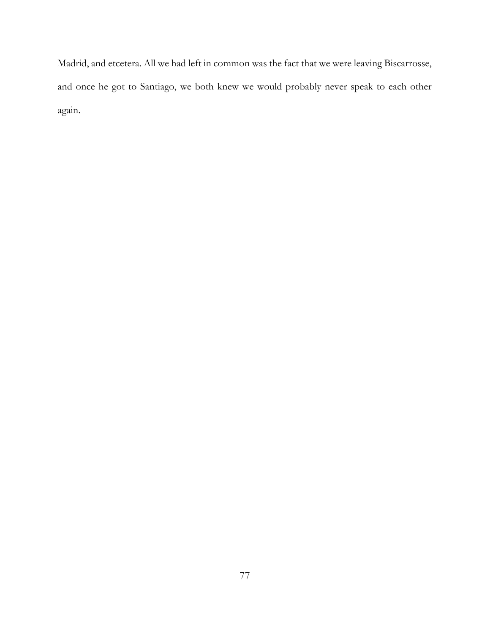Madrid, and etcetera. All we had left in common was the fact that we were leaving Biscarrosse, and once he got to Santiago, we both knew we would probably never speak to each other again.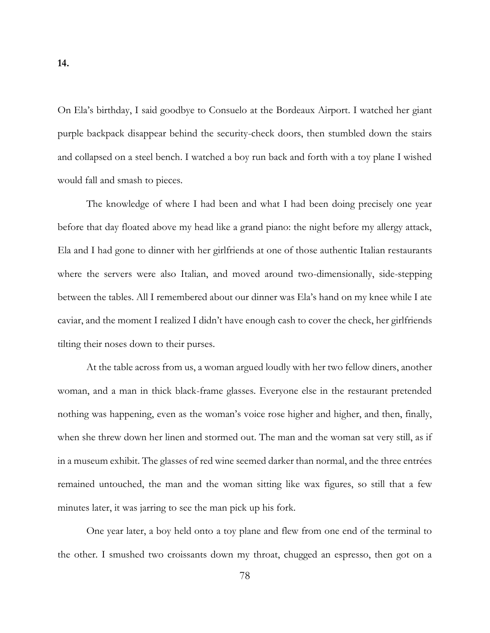On Ela's birthday, I said goodbye to Consuelo at the Bordeaux Airport. I watched her giant purple backpack disappear behind the security-check doors, then stumbled down the stairs and collapsed on a steel bench. I watched a boy run back and forth with a toy plane I wished would fall and smash to pieces.

The knowledge of where I had been and what I had been doing precisely one year before that day floated above my head like a grand piano: the night before my allergy attack, Ela and I had gone to dinner with her girlfriends at one of those authentic Italian restaurants where the servers were also Italian, and moved around two-dimensionally, side-stepping between the tables. All I remembered about our dinner was Ela's hand on my knee while I ate caviar, and the moment I realized I didn't have enough cash to cover the check, her girlfriends tilting their noses down to their purses.

At the table across from us, a woman argued loudly with her two fellow diners, another woman, and a man in thick black-frame glasses. Everyone else in the restaurant pretended nothing was happening, even as the woman's voice rose higher and higher, and then, finally, when she threw down her linen and stormed out. The man and the woman sat very still, as if in a museum exhibit. The glasses of red wine seemed darker than normal, and the three entrées remained untouched, the man and the woman sitting like wax figures, so still that a few minutes later, it was jarring to see the man pick up his fork.

One year later, a boy held onto a toy plane and flew from one end of the terminal to the other. I smushed two croissants down my throat, chugged an espresso, then got on a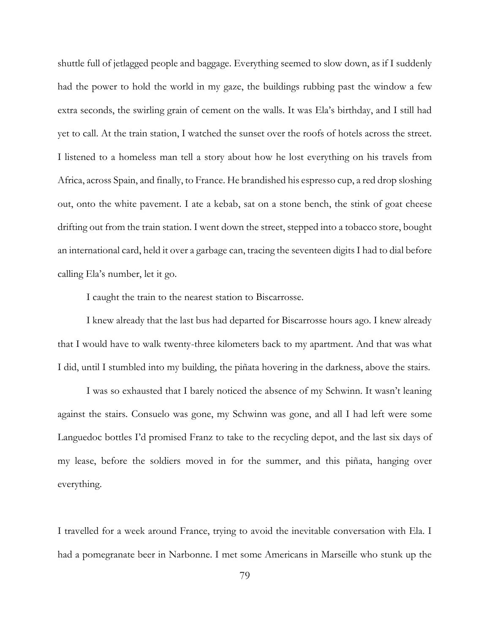shuttle full of jetlagged people and baggage. Everything seemed to slow down, as if I suddenly had the power to hold the world in my gaze, the buildings rubbing past the window a few extra seconds, the swirling grain of cement on the walls. It was Ela's birthday, and I still had yet to call. At the train station, I watched the sunset over the roofs of hotels across the street. I listened to a homeless man tell a story about how he lost everything on his travels from Africa, across Spain, and finally, to France. He brandished his espresso cup, a red drop sloshing out, onto the white pavement. I ate a kebab, sat on a stone bench, the stink of goat cheese drifting out from the train station. I went down the street, stepped into a tobacco store, bought an international card, held it over a garbage can, tracing the seventeen digits I had to dial before calling Ela's number, let it go.

I caught the train to the nearest station to Biscarrosse.

I knew already that the last bus had departed for Biscarrosse hours ago. I knew already that I would have to walk twenty-three kilometers back to my apartment. And that was what I did, until I stumbled into my building, the piñata hovering in the darkness, above the stairs.

I was so exhausted that I barely noticed the absence of my Schwinn. It wasn't leaning against the stairs. Consuelo was gone, my Schwinn was gone, and all I had left were some Languedoc bottles I'd promised Franz to take to the recycling depot, and the last six days of my lease, before the soldiers moved in for the summer, and this piñata, hanging over everything.

I travelled for a week around France, trying to avoid the inevitable conversation with Ela. I had a pomegranate beer in Narbonne. I met some Americans in Marseille who stunk up the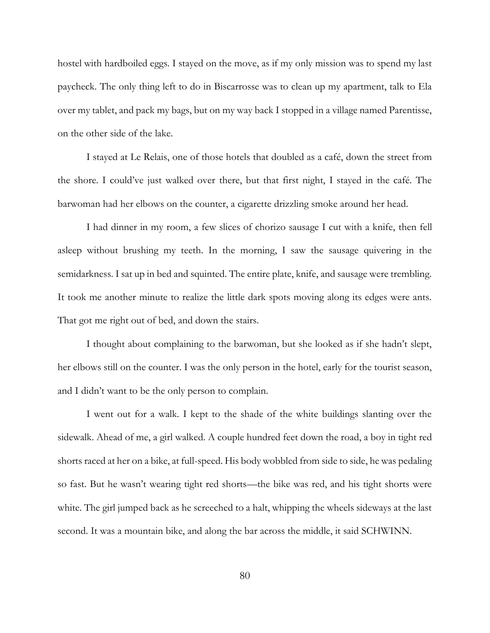hostel with hardboiled eggs. I stayed on the move, as if my only mission was to spend my last paycheck. The only thing left to do in Biscarrosse was to clean up my apartment, talk to Ela over my tablet, and pack my bags, but on my way back I stopped in a village named Parentisse, on the other side of the lake.

I stayed at Le Relais, one of those hotels that doubled as a café, down the street from the shore. I could've just walked over there, but that first night, I stayed in the café. The barwoman had her elbows on the counter, a cigarette drizzling smoke around her head.

I had dinner in my room, a few slices of chorizo sausage I cut with a knife, then fell asleep without brushing my teeth. In the morning, I saw the sausage quivering in the semidarkness. I sat up in bed and squinted. The entire plate, knife, and sausage were trembling. It took me another minute to realize the little dark spots moving along its edges were ants. That got me right out of bed, and down the stairs.

I thought about complaining to the barwoman, but she looked as if she hadn't slept, her elbows still on the counter. I was the only person in the hotel, early for the tourist season, and I didn't want to be the only person to complain.

I went out for a walk. I kept to the shade of the white buildings slanting over the sidewalk. Ahead of me, a girl walked. A couple hundred feet down the road, a boy in tight red shorts raced at her on a bike, at full-speed. His body wobbled from side to side, he was pedaling so fast. But he wasn't wearing tight red shorts—the bike was red, and his tight shorts were white. The girl jumped back as he screeched to a halt, whipping the wheels sideways at the last second. It was a mountain bike, and along the bar across the middle, it said SCHWINN.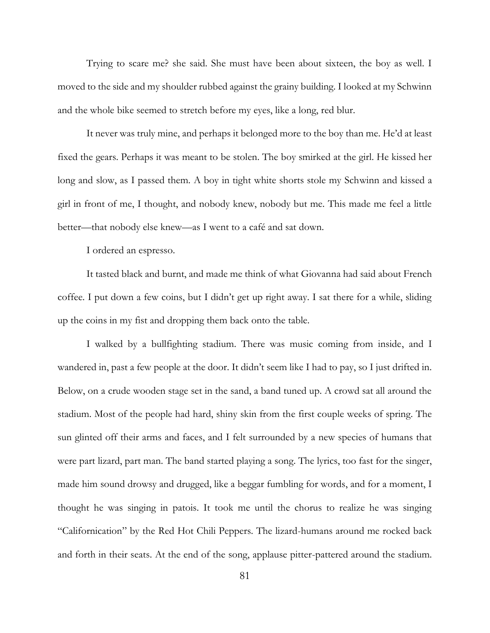Trying to scare me? she said. She must have been about sixteen, the boy as well. I moved to the side and my shoulder rubbed against the grainy building. I looked at my Schwinn and the whole bike seemed to stretch before my eyes, like a long, red blur.

It never was truly mine, and perhaps it belonged more to the boy than me. He'd at least fixed the gears. Perhaps it was meant to be stolen. The boy smirked at the girl. He kissed her long and slow, as I passed them. A boy in tight white shorts stole my Schwinn and kissed a girl in front of me, I thought, and nobody knew, nobody but me. This made me feel a little better—that nobody else knew—as I went to a café and sat down.

I ordered an espresso.

It tasted black and burnt, and made me think of what Giovanna had said about French coffee. I put down a few coins, but I didn't get up right away. I sat there for a while, sliding up the coins in my fist and dropping them back onto the table.

I walked by a bullfighting stadium. There was music coming from inside, and I wandered in, past a few people at the door. It didn't seem like I had to pay, so I just drifted in. Below, on a crude wooden stage set in the sand, a band tuned up. A crowd sat all around the stadium. Most of the people had hard, shiny skin from the first couple weeks of spring. The sun glinted off their arms and faces, and I felt surrounded by a new species of humans that were part lizard, part man. The band started playing a song. The lyrics, too fast for the singer, made him sound drowsy and drugged, like a beggar fumbling for words, and for a moment, I thought he was singing in patois. It took me until the chorus to realize he was singing "Californication" by the Red Hot Chili Peppers. The lizard-humans around me rocked back and forth in their seats. At the end of the song, applause pitter-pattered around the stadium.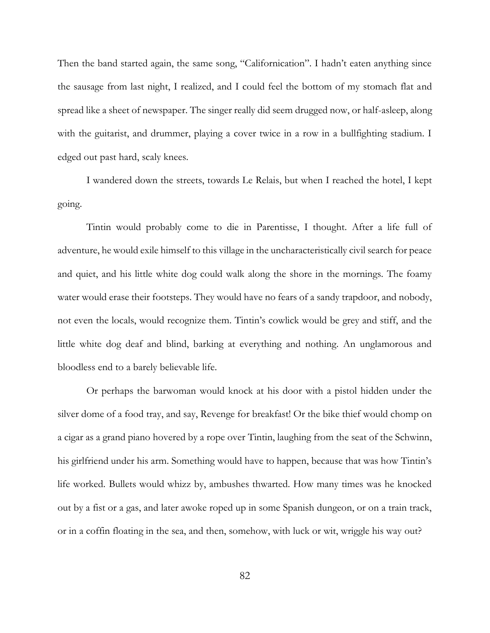Then the band started again, the same song, "Californication". I hadn't eaten anything since the sausage from last night, I realized, and I could feel the bottom of my stomach flat and spread like a sheet of newspaper. The singer really did seem drugged now, or half-asleep, along with the guitarist, and drummer, playing a cover twice in a row in a bullfighting stadium. I edged out past hard, scaly knees.

I wandered down the streets, towards Le Relais, but when I reached the hotel, I kept going.

Tintin would probably come to die in Parentisse, I thought. After a life full of adventure, he would exile himself to this village in the uncharacteristically civil search for peace and quiet, and his little white dog could walk along the shore in the mornings. The foamy water would erase their footsteps. They would have no fears of a sandy trapdoor, and nobody, not even the locals, would recognize them. Tintin's cowlick would be grey and stiff, and the little white dog deaf and blind, barking at everything and nothing. An unglamorous and bloodless end to a barely believable life.

Or perhaps the barwoman would knock at his door with a pistol hidden under the silver dome of a food tray, and say, Revenge for breakfast! Or the bike thief would chomp on a cigar as a grand piano hovered by a rope over Tintin, laughing from the seat of the Schwinn, his girlfriend under his arm. Something would have to happen, because that was how Tintin's life worked. Bullets would whizz by, ambushes thwarted. How many times was he knocked out by a fist or a gas, and later awoke roped up in some Spanish dungeon, or on a train track, or in a coffin floating in the sea, and then, somehow, with luck or wit, wriggle his way out?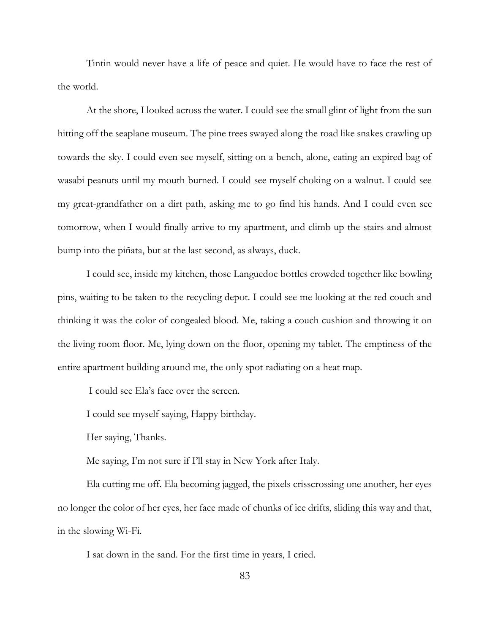Tintin would never have a life of peace and quiet. He would have to face the rest of the world.

At the shore, I looked across the water. I could see the small glint of light from the sun hitting off the seaplane museum. The pine trees swayed along the road like snakes crawling up towards the sky. I could even see myself, sitting on a bench, alone, eating an expired bag of wasabi peanuts until my mouth burned. I could see myself choking on a walnut. I could see my great-grandfather on a dirt path, asking me to go find his hands. And I could even see tomorrow, when I would finally arrive to my apartment, and climb up the stairs and almost bump into the piñata, but at the last second, as always, duck.

I could see, inside my kitchen, those Languedoc bottles crowded together like bowling pins, waiting to be taken to the recycling depot. I could see me looking at the red couch and thinking it was the color of congealed blood. Me, taking a couch cushion and throwing it on the living room floor. Me, lying down on the floor, opening my tablet. The emptiness of the entire apartment building around me, the only spot radiating on a heat map.

I could see Ela's face over the screen.

I could see myself saying, Happy birthday.

Her saying, Thanks.

Me saying, I'm not sure if I'll stay in New York after Italy.

Ela cutting me off. Ela becoming jagged, the pixels crisscrossing one another, her eyes no longer the color of her eyes, her face made of chunks of ice drifts, sliding this way and that, in the slowing Wi-Fi.

I sat down in the sand. For the first time in years, I cried.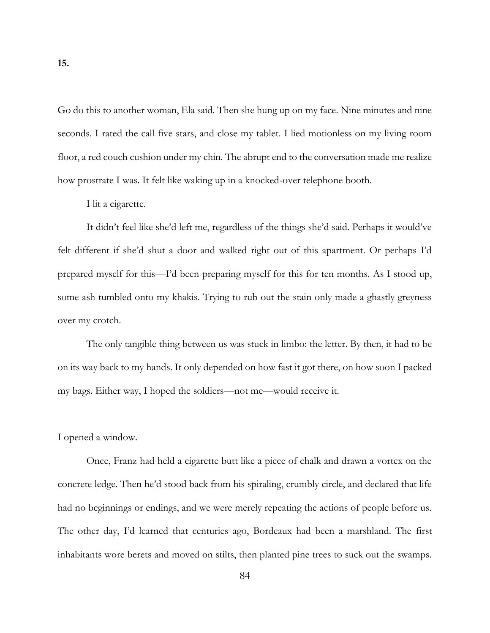Go do this to another woman, Ela said. Then she hung up on my face. Nine minutes and nine seconds. I rated the call five stars, and close my tablet. I lied motionless on my living room floor, a red couch cushion under my chin. The abrupt end to the conversation made me realize how prostrate I was. It felt like waking up in a knocked-over telephone booth.

## I lit a cigarette.

It didn't feel like she'd left me, regardless of the things she'd said. Perhaps it would've felt different if she'd shut a door and walked right out of this apartment. Or perhaps I'd prepared myself for this—I'd been preparing myself for this for ten months. As I stood up, some ash tumbled onto my khakis. Trying to rub out the stain only made a ghastly greyness over my crotch.

The only tangible thing between us was stuck in limbo: the letter. By then, it had to be on its way back to my hands. It only depended on how fast it got there, on how soon I packed my bags. Either way, I hoped the soldiers—not me—would receive it.

## I opened a window.

Once, Franz had held a cigarette butt like a piece of chalk and drawn a vortex on the concrete ledge. Then he'd stood back from his spiraling, crumbly circle, and declared that life had no beginnings or endings, and we were merely repeating the actions of people before us. The other day, I'd learned that centuries ago, Bordeaux had been a marshland. The first inhabitants wore berets and moved on stilts, then planted pine trees to suck out the swamps.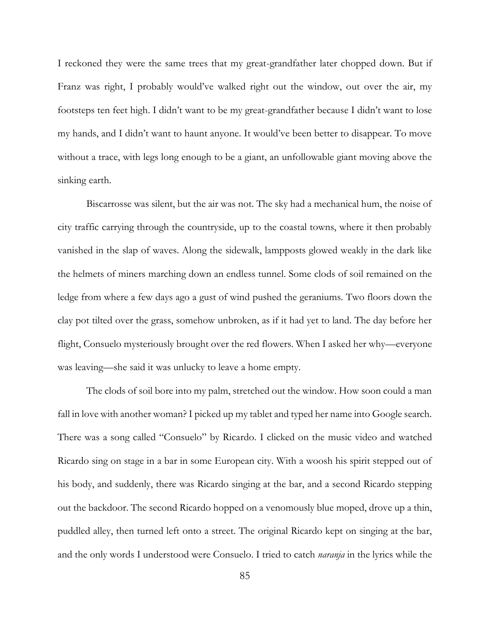I reckoned they were the same trees that my great-grandfather later chopped down. But if Franz was right, I probably would've walked right out the window, out over the air, my footsteps ten feet high. I didn't want to be my great-grandfather because I didn't want to lose my hands, and I didn't want to haunt anyone. It would've been better to disappear. To move without a trace, with legs long enough to be a giant, an unfollowable giant moving above the sinking earth.

Biscarrosse was silent, but the air was not. The sky had a mechanical hum, the noise of city traffic carrying through the countryside, up to the coastal towns, where it then probably vanished in the slap of waves. Along the sidewalk, lampposts glowed weakly in the dark like the helmets of miners marching down an endless tunnel. Some clods of soil remained on the ledge from where a few days ago a gust of wind pushed the geraniums. Two floors down the clay pot tilted over the grass, somehow unbroken, as if it had yet to land. The day before her flight, Consuelo mysteriously brought over the red flowers. When I asked her why—everyone was leaving—she said it was unlucky to leave a home empty.

The clods of soil bore into my palm, stretched out the window. How soon could a man fall in love with another woman? I picked up my tablet and typed her name into Google search. There was a song called "Consuelo" by Ricardo. I clicked on the music video and watched Ricardo sing on stage in a bar in some European city. With a woosh his spirit stepped out of his body, and suddenly, there was Ricardo singing at the bar, and a second Ricardo stepping out the backdoor. The second Ricardo hopped on a venomously blue moped, drove up a thin, puddled alley, then turned left onto a street. The original Ricardo kept on singing at the bar, and the only words I understood were Consuelo. I tried to catch *naranja* in the lyrics while the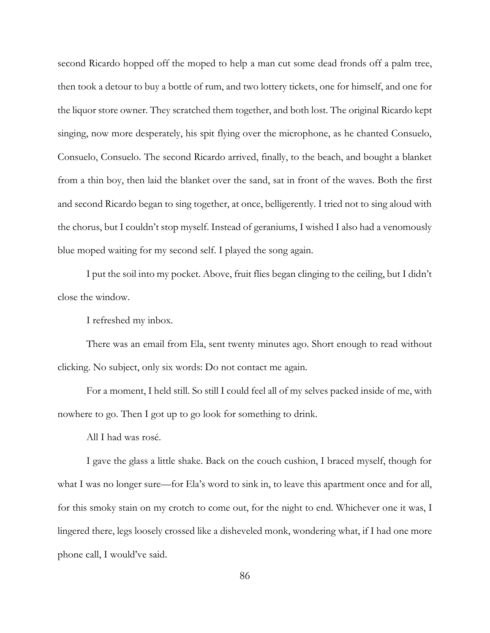second Ricardo hopped off the moped to help a man cut some dead fronds off a palm tree, then took a detour to buy a bottle of rum, and two lottery tickets, one for himself, and one for the liquor store owner. They scratched them together, and both lost. The original Ricardo kept singing, now more desperately, his spit flying over the microphone, as he chanted Consuelo, Consuelo, Consuelo. The second Ricardo arrived, finally, to the beach, and bought a blanket from a thin boy, then laid the blanket over the sand, sat in front of the waves. Both the first and second Ricardo began to sing together, at once, belligerently. I tried not to sing aloud with the chorus, but I couldn't stop myself. Instead of geraniums, I wished I also had a venomously blue moped waiting for my second self. I played the song again.

I put the soil into my pocket. Above, fruit flies began clinging to the ceiling, but I didn't close the window.

I refreshed my inbox.

There was an email from Ela, sent twenty minutes ago. Short enough to read without clicking. No subject, only six words: Do not contact me again.

For a moment, I held still. So still I could feel all of my selves packed inside of me, with nowhere to go. Then I got up to go look for something to drink.

All I had was rosé.

I gave the glass a little shake. Back on the couch cushion, I braced myself, though for what I was no longer sure—for Ela's word to sink in, to leave this apartment once and for all, for this smoky stain on my crotch to come out, for the night to end. Whichever one it was, I lingered there, legs loosely crossed like a disheveled monk, wondering what, if I had one more phone call, I would've said.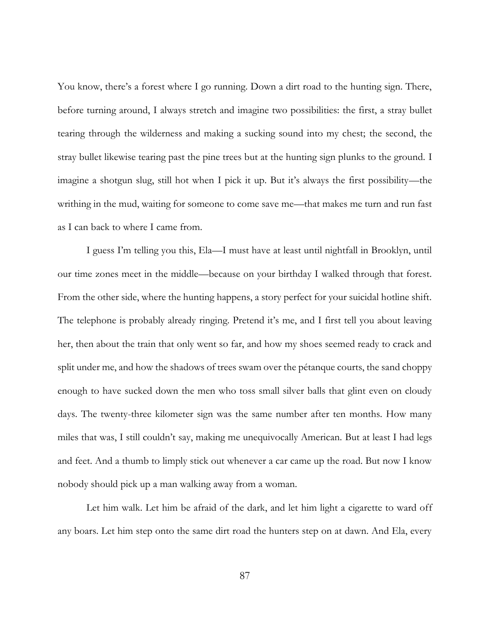You know, there's a forest where I go running. Down a dirt road to the hunting sign. There, before turning around, I always stretch and imagine two possibilities: the first, a stray bullet tearing through the wilderness and making a sucking sound into my chest; the second, the stray bullet likewise tearing past the pine trees but at the hunting sign plunks to the ground. I imagine a shotgun slug, still hot when I pick it up. But it's always the first possibility—the writhing in the mud, waiting for someone to come save me—that makes me turn and run fast as I can back to where I came from.

I guess I'm telling you this, Ela—I must have at least until nightfall in Brooklyn, until our time zones meet in the middle—because on your birthday I walked through that forest. From the other side, where the hunting happens, a story perfect for your suicidal hotline shift. The telephone is probably already ringing. Pretend it's me, and I first tell you about leaving her, then about the train that only went so far, and how my shoes seemed ready to crack and split under me, and how the shadows of trees swam over the pétanque courts, the sand choppy enough to have sucked down the men who toss small silver balls that glint even on cloudy days. The twenty-three kilometer sign was the same number after ten months. How many miles that was, I still couldn't say, making me unequivocally American. But at least I had legs and feet. And a thumb to limply stick out whenever a car came up the road. But now I know nobody should pick up a man walking away from a woman.

Let him walk. Let him be afraid of the dark, and let him light a cigarette to ward off any boars. Let him step onto the same dirt road the hunters step on at dawn. And Ela, every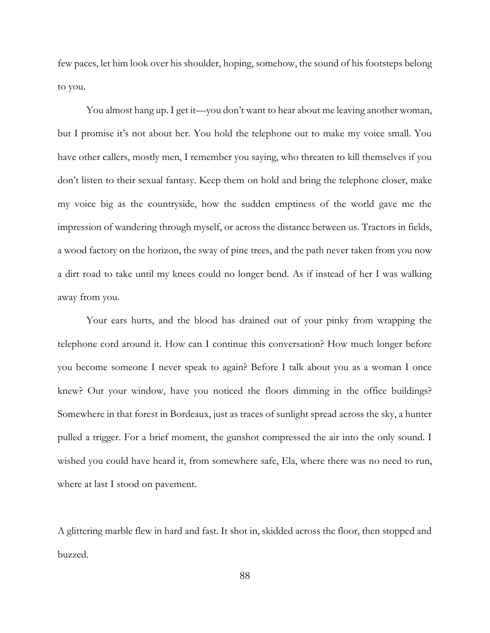few paces, let him look over his shoulder, hoping, somehow, the sound of his footsteps belong to you.

You almost hang up. I get it—you don't want to hear about me leaving another woman, but I promise it's not about her. You hold the telephone out to make my voice small. You have other callers, mostly men, I remember you saying, who threaten to kill themselves if you don't listen to their sexual fantasy. Keep them on hold and bring the telephone closer, make my voice big as the countryside, how the sudden emptiness of the world gave me the impression of wandering through myself, or across the distance between us. Tractors in fields, a wood factory on the horizon, the sway of pine trees, and the path never taken from you now a dirt road to take until my knees could no longer bend. As if instead of her I was walking away from you.

Your ears hurts, and the blood has drained out of your pinky from wrapping the telephone cord around it. How can I continue this conversation? How much longer before you become someone I never speak to again? Before I talk about you as a woman I once knew? Out your window, have you noticed the floors dimming in the office buildings? Somewhere in that forest in Bordeaux, just as traces of sunlight spread across the sky, a hunter pulled a trigger. For a brief moment, the gunshot compressed the air into the only sound. I wished you could have heard it, from somewhere safe, Ela, where there was no need to run, where at last I stood on pavement.

A glittering marble flew in hard and fast. It shot in, skidded across the floor, then stopped and buzzed.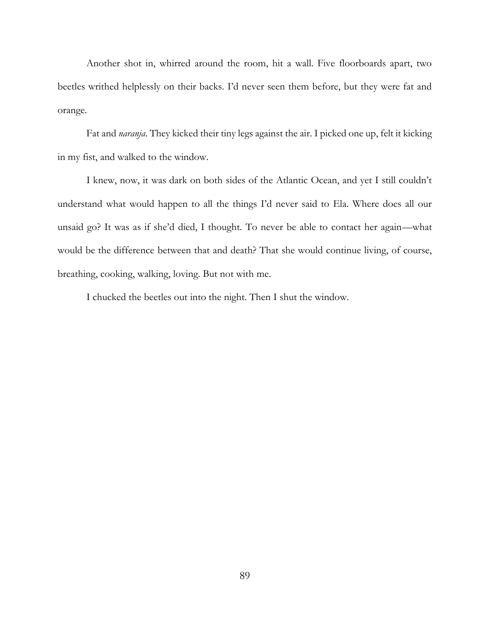Another shot in, whirred around the room, hit a wall. Five floorboards apart, two beetles writhed helplessly on their backs. I'd never seen them before, but they were fat and orange.

Fat and *naranja*. They kicked their tiny legs against the air. I picked one up, felt it kicking in my fist, and walked to the window.

I knew, now, it was dark on both sides of the Atlantic Ocean, and yet I still couldn't understand what would happen to all the things I'd never said to Ela. Where does all our unsaid go? It was as if she'd died, I thought. To never be able to contact her again—what would be the difference between that and death? That she would continue living, of course, breathing, cooking, walking, loving. But not with me.

I chucked the beetles out into the night. Then I shut the window.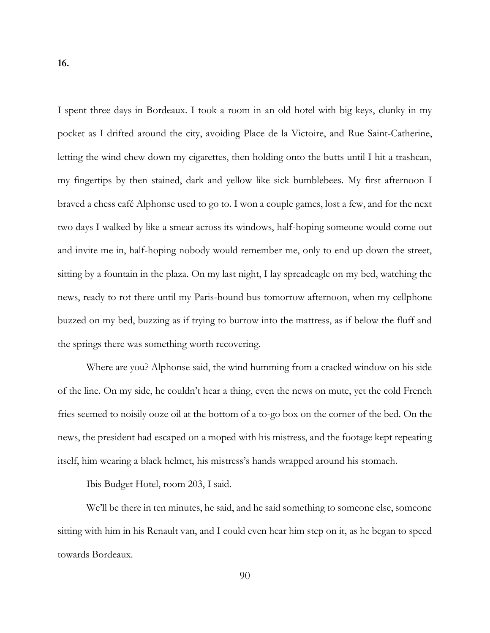**16.**

I spent three days in Bordeaux. I took a room in an old hotel with big keys, clunky in my pocket as I drifted around the city, avoiding Place de la Victoire, and Rue Saint-Catherine, letting the wind chew down my cigarettes, then holding onto the butts until I hit a trashcan, my fingertips by then stained, dark and yellow like sick bumblebees. My first afternoon I braved a chess café Alphonse used to go to. I won a couple games, lost a few, and for the next two days I walked by like a smear across its windows, half-hoping someone would come out and invite me in, half-hoping nobody would remember me, only to end up down the street, sitting by a fountain in the plaza. On my last night, I lay spreadeagle on my bed, watching the news, ready to rot there until my Paris-bound bus tomorrow afternoon, when my cellphone buzzed on my bed, buzzing as if trying to burrow into the mattress, as if below the fluff and the springs there was something worth recovering.

Where are you? Alphonse said, the wind humming from a cracked window on his side of the line. On my side, he couldn't hear a thing, even the news on mute, yet the cold French fries seemed to noisily ooze oil at the bottom of a to-go box on the corner of the bed. On the news, the president had escaped on a moped with his mistress, and the footage kept repeating itself, him wearing a black helmet, his mistress's hands wrapped around his stomach.

Ibis Budget Hotel, room 203, I said.

We'll be there in ten minutes, he said, and he said something to someone else, someone sitting with him in his Renault van, and I could even hear him step on it, as he began to speed towards Bordeaux.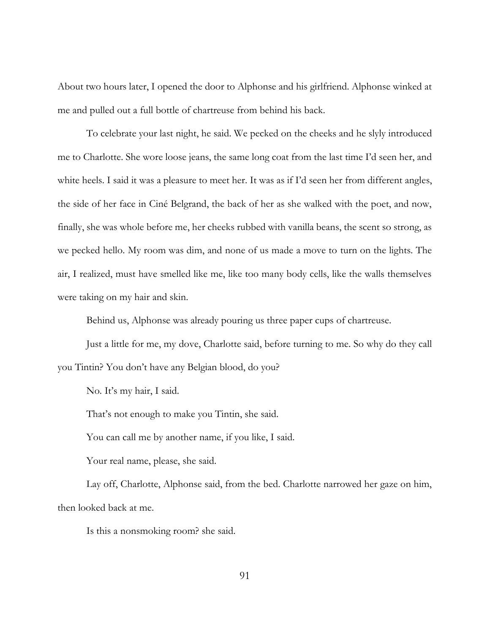About two hours later, I opened the door to Alphonse and his girlfriend. Alphonse winked at me and pulled out a full bottle of chartreuse from behind his back.

To celebrate your last night, he said. We pecked on the cheeks and he slyly introduced me to Charlotte. She wore loose jeans, the same long coat from the last time I'd seen her, and white heels. I said it was a pleasure to meet her. It was as if I'd seen her from different angles, the side of her face in Ciné Belgrand, the back of her as she walked with the poet, and now, finally, she was whole before me, her cheeks rubbed with vanilla beans, the scent so strong, as we pecked hello. My room was dim, and none of us made a move to turn on the lights. The air, I realized, must have smelled like me, like too many body cells, like the walls themselves were taking on my hair and skin.

Behind us, Alphonse was already pouring us three paper cups of chartreuse.

Just a little for me, my dove, Charlotte said, before turning to me. So why do they call you Tintin? You don't have any Belgian blood, do you?

No. It's my hair, I said.

That's not enough to make you Tintin, she said.

You can call me by another name, if you like, I said.

Your real name, please, she said.

Lay off, Charlotte, Alphonse said, from the bed. Charlotte narrowed her gaze on him, then looked back at me.

Is this a nonsmoking room? she said.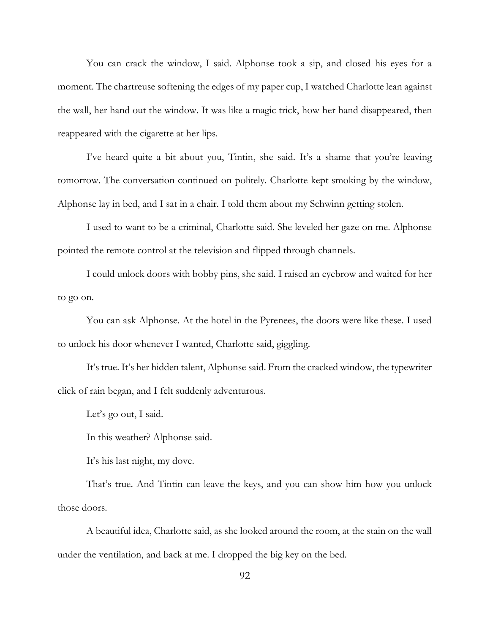You can crack the window, I said. Alphonse took a sip, and closed his eyes for a moment. The chartreuse softening the edges of my paper cup, I watched Charlotte lean against the wall, her hand out the window. It was like a magic trick, how her hand disappeared, then reappeared with the cigarette at her lips.

I've heard quite a bit about you, Tintin, she said. It's a shame that you're leaving tomorrow. The conversation continued on politely. Charlotte kept smoking by the window, Alphonse lay in bed, and I sat in a chair. I told them about my Schwinn getting stolen.

I used to want to be a criminal, Charlotte said. She leveled her gaze on me. Alphonse pointed the remote control at the television and flipped through channels.

I could unlock doors with bobby pins, she said. I raised an eyebrow and waited for her to go on.

You can ask Alphonse. At the hotel in the Pyrenees, the doors were like these. I used to unlock his door whenever I wanted, Charlotte said, giggling.

It's true. It's her hidden talent, Alphonse said. From the cracked window, the typewriter click of rain began, and I felt suddenly adventurous.

Let's go out, I said.

In this weather? Alphonse said.

It's his last night, my dove.

That's true. And Tintin can leave the keys, and you can show him how you unlock those doors.

A beautiful idea, Charlotte said, as she looked around the room, at the stain on the wall under the ventilation, and back at me. I dropped the big key on the bed.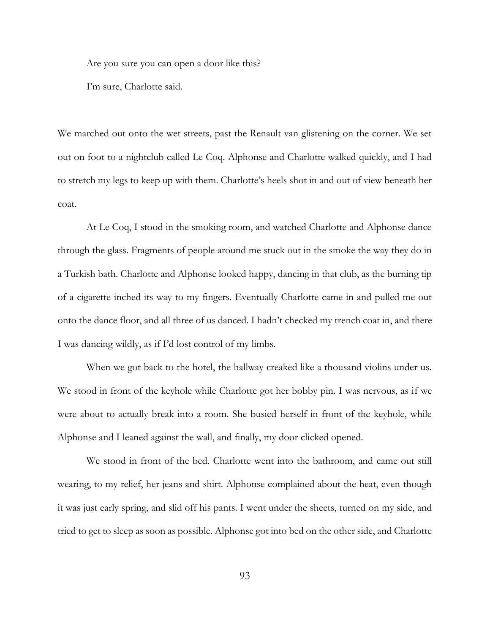Are you sure you can open a door like this?

I'm sure, Charlotte said.

We marched out onto the wet streets, past the Renault van glistening on the corner. We set out on foot to a nightclub called Le Coq. Alphonse and Charlotte walked quickly, and I had to stretch my legs to keep up with them. Charlotte's heels shot in and out of view beneath her coat.

At Le Coq, I stood in the smoking room, and watched Charlotte and Alphonse dance through the glass. Fragments of people around me stuck out in the smoke the way they do in a Turkish bath. Charlotte and Alphonse looked happy, dancing in that club, as the burning tip of a cigarette inched its way to my fingers. Eventually Charlotte came in and pulled me out onto the dance floor, and all three of us danced. I hadn't checked my trench coat in, and there I was dancing wildly, as if I'd lost control of my limbs.

When we got back to the hotel, the hallway creaked like a thousand violins under us. We stood in front of the keyhole while Charlotte got her bobby pin. I was nervous, as if we were about to actually break into a room. She busied herself in front of the keyhole, while Alphonse and I leaned against the wall, and finally, my door clicked opened.

We stood in front of the bed. Charlotte went into the bathroom, and came out still wearing, to my relief, her jeans and shirt. Alphonse complained about the heat, even though it was just early spring, and slid off his pants. I went under the sheets, turned on my side, and tried to get to sleep as soon as possible. Alphonse got into bed on the other side, and Charlotte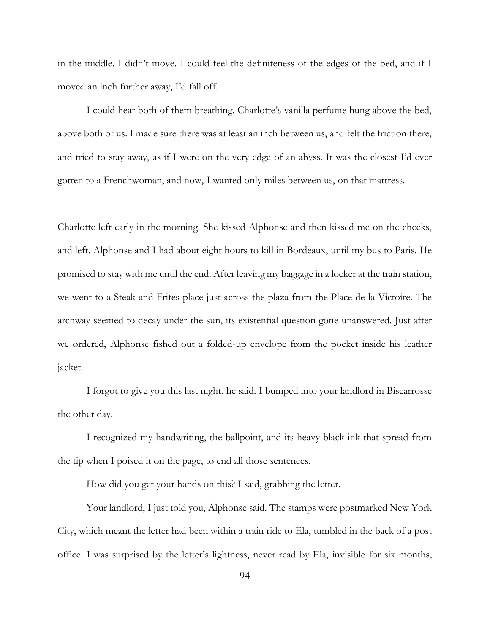in the middle. I didn't move. I could feel the definiteness of the edges of the bed, and if I moved an inch further away, I'd fall off.

I could hear both of them breathing. Charlotte's vanilla perfume hung above the bed, above both of us. I made sure there was at least an inch between us, and felt the friction there, and tried to stay away, as if I were on the very edge of an abyss. It was the closest I'd ever gotten to a Frenchwoman, and now, I wanted only miles between us, on that mattress.

Charlotte left early in the morning. She kissed Alphonse and then kissed me on the cheeks, and left. Alphonse and I had about eight hours to kill in Bordeaux, until my bus to Paris. He promised to stay with me until the end. After leaving my baggage in a locker at the train station, we went to a Steak and Frites place just across the plaza from the Place de la Victoire. The archway seemed to decay under the sun, its existential question gone unanswered. Just after we ordered, Alphonse fished out a folded-up envelope from the pocket inside his leather jacket.

I forgot to give you this last night, he said. I bumped into your landlord in Biscarrosse the other day.

I recognized my handwriting, the ballpoint, and its heavy black ink that spread from the tip when I poised it on the page, to end all those sentences.

How did you get your hands on this? I said, grabbing the letter.

Your landlord, I just told you, Alphonse said. The stamps were postmarked New York City, which meant the letter had been within a train ride to Ela, tumbled in the back of a post office. I was surprised by the letter's lightness, never read by Ela, invisible for six months,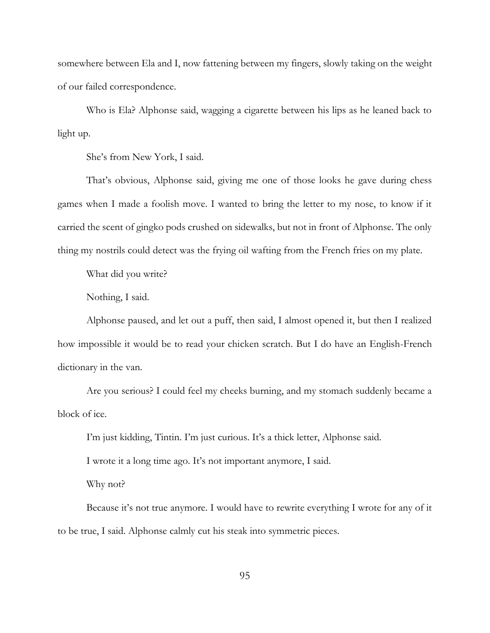somewhere between Ela and I, now fattening between my fingers, slowly taking on the weight of our failed correspondence.

Who is Ela? Alphonse said, wagging a cigarette between his lips as he leaned back to light up.

She's from New York, I said.

That's obvious, Alphonse said, giving me one of those looks he gave during chess games when I made a foolish move. I wanted to bring the letter to my nose, to know if it carried the scent of gingko pods crushed on sidewalks, but not in front of Alphonse. The only thing my nostrils could detect was the frying oil wafting from the French fries on my plate.

What did you write?

Nothing, I said.

Alphonse paused, and let out a puff, then said, I almost opened it, but then I realized how impossible it would be to read your chicken scratch. But I do have an English-French dictionary in the van.

Are you serious? I could feel my cheeks burning, and my stomach suddenly became a block of ice.

I'm just kidding, Tintin. I'm just curious. It's a thick letter, Alphonse said.

I wrote it a long time ago. It's not important anymore, I said.

Why not?

Because it's not true anymore. I would have to rewrite everything I wrote for any of it to be true, I said. Alphonse calmly cut his steak into symmetric pieces.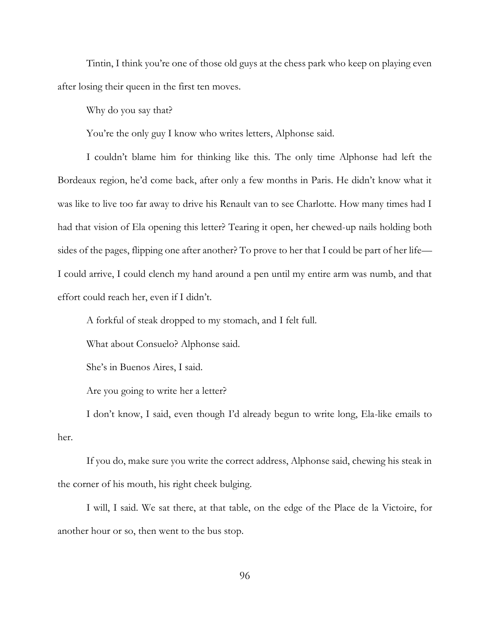Tintin, I think you're one of those old guys at the chess park who keep on playing even after losing their queen in the first ten moves.

Why do you say that?

You're the only guy I know who writes letters, Alphonse said.

I couldn't blame him for thinking like this. The only time Alphonse had left the Bordeaux region, he'd come back, after only a few months in Paris. He didn't know what it was like to live too far away to drive his Renault van to see Charlotte. How many times had I had that vision of Ela opening this letter? Tearing it open, her chewed-up nails holding both sides of the pages, flipping one after another? To prove to her that I could be part of her life— I could arrive, I could clench my hand around a pen until my entire arm was numb, and that effort could reach her, even if I didn't.

A forkful of steak dropped to my stomach, and I felt full.

What about Consuelo? Alphonse said.

She's in Buenos Aires, I said.

Are you going to write her a letter?

I don't know, I said, even though I'd already begun to write long, Ela-like emails to her.

If you do, make sure you write the correct address, Alphonse said, chewing his steak in the corner of his mouth, his right cheek bulging.

I will, I said. We sat there, at that table, on the edge of the Place de la Victoire, for another hour or so, then went to the bus stop.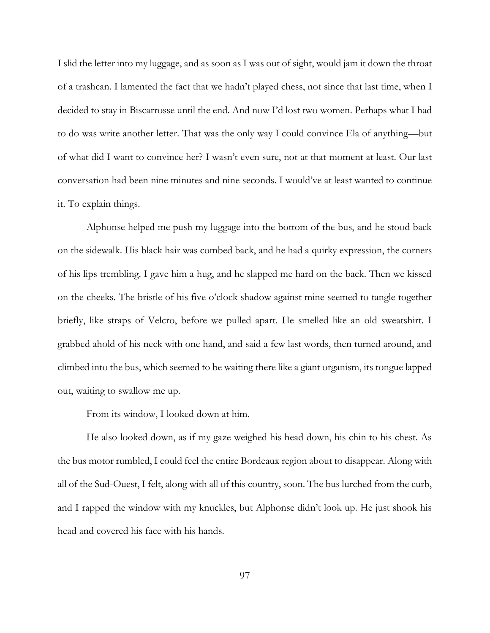I slid the letter into my luggage, and as soon as I was out of sight, would jam it down the throat of a trashcan. I lamented the fact that we hadn't played chess, not since that last time, when I decided to stay in Biscarrosse until the end. And now I'd lost two women. Perhaps what I had to do was write another letter. That was the only way I could convince Ela of anything—but of what did I want to convince her? I wasn't even sure, not at that moment at least. Our last conversation had been nine minutes and nine seconds. I would've at least wanted to continue it. To explain things.

Alphonse helped me push my luggage into the bottom of the bus, and he stood back on the sidewalk. His black hair was combed back, and he had a quirky expression, the corners of his lips trembling. I gave him a hug, and he slapped me hard on the back. Then we kissed on the cheeks. The bristle of his five o'clock shadow against mine seemed to tangle together briefly, like straps of Velcro, before we pulled apart. He smelled like an old sweatshirt. I grabbed ahold of his neck with one hand, and said a few last words, then turned around, and climbed into the bus, which seemed to be waiting there like a giant organism, its tongue lapped out, waiting to swallow me up.

From its window, I looked down at him.

He also looked down, as if my gaze weighed his head down, his chin to his chest. As the bus motor rumbled, I could feel the entire Bordeaux region about to disappear. Along with all of the Sud-Ouest, I felt, along with all of this country, soon. The bus lurched from the curb, and I rapped the window with my knuckles, but Alphonse didn't look up. He just shook his head and covered his face with his hands.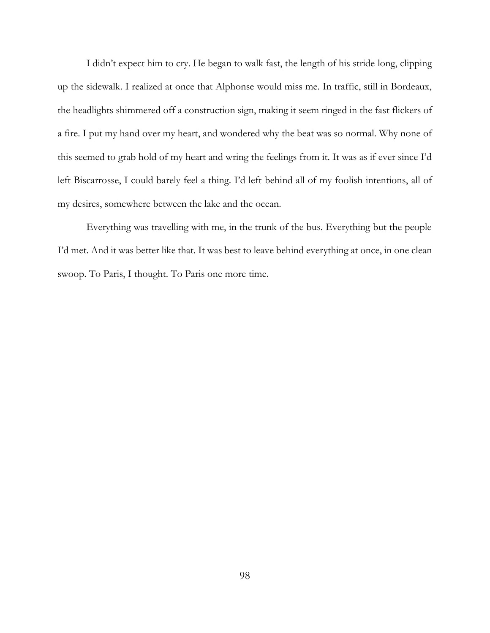I didn't expect him to cry. He began to walk fast, the length of his stride long, clipping up the sidewalk. I realized at once that Alphonse would miss me. In traffic, still in Bordeaux, the headlights shimmered off a construction sign, making it seem ringed in the fast flickers of a fire. I put my hand over my heart, and wondered why the beat was so normal. Why none of this seemed to grab hold of my heart and wring the feelings from it. It was as if ever since I'd left Biscarrosse, I could barely feel a thing. I'd left behind all of my foolish intentions, all of my desires, somewhere between the lake and the ocean.

Everything was travelling with me, in the trunk of the bus. Everything but the people I'd met. And it was better like that. It was best to leave behind everything at once, in one clean swoop. To Paris, I thought. To Paris one more time.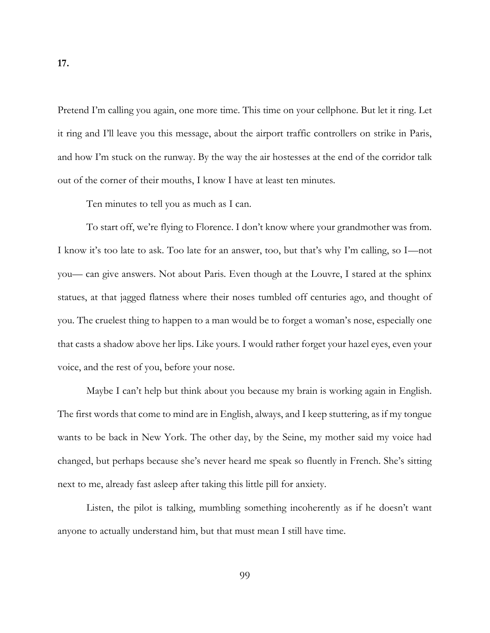Pretend I'm calling you again, one more time. This time on your cellphone. But let it ring. Let it ring and I'll leave you this message, about the airport traffic controllers on strike in Paris, and how I'm stuck on the runway. By the way the air hostesses at the end of the corridor talk out of the corner of their mouths, I know I have at least ten minutes.

Ten minutes to tell you as much as I can.

To start off, we're flying to Florence. I don't know where your grandmother was from. I know it's too late to ask. Too late for an answer, too, but that's why I'm calling, so I—not you— can give answers. Not about Paris. Even though at the Louvre, I stared at the sphinx statues, at that jagged flatness where their noses tumbled off centuries ago, and thought of you. The cruelest thing to happen to a man would be to forget a woman's nose, especially one that casts a shadow above her lips. Like yours. I would rather forget your hazel eyes, even your voice, and the rest of you, before your nose.

Maybe I can't help but think about you because my brain is working again in English. The first words that come to mind are in English, always, and I keep stuttering, as if my tongue wants to be back in New York. The other day, by the Seine, my mother said my voice had changed, but perhaps because she's never heard me speak so fluently in French. She's sitting next to me, already fast asleep after taking this little pill for anxiety.

Listen, the pilot is talking, mumbling something incoherently as if he doesn't want anyone to actually understand him, but that must mean I still have time.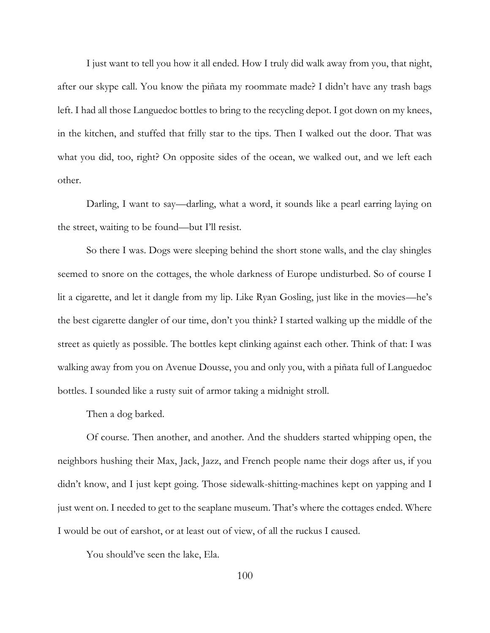I just want to tell you how it all ended. How I truly did walk away from you, that night, after our skype call. You know the piñata my roommate made? I didn't have any trash bags left. I had all those Languedoc bottles to bring to the recycling depot. I got down on my knees, in the kitchen, and stuffed that frilly star to the tips. Then I walked out the door. That was what you did, too, right? On opposite sides of the ocean, we walked out, and we left each other.

Darling, I want to say—darling, what a word, it sounds like a pearl earring laying on the street, waiting to be found—but I'll resist.

So there I was. Dogs were sleeping behind the short stone walls, and the clay shingles seemed to snore on the cottages, the whole darkness of Europe undisturbed. So of course I lit a cigarette, and let it dangle from my lip. Like Ryan Gosling, just like in the movies—he's the best cigarette dangler of our time, don't you think? I started walking up the middle of the street as quietly as possible. The bottles kept clinking against each other. Think of that: I was walking away from you on Avenue Dousse, you and only you, with a piñata full of Languedoc bottles. I sounded like a rusty suit of armor taking a midnight stroll.

Then a dog barked.

Of course. Then another, and another. And the shudders started whipping open, the neighbors hushing their Max, Jack, Jazz, and French people name their dogs after us, if you didn't know, and I just kept going. Those sidewalk-shitting-machines kept on yapping and I just went on. I needed to get to the seaplane museum. That's where the cottages ended. Where I would be out of earshot, or at least out of view, of all the ruckus I caused.

You should've seen the lake, Ela.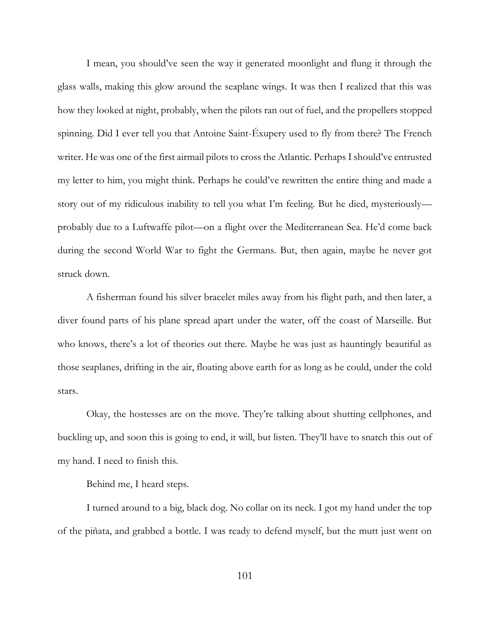I mean, you should've seen the way it generated moonlight and flung it through the glass walls, making this glow around the seaplane wings. It was then I realized that this was how they looked at night, probably, when the pilots ran out of fuel, and the propellers stopped spinning. Did I ever tell you that Antoine Saint-Éxupery used to fly from there? The French writer. He was one of the first airmail pilots to cross the Atlantic. Perhaps I should've entrusted my letter to him, you might think. Perhaps he could've rewritten the entire thing and made a story out of my ridiculous inability to tell you what I'm feeling. But he died, mysteriously probably due to a Luftwaffe pilot—on a flight over the Mediterranean Sea. He'd come back during the second World War to fight the Germans. But, then again, maybe he never got struck down.

A fisherman found his silver bracelet miles away from his flight path, and then later, a diver found parts of his plane spread apart under the water, off the coast of Marseille. But who knows, there's a lot of theories out there. Maybe he was just as hauntingly beautiful as those seaplanes, drifting in the air, floating above earth for as long as he could, under the cold stars.

Okay, the hostesses are on the move. They're talking about shutting cellphones, and buckling up, and soon this is going to end, it will, but listen. They'll have to snatch this out of my hand. I need to finish this.

Behind me, I heard steps.

I turned around to a big, black dog. No collar on its neck. I got my hand under the top of the piñata, and grabbed a bottle. I was ready to defend myself, but the mutt just went on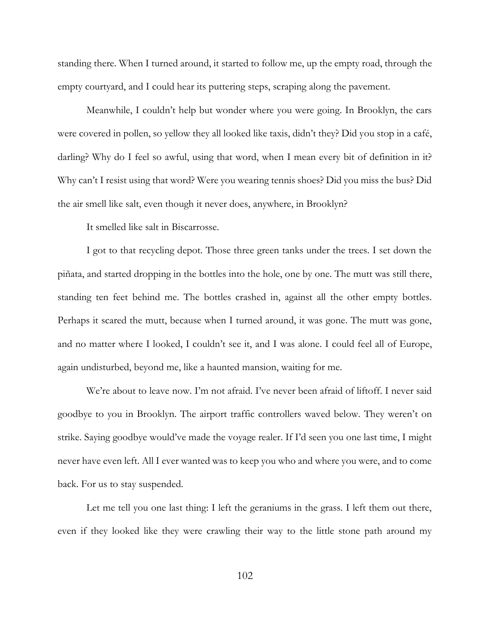standing there. When I turned around, it started to follow me, up the empty road, through the empty courtyard, and I could hear its puttering steps, scraping along the pavement.

Meanwhile, I couldn't help but wonder where you were going. In Brooklyn, the cars were covered in pollen, so yellow they all looked like taxis, didn't they? Did you stop in a café, darling? Why do I feel so awful, using that word, when I mean every bit of definition in it? Why can't I resist using that word? Were you wearing tennis shoes? Did you miss the bus? Did the air smell like salt, even though it never does, anywhere, in Brooklyn?

It smelled like salt in Biscarrosse.

I got to that recycling depot. Those three green tanks under the trees. I set down the piñata, and started dropping in the bottles into the hole, one by one. The mutt was still there, standing ten feet behind me. The bottles crashed in, against all the other empty bottles. Perhaps it scared the mutt, because when I turned around, it was gone. The mutt was gone, and no matter where I looked, I couldn't see it, and I was alone. I could feel all of Europe, again undisturbed, beyond me, like a haunted mansion, waiting for me.

We're about to leave now. I'm not afraid. I've never been afraid of liftoff. I never said goodbye to you in Brooklyn. The airport traffic controllers waved below. They weren't on strike. Saying goodbye would've made the voyage realer. If I'd seen you one last time, I might never have even left. All I ever wanted was to keep you who and where you were, and to come back. For us to stay suspended.

Let me tell you one last thing: I left the geraniums in the grass. I left them out there, even if they looked like they were crawling their way to the little stone path around my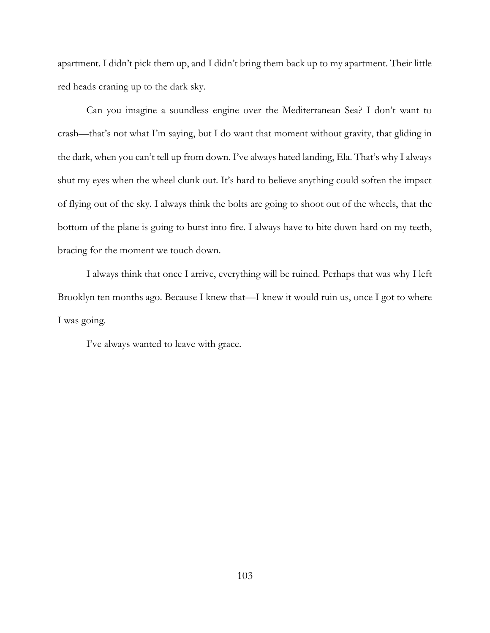apartment. I didn't pick them up, and I didn't bring them back up to my apartment. Their little red heads craning up to the dark sky.

Can you imagine a soundless engine over the Mediterranean Sea? I don't want to crash—that's not what I'm saying, but I do want that moment without gravity, that gliding in the dark, when you can't tell up from down. I've always hated landing, Ela. That's why I always shut my eyes when the wheel clunk out. It's hard to believe anything could soften the impact of flying out of the sky. I always think the bolts are going to shoot out of the wheels, that the bottom of the plane is going to burst into fire. I always have to bite down hard on my teeth, bracing for the moment we touch down.

I always think that once I arrive, everything will be ruined. Perhaps that was why I left Brooklyn ten months ago. Because I knew that—I knew it would ruin us, once I got to where I was going.

I've always wanted to leave with grace.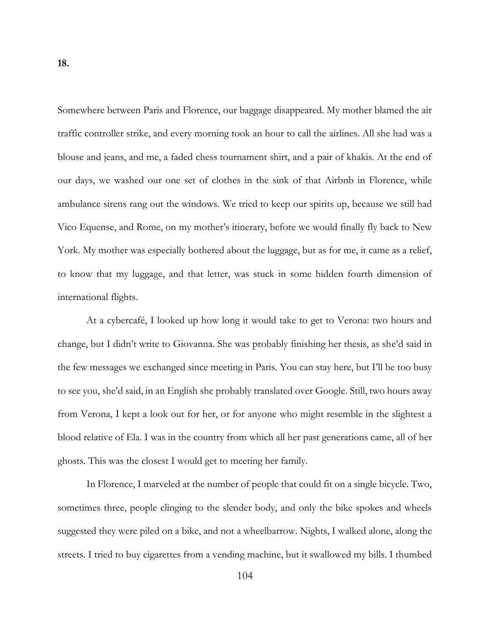Somewhere between Paris and Florence, our baggage disappeared. My mother blamed the air traffic controller strike, and every morning took an hour to call the airlines. All she had was a blouse and jeans, and me, a faded chess tournament shirt, and a pair of khakis. At the end of our days, we washed our one set of clothes in the sink of that Airbnb in Florence, while ambulance sirens rang out the windows. We tried to keep our spirits up, because we still had Vico Equense, and Rome, on my mother's itinerary, before we would finally fly back to New York. My mother was especially bothered about the luggage, but as for me, it came as a relief, to know that my luggage, and that letter, was stuck in some hidden fourth dimension of international flights.

At a cybercafé, I looked up how long it would take to get to Verona: two hours and change, but I didn't write to Giovanna. She was probably finishing her thesis, as she'd said in the few messages we exchanged since meeting in Paris. You can stay here, but I'll be too busy to see you, she'd said, in an English she probably translated over Google. Still, two hours away from Verona, I kept a look out for her, or for anyone who might resemble in the slightest a blood relative of Ela. I was in the country from which all her past generations came, all of her ghosts. This was the closest I would get to meeting her family.

In Florence, I marveled at the number of people that could fit on a single bicycle. Two, sometimes three, people clinging to the slender body, and only the bike spokes and wheels suggested they were piled on a bike, and not a wheelbarrow. Nights, I walked alone, along the streets. I tried to buy cigarettes from a vending machine, but it swallowed my bills. I thumbed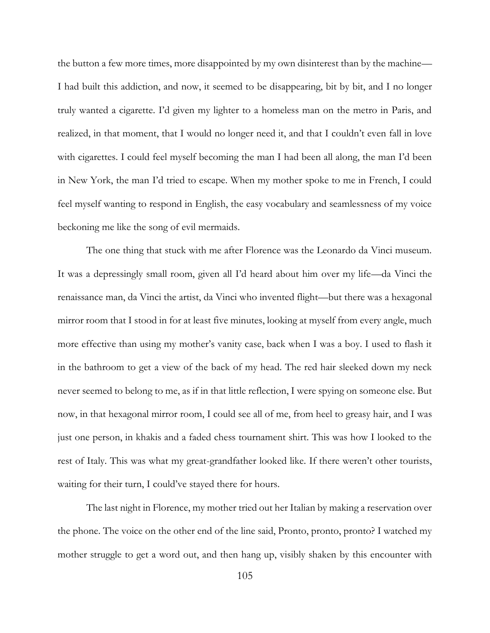the button a few more times, more disappointed by my own disinterest than by the machine— I had built this addiction, and now, it seemed to be disappearing, bit by bit, and I no longer truly wanted a cigarette. I'd given my lighter to a homeless man on the metro in Paris, and realized, in that moment, that I would no longer need it, and that I couldn't even fall in love with cigarettes. I could feel myself becoming the man I had been all along, the man I'd been in New York, the man I'd tried to escape. When my mother spoke to me in French, I could feel myself wanting to respond in English, the easy vocabulary and seamlessness of my voice beckoning me like the song of evil mermaids.

The one thing that stuck with me after Florence was the Leonardo da Vinci museum. It was a depressingly small room, given all I'd heard about him over my life—da Vinci the renaissance man, da Vinci the artist, da Vinci who invented flight—but there was a hexagonal mirror room that I stood in for at least five minutes, looking at myself from every angle, much more effective than using my mother's vanity case, back when I was a boy. I used to flash it in the bathroom to get a view of the back of my head. The red hair sleeked down my neck never seemed to belong to me, as if in that little reflection, I were spying on someone else. But now, in that hexagonal mirror room, I could see all of me, from heel to greasy hair, and I was just one person, in khakis and a faded chess tournament shirt. This was how I looked to the rest of Italy. This was what my great-grandfather looked like. If there weren't other tourists, waiting for their turn, I could've stayed there for hours.

The last night in Florence, my mother tried out her Italian by making a reservation over the phone. The voice on the other end of the line said, Pronto, pronto, pronto? I watched my mother struggle to get a word out, and then hang up, visibly shaken by this encounter with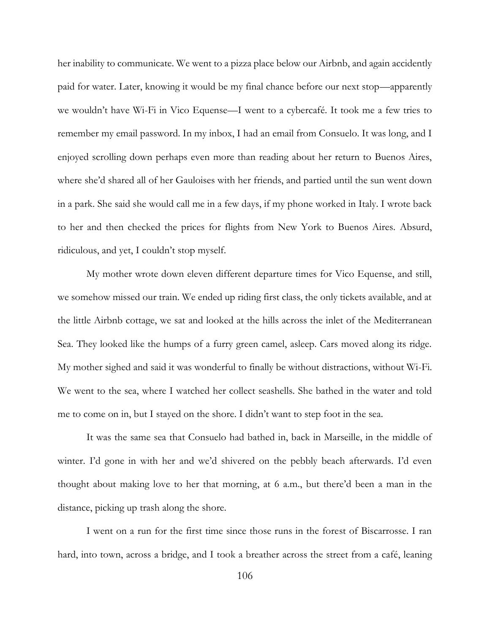her inability to communicate. We went to a pizza place below our Airbnb, and again accidently paid for water. Later, knowing it would be my final chance before our next stop—apparently we wouldn't have Wi-Fi in Vico Equense—I went to a cybercafé. It took me a few tries to remember my email password. In my inbox, I had an email from Consuelo. It was long, and I enjoyed scrolling down perhaps even more than reading about her return to Buenos Aires, where she'd shared all of her Gauloises with her friends, and partied until the sun went down in a park. She said she would call me in a few days, if my phone worked in Italy. I wrote back to her and then checked the prices for flights from New York to Buenos Aires. Absurd, ridiculous, and yet, I couldn't stop myself.

My mother wrote down eleven different departure times for Vico Equense, and still, we somehow missed our train. We ended up riding first class, the only tickets available, and at the little Airbnb cottage, we sat and looked at the hills across the inlet of the Mediterranean Sea. They looked like the humps of a furry green camel, asleep. Cars moved along its ridge. My mother sighed and said it was wonderful to finally be without distractions, without Wi-Fi. We went to the sea, where I watched her collect seashells. She bathed in the water and told me to come on in, but I stayed on the shore. I didn't want to step foot in the sea.

It was the same sea that Consuelo had bathed in, back in Marseille, in the middle of winter. I'd gone in with her and we'd shivered on the pebbly beach afterwards. I'd even thought about making love to her that morning, at 6 a.m., but there'd been a man in the distance, picking up trash along the shore.

I went on a run for the first time since those runs in the forest of Biscarrosse. I ran hard, into town, across a bridge, and I took a breather across the street from a café, leaning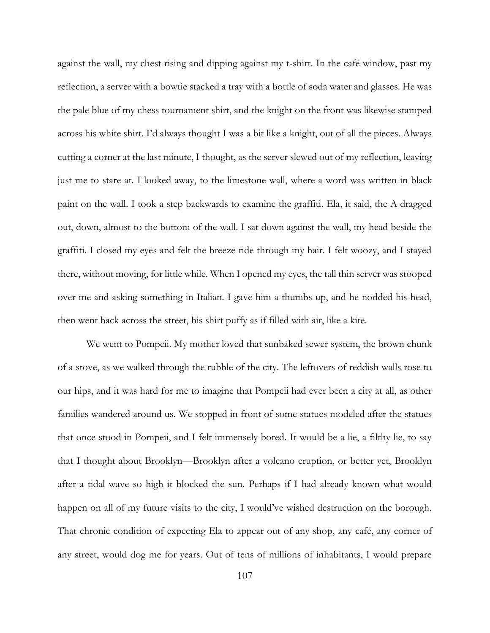against the wall, my chest rising and dipping against my t-shirt. In the café window, past my reflection, a server with a bowtie stacked a tray with a bottle of soda water and glasses. He was the pale blue of my chess tournament shirt, and the knight on the front was likewise stamped across his white shirt. I'd always thought I was a bit like a knight, out of all the pieces. Always cutting a corner at the last minute, I thought, as the server slewed out of my reflection, leaving just me to stare at. I looked away, to the limestone wall, where a word was written in black paint on the wall. I took a step backwards to examine the graffiti. Ela, it said, the A dragged out, down, almost to the bottom of the wall. I sat down against the wall, my head beside the graffiti. I closed my eyes and felt the breeze ride through my hair. I felt woozy, and I stayed there, without moving, for little while. When I opened my eyes, the tall thin server was stooped over me and asking something in Italian. I gave him a thumbs up, and he nodded his head, then went back across the street, his shirt puffy as if filled with air, like a kite.

We went to Pompeii. My mother loved that sunbaked sewer system, the brown chunk of a stove, as we walked through the rubble of the city. The leftovers of reddish walls rose to our hips, and it was hard for me to imagine that Pompeii had ever been a city at all, as other families wandered around us. We stopped in front of some statues modeled after the statues that once stood in Pompeii, and I felt immensely bored. It would be a lie, a filthy lie, to say that I thought about Brooklyn—Brooklyn after a volcano eruption, or better yet, Brooklyn after a tidal wave so high it blocked the sun. Perhaps if I had already known what would happen on all of my future visits to the city, I would've wished destruction on the borough. That chronic condition of expecting Ela to appear out of any shop, any café, any corner of any street, would dog me for years. Out of tens of millions of inhabitants, I would prepare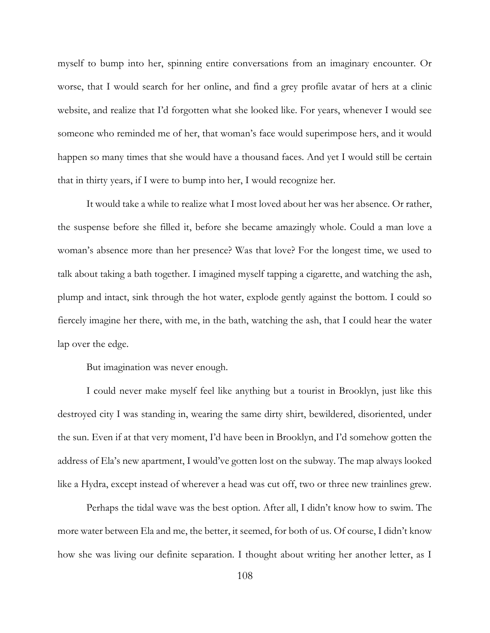myself to bump into her, spinning entire conversations from an imaginary encounter. Or worse, that I would search for her online, and find a grey profile avatar of hers at a clinic website, and realize that I'd forgotten what she looked like. For years, whenever I would see someone who reminded me of her, that woman's face would superimpose hers, and it would happen so many times that she would have a thousand faces. And yet I would still be certain that in thirty years, if I were to bump into her, I would recognize her.

It would take a while to realize what I most loved about her was her absence. Or rather, the suspense before she filled it, before she became amazingly whole. Could a man love a woman's absence more than her presence? Was that love? For the longest time, we used to talk about taking a bath together. I imagined myself tapping a cigarette, and watching the ash, plump and intact, sink through the hot water, explode gently against the bottom. I could so fiercely imagine her there, with me, in the bath, watching the ash, that I could hear the water lap over the edge.

But imagination was never enough.

I could never make myself feel like anything but a tourist in Brooklyn, just like this destroyed city I was standing in, wearing the same dirty shirt, bewildered, disoriented, under the sun. Even if at that very moment, I'd have been in Brooklyn, and I'd somehow gotten the address of Ela's new apartment, I would've gotten lost on the subway. The map always looked like a Hydra, except instead of wherever a head was cut off, two or three new trainlines grew.

Perhaps the tidal wave was the best option. After all, I didn't know how to swim. The more water between Ela and me, the better, it seemed, for both of us. Of course, I didn't know how she was living our definite separation. I thought about writing her another letter, as I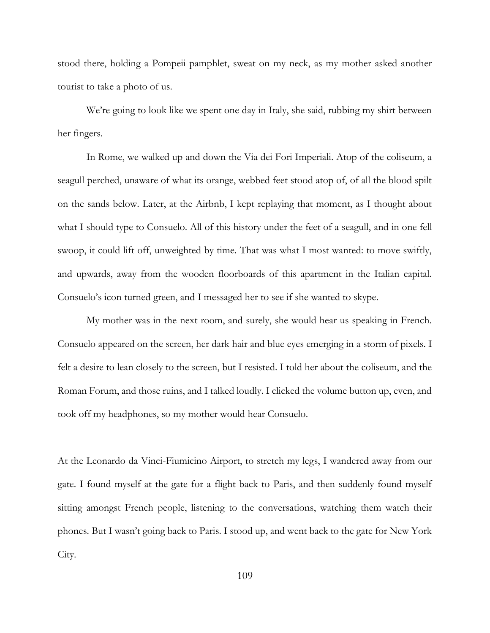stood there, holding a Pompeii pamphlet, sweat on my neck, as my mother asked another tourist to take a photo of us.

We're going to look like we spent one day in Italy, she said, rubbing my shirt between her fingers.

In Rome, we walked up and down the Via dei Fori Imperiali. Atop of the coliseum, a seagull perched, unaware of what its orange, webbed feet stood atop of, of all the blood spilt on the sands below. Later, at the Airbnb, I kept replaying that moment, as I thought about what I should type to Consuelo. All of this history under the feet of a seagull, and in one fell swoop, it could lift off, unweighted by time. That was what I most wanted: to move swiftly, and upwards, away from the wooden floorboards of this apartment in the Italian capital. Consuelo's icon turned green, and I messaged her to see if she wanted to skype.

My mother was in the next room, and surely, she would hear us speaking in French. Consuelo appeared on the screen, her dark hair and blue eyes emerging in a storm of pixels. I felt a desire to lean closely to the screen, but I resisted. I told her about the coliseum, and the Roman Forum, and those ruins, and I talked loudly. I clicked the volume button up, even, and took off my headphones, so my mother would hear Consuelo.

At the Leonardo da Vinci-Fiumicino Airport, to stretch my legs, I wandered away from our gate. I found myself at the gate for a flight back to Paris, and then suddenly found myself sitting amongst French people, listening to the conversations, watching them watch their phones. But I wasn't going back to Paris. I stood up, and went back to the gate for New York City.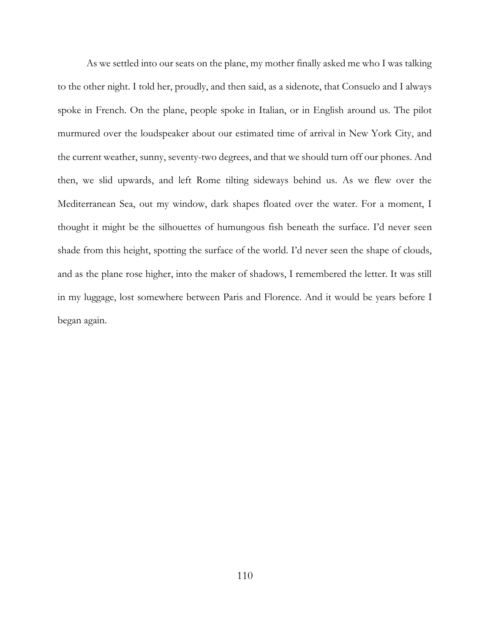As we settled into our seats on the plane, my mother finally asked me who I was talking to the other night. I told her, proudly, and then said, as a sidenote, that Consuelo and I always spoke in French. On the plane, people spoke in Italian, or in English around us. The pilot murmured over the loudspeaker about our estimated time of arrival in New York City, and the current weather, sunny, seventy-two degrees, and that we should turn off our phones. And then, we slid upwards, and left Rome tilting sideways behind us. As we flew over the Mediterranean Sea, out my window, dark shapes floated over the water. For a moment, I thought it might be the silhouettes of humungous fish beneath the surface. I'd never seen shade from this height, spotting the surface of the world. I'd never seen the shape of clouds, and as the plane rose higher, into the maker of shadows, I remembered the letter. It was still in my luggage, lost somewhere between Paris and Florence. And it would be years before I began again.